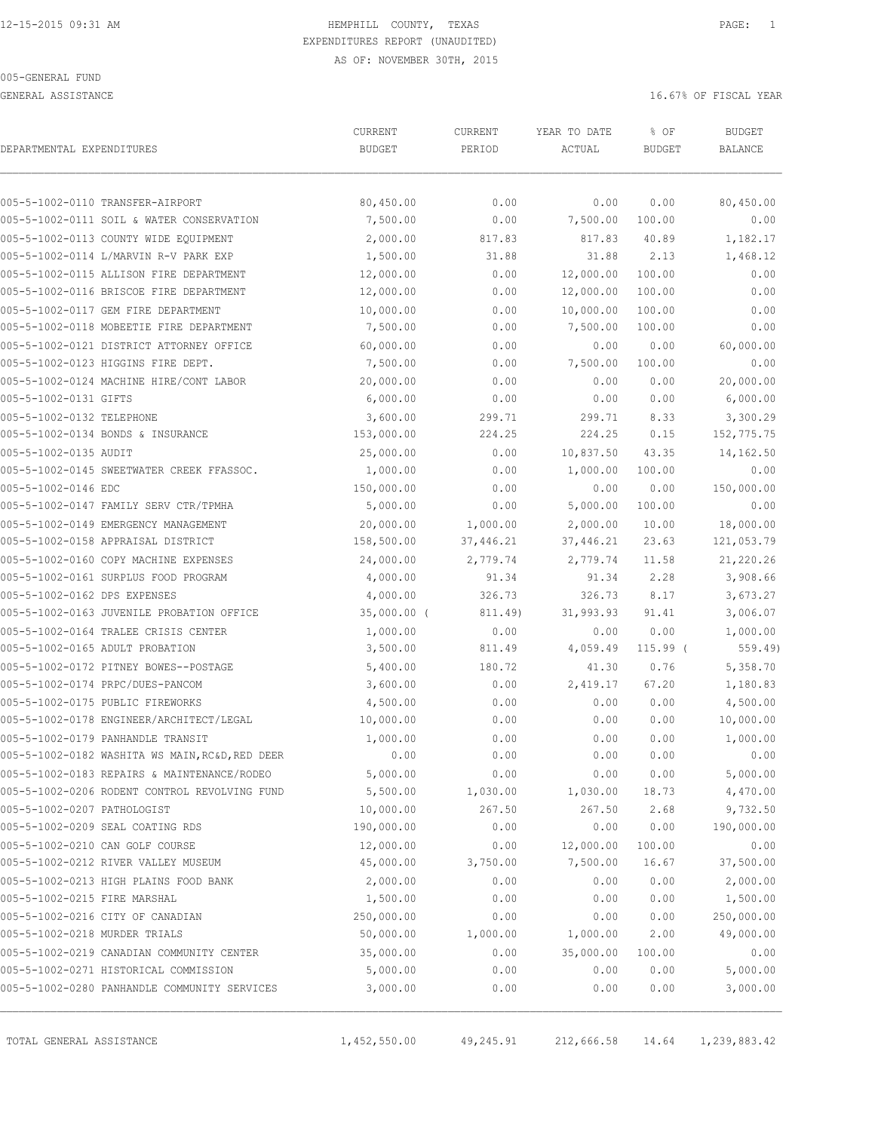GENERAL ASSISTANCE **16.67%** OF FISCAL YEAR

|                               |                                                 | <b>CURRENT</b> | <b>CURRENT</b> | YEAR TO DATE | % OF          | <b>BUDGET</b>  |
|-------------------------------|-------------------------------------------------|----------------|----------------|--------------|---------------|----------------|
| DEPARTMENTAL EXPENDITURES     |                                                 | <b>BUDGET</b>  | PERIOD         | ACTUAL       | <b>BUDGET</b> | <b>BALANCE</b> |
|                               | 005-5-1002-0110 TRANSFER-AIRPORT                | 80,450.00      | 0.00           | 0.00         | 0.00          | 80,450.00      |
|                               | 005-5-1002-0111 SOIL & WATER CONSERVATION       | 7,500.00       | 0.00           | 7,500.00     | 100.00        | 0.00           |
|                               | 005-5-1002-0113 COUNTY WIDE EQUIPMENT           | 2,000.00       | 817.83         | 817.83       | 40.89         | 1,182.17       |
|                               | 005-5-1002-0114 L/MARVIN R-V PARK EXP           | 1,500.00       | 31.88          | 31.88        | 2.13          | 1,468.12       |
|                               | 005-5-1002-0115 ALLISON FIRE DEPARTMENT         | 12,000.00      | 0.00           | 12,000.00    | 100.00        | 0.00           |
|                               | 005-5-1002-0116 BRISCOE FIRE DEPARTMENT         | 12,000.00      | 0.00           | 12,000.00    | 100.00        | 0.00           |
|                               | 005-5-1002-0117 GEM FIRE DEPARTMENT             | 10,000.00      | 0.00           | 10,000.00    | 100.00        | 0.00           |
|                               | 005-5-1002-0118 MOBEETIE FIRE DEPARTMENT        | 7,500.00       | 0.00           | 7,500.00     | 100.00        | 0.00           |
|                               | 005-5-1002-0121 DISTRICT ATTORNEY OFFICE        | 60,000.00      | 0.00           | 0.00         | 0.00          | 60,000.00      |
|                               | 005-5-1002-0123 HIGGINS FIRE DEPT.              | 7,500.00       | 0.00           | 7,500.00     | 100.00        | 0.00           |
|                               | 005-5-1002-0124 MACHINE HIRE/CONT LABOR         | 20,000.00      | 0.00           | 0.00         | 0.00          | 20,000.00      |
| 005-5-1002-0131 GIFTS         |                                                 | 6,000.00       | 0.00           | 0.00         | 0.00          | 6,000.00       |
| 005-5-1002-0132 TELEPHONE     |                                                 | 3,600.00       | 299.71         | 299.71       | 8.33          | 3,300.29       |
|                               | 005-5-1002-0134 BONDS & INSURANCE               | 153,000.00     | 224.25         | 224.25       | 0.15          | 152,775.75     |
| 005-5-1002-0135 AUDIT         |                                                 | 25,000.00      | 0.00           | 10,837.50    | 43.35         | 14,162.50      |
|                               | 005-5-1002-0145 SWEETWATER CREEK FFASSOC.       | 1,000.00       | 0.00           | 1,000.00     | 100.00        | 0.00           |
| 005-5-1002-0146 EDC           |                                                 | 150,000.00     | 0.00           | 0.00         | 0.00          | 150,000.00     |
|                               | 005-5-1002-0147 FAMILY SERV CTR/TPMHA           | 5,000.00       | 0.00           | 5,000.00     | 100.00        | 0.00           |
|                               | 005-5-1002-0149 EMERGENCY MANAGEMENT            | 20,000.00      | 1,000.00       | 2,000.00     | 10.00         | 18,000.00      |
|                               | 005-5-1002-0158 APPRAISAL DISTRICT              | 158,500.00     | 37,446.21      | 37,446.21    | 23.63         | 121,053.79     |
|                               | 005-5-1002-0160 COPY MACHINE EXPENSES           | 24,000.00      | 2,779.74       | 2,779.74     | 11.58         | 21,220.26      |
|                               | 005-5-1002-0161 SURPLUS FOOD PROGRAM            | 4,000.00       | 91.34          | 91.34        | 2.28          | 3,908.66       |
| 005-5-1002-0162 DPS EXPENSES  |                                                 | 4,000.00       | 326.73         | 326.73       | 8.17          | 3,673.27       |
|                               | 005-5-1002-0163 JUVENILE PROBATION OFFICE       | $35,000.00$ (  | 811.49)        | 31,993.93    | 91.41         | 3,006.07       |
|                               | 005-5-1002-0164 TRALEE CRISIS CENTER            | 1,000.00       | 0.00           | 0.00         | 0.00          | 1,000.00       |
|                               | 005-5-1002-0165 ADULT PROBATION                 | 3,500.00       | 811.49         | 4,059.49     | $115.99$ (    | 559.49         |
|                               | 005-5-1002-0172 PITNEY BOWES--POSTAGE           | 5,400.00       | 180.72         | 41.30        | 0.76          | 5,358.70       |
|                               | 005-5-1002-0174 PRPC/DUES-PANCOM                | 3,600.00       | 0.00           | 2,419.17     | 67.20         | 1,180.83       |
|                               | 005-5-1002-0175 PUBLIC FIREWORKS                | 4,500.00       | 0.00           | 0.00         | 0.00          | 4,500.00       |
|                               | 005-5-1002-0178 ENGINEER/ARCHITECT/LEGAL        | 10,000.00      | 0.00           | 0.00         | 0.00          | 10,000.00      |
|                               | 005-5-1002-0179 PANHANDLE TRANSIT               | 1,000.00       | 0.00           | 0.00         | 0.00          | 1,000.00       |
|                               | 005-5-1002-0182 WASHITA WS MAIN, RC&D, RED DEER | 0.00           | 0.00           | 0.00         | 0.00          | 0.00           |
|                               | 005-5-1002-0183 REPAIRS & MAINTENANCE/RODEO     | 5,000.00       | 0.00           | 0.00         | 0.00          | 5,000.00       |
|                               | 005-5-1002-0206 RODENT CONTROL REVOLVING FUND   | 5,500.00       | 1,030.00       | 1,030.00     | 18.73         | 4,470.00       |
| 005-5-1002-0207 PATHOLOGIST   |                                                 | 10,000.00      | 267.50         | 267.50       | 2.68          | 9,732.50       |
|                               | 005-5-1002-0209 SEAL COATING RDS                | 190,000.00     | 0.00           | 0.00         | 0.00          | 190,000.00     |
|                               | 005-5-1002-0210 CAN GOLF COURSE                 | 12,000.00      | 0.00           | 12,000.00    | 100.00        | 0.00           |
|                               | 005-5-1002-0212 RIVER VALLEY MUSEUM             | 45,000.00      | 3,750.00       | 7,500.00     | 16.67         | 37,500.00      |
|                               | 005-5-1002-0213 HIGH PLAINS FOOD BANK           | 2,000.00       | 0.00           | 0.00         | 0.00          | 2,000.00       |
| 005-5-1002-0215 FIRE MARSHAL  |                                                 | 1,500.00       | 0.00           | 0.00         | 0.00          | 1,500.00       |
|                               | 005-5-1002-0216 CITY OF CANADIAN                | 250,000.00     | 0.00           | 0.00         | 0.00          | 250,000.00     |
| 005-5-1002-0218 MURDER TRIALS |                                                 | 50,000.00      | 1,000.00       | 1,000.00     | 2.00          | 49,000.00      |
|                               | 005-5-1002-0219 CANADIAN COMMUNITY CENTER       | 35,000.00      | 0.00           | 35,000.00    | 100.00        | 0.00           |
|                               | 005-5-1002-0271 HISTORICAL COMMISSION           | 5,000.00       | 0.00           | 0.00         | 0.00          | 5,000.00       |
|                               | 005-5-1002-0280 PANHANDLE COMMUNITY SERVICES    | 3,000.00       | 0.00           | 0.00         | 0.00          | 3,000.00       |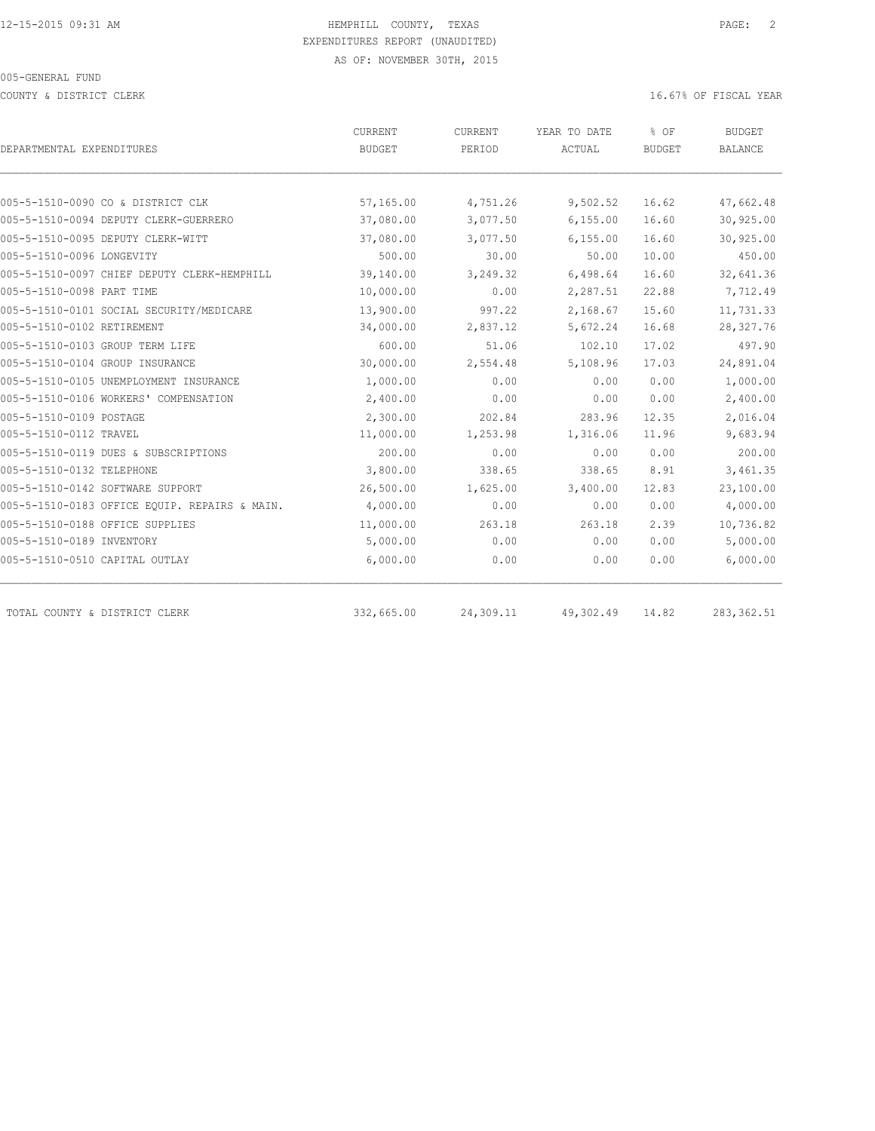COUNTY & DISTRICT CLERK 16.67% OF FISCAL YEAR

| BUDGET<br>57,165.00<br>37,080.00 | PERIOD<br>4,751.26 | ACTUAL                |                                                                                                                                                                                                                                                           | <b>BALANCE</b> |
|----------------------------------|--------------------|-----------------------|-----------------------------------------------------------------------------------------------------------------------------------------------------------------------------------------------------------------------------------------------------------|----------------|
|                                  |                    |                       | YEAR TO DATE<br>% OF<br><b>BUDGET</b><br>16.62<br>16.60<br>16.60<br>50.00<br>10.00<br>16.60<br>22.88<br>15.60<br>16.68<br>102.10<br>17.02<br>17.03<br>0.00<br>0.00<br>0.00<br>0.00<br>12.35<br>283.96<br>11.96<br>0.00<br>0.00<br>338.65<br>8.91<br>12.83 |                |
|                                  |                    |                       |                                                                                                                                                                                                                                                           |                |
|                                  |                    |                       |                                                                                                                                                                                                                                                           | 47,662.48      |
|                                  |                    |                       |                                                                                                                                                                                                                                                           | 30,925.00      |
| 37,080.00                        | 3,077.50           | 6, 155.00             |                                                                                                                                                                                                                                                           | 30,925.00      |
| 500.00                           | 30.00              |                       |                                                                                                                                                                                                                                                           | 450.00         |
| 39,140.00                        | 3,249.32           | 6,498.64              |                                                                                                                                                                                                                                                           | 32,641.36      |
| 10,000.00                        | 0.00               | 2,287.51              |                                                                                                                                                                                                                                                           | 7,712.49       |
| 13,900.00                        | 997.22             | 2,168.67              |                                                                                                                                                                                                                                                           | 11,731.33      |
| 34,000.00                        | 2,837.12           | 5,672.24              |                                                                                                                                                                                                                                                           | 28, 327.76     |
| 600.00                           | 51.06              |                       |                                                                                                                                                                                                                                                           | 497.90         |
| 30,000.00                        | 2,554.48           | 5,108.96              |                                                                                                                                                                                                                                                           | 24,891.04      |
| 1,000.00                         | 0.00               |                       |                                                                                                                                                                                                                                                           | 1,000.00       |
| 2,400.00                         | 0.00               |                       |                                                                                                                                                                                                                                                           | 2,400.00       |
| 2,300.00                         | 202.84             |                       |                                                                                                                                                                                                                                                           | 2,016.04       |
| 11,000.00                        | 1,253.98           | 1,316.06              |                                                                                                                                                                                                                                                           | 9,683.94       |
| 200.00                           | 0.00               |                       |                                                                                                                                                                                                                                                           | 200.00         |
| 3,800.00                         | 338.65             |                       |                                                                                                                                                                                                                                                           | 3,461.35       |
| 26,500.00                        | 1,625.00           | 3,400.00              |                                                                                                                                                                                                                                                           | 23,100.00      |
| 4,000.00                         | 0.00               | 0.00                  | 0.00                                                                                                                                                                                                                                                      | 4,000.00       |
| 11,000.00                        | 263.18             | 263.18                | 2.39                                                                                                                                                                                                                                                      | 10,736.82      |
| 5,000.00                         | 0.00               | 0.00                  | 0.00                                                                                                                                                                                                                                                      | 5,000.00       |
| 6,000.00                         | 0.00               | 0.00                  | 0.00                                                                                                                                                                                                                                                      | 6,000.00       |
|                                  |                    |                       |                                                                                                                                                                                                                                                           | 283, 362.51    |
|                                  | 332,665.00         | 3,077.50<br>24,309.11 | 9,502.52<br>6, 155.00<br>49,302.49                                                                                                                                                                                                                        | 14.82          |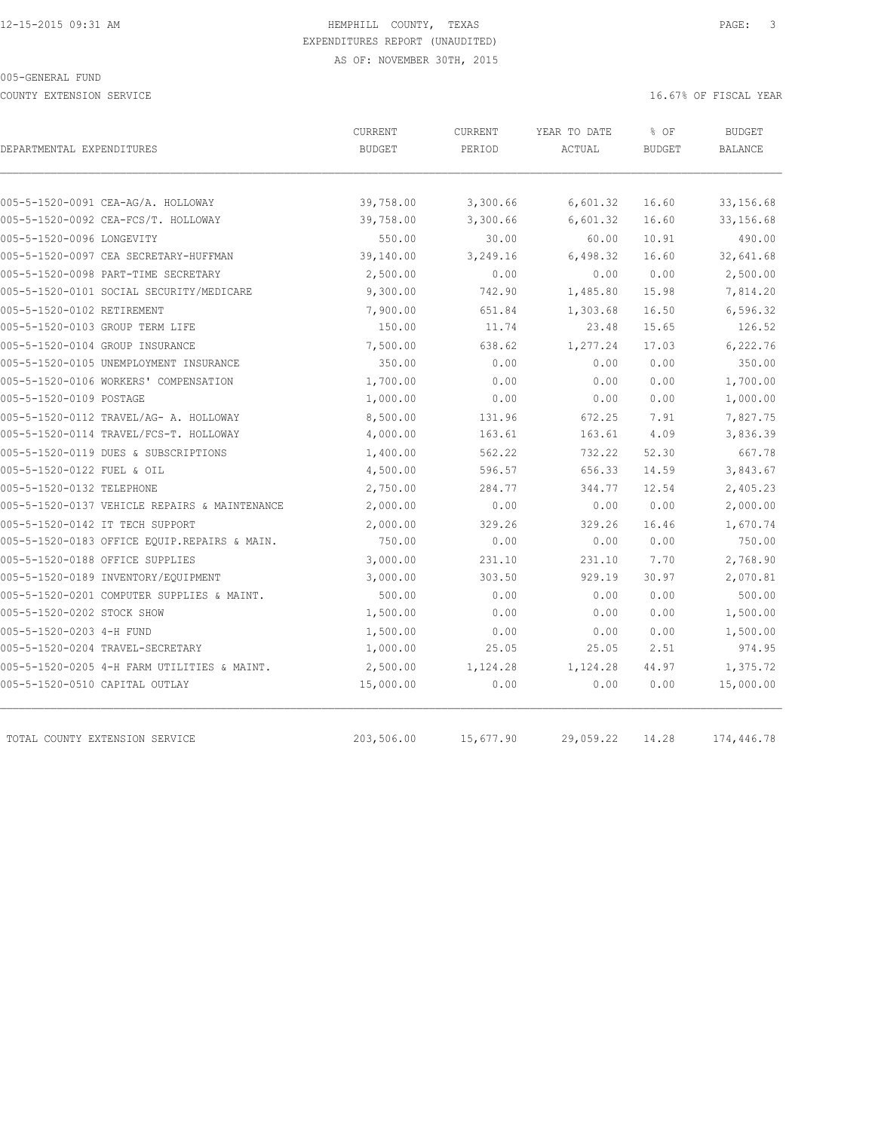COUNTY EXTENSION SERVICE **EXECUTE 16.67%** OF FISCAL YEAR

| DEPARTMENTAL EXPENDITURES                                                 | <b>CURRENT</b><br><b>BUDGET</b> | CURRENT<br>PERIOD    | YEAR TO DATE<br>ACTUAL | % OF<br><b>BUDGET</b> | <b>BUDGET</b><br><b>BALANCE</b> |
|---------------------------------------------------------------------------|---------------------------------|----------------------|------------------------|-----------------------|---------------------------------|
|                                                                           |                                 |                      |                        | 16.60                 |                                 |
| 005-5-1520-0091 CEA-AG/A. HOLLOWAY<br>005-5-1520-0092 CEA-FCS/T. HOLLOWAY | 39,758.00<br>39,758.00          | 3,300.66<br>3,300.66 | 6,601.32<br>6,601.32   | 16.60                 | 33, 156.68<br>33, 156.68        |
| 005-5-1520-0096 LONGEVITY                                                 | 550.00                          | 30.00                | 60.00                  | 10.91                 | 490.00                          |
| 005-5-1520-0097 CEA SECRETARY-HUFFMAN                                     | 39,140.00                       | 3,249.16             | 6,498.32               | 16.60                 | 32,641.68                       |
| 005-5-1520-0098 PART-TIME SECRETARY                                       | 2,500.00                        | 0.00                 | 0.00                   | 0.00                  | 2,500.00                        |
| 005-5-1520-0101 SOCIAL SECURITY/MEDICARE                                  | 9,300.00                        | 742.90               | 1,485.80               | 15.98                 | 7,814.20                        |
| 005-5-1520-0102 RETIREMENT                                                | 7,900.00                        | 651.84               | 1,303.68               | 16.50                 | 6,596.32                        |
| 005-5-1520-0103 GROUP TERM LIFE                                           | 150.00                          | 11.74                | 23.48                  | 15.65                 | 126.52                          |
| 005-5-1520-0104 GROUP INSURANCE                                           | 7,500.00                        | 638.62               | 1,277.24               | 17.03                 | 6,222.76                        |
| 005-5-1520-0105 UNEMPLOYMENT INSURANCE                                    | 350.00                          | 0.00                 | 0.00                   | 0.00                  | 350.00                          |
| 005-5-1520-0106 WORKERS' COMPENSATION                                     | 1,700.00                        | 0.00                 | 0.00                   | 0.00                  | 1,700.00                        |
| 005-5-1520-0109 POSTAGE                                                   | 1,000.00                        | 0.00                 | 0.00                   | 0.00                  | 1,000.00                        |
| 005-5-1520-0112 TRAVEL/AG- A. HOLLOWAY                                    | 8,500.00                        | 131.96               | 672.25                 | 7.91                  | 7,827.75                        |
| 005-5-1520-0114 TRAVEL/FCS-T. HOLLOWAY                                    | 4,000.00                        | 163.61               | 163.61                 | 4.09                  | 3,836.39                        |
| 005-5-1520-0119 DUES & SUBSCRIPTIONS                                      | 1,400.00                        | 562.22               | 732.22                 | 52.30                 | 667.78                          |
| 005-5-1520-0122 FUEL & OIL                                                | 4,500.00                        | 596.57               | 656.33                 | 14.59                 | 3,843.67                        |
| 005-5-1520-0132 TELEPHONE                                                 | 2,750.00                        | 284.77               | 344.77                 | 12.54                 | 2,405.23                        |
| 005-5-1520-0137 VEHICLE REPAIRS & MAINTENANCE                             | 2,000.00                        | 0.00                 | 0.00                   | 0.00                  | 2,000.00                        |
| 005-5-1520-0142 IT TECH SUPPORT                                           | 2,000.00                        | 329.26               | 329.26                 | 16.46                 | 1,670.74                        |
| 005-5-1520-0183 OFFICE EOUIP.REPAIRS & MAIN.                              | 750.00                          | 0.00                 | 0.00                   | 0.00                  | 750.00                          |
| 005-5-1520-0188 OFFICE SUPPLIES                                           | 3,000.00                        | 231.10               | 231.10                 | 7.70                  | 2,768.90                        |
| 005-5-1520-0189 INVENTORY/EQUIPMENT                                       | 3,000.00                        | 303.50               | 929.19                 | 30.97                 | 2,070.81                        |
| 005-5-1520-0201 COMPUTER SUPPLIES & MAINT.                                | 500.00                          | 0.00                 | 0.00                   | 0.00                  | 500.00                          |
| 005-5-1520-0202 STOCK SHOW                                                | 1,500.00                        | 0.00                 | 0.00                   | 0.00                  | 1,500.00                        |
| 005-5-1520-0203 4-H FUND                                                  | 1,500.00                        | 0.00                 | 0.00                   | 0.00                  | 1,500.00                        |
| 005-5-1520-0204 TRAVEL-SECRETARY                                          | 1,000.00                        | 25.05                | 25.05                  | 2.51                  | 974.95                          |
| 005-5-1520-0205 4-H FARM UTILITIES & MAINT.                               | 2,500.00                        | 1,124.28             | 1,124.28               | 44.97                 | 1,375.72                        |
| 005-5-1520-0510 CAPITAL OUTLAY                                            | 15,000.00                       | 0.00                 | 0.00                   | 0.00                  | 15,000.00                       |
| TOTAL COUNTY EXTENSION SERVICE                                            | 203,506.00                      | 15,677.90            | 29,059.22              | 14.28                 | 174,446.78                      |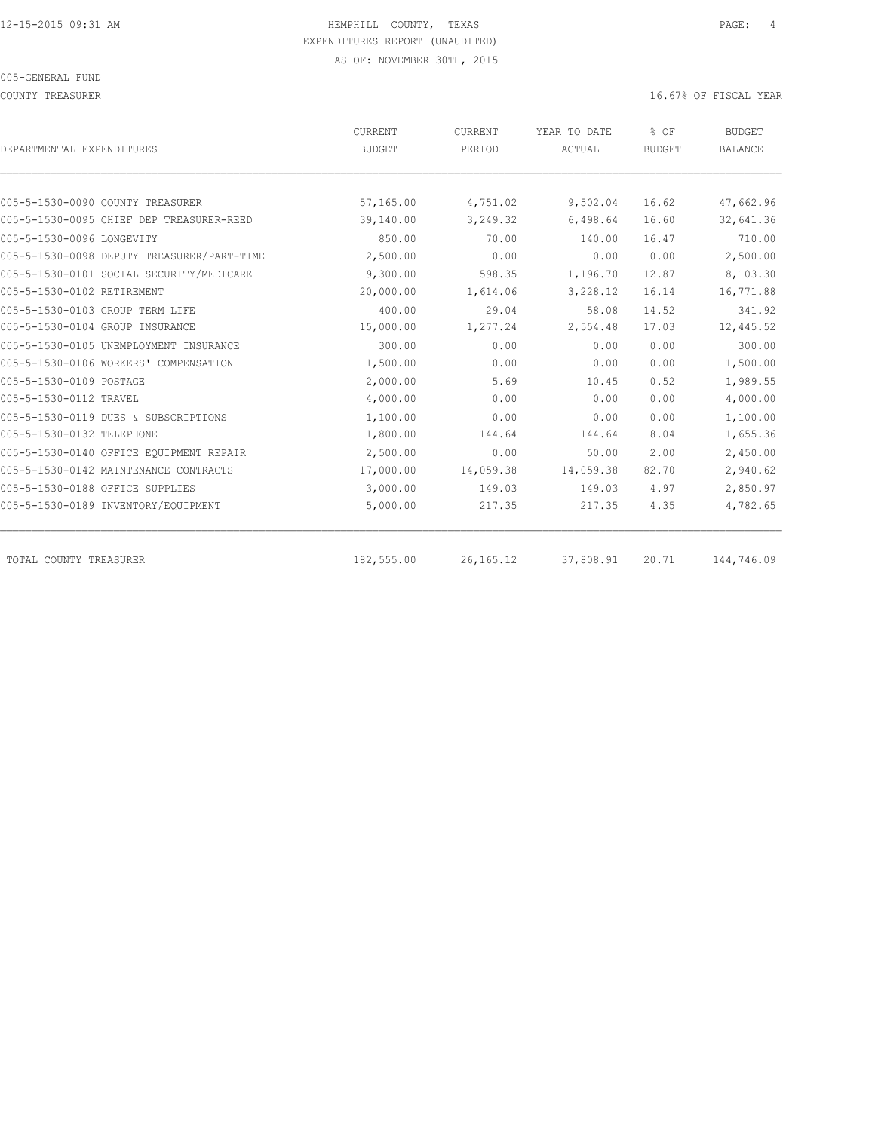COUNTY TREASURER **16.67%** OF FISCAL YEAR

| DEPARTMENTAL EXPENDITURES                  | <b>CURRENT</b><br>BUDGET | CURRENT<br>PERIOD | YEAR TO DATE<br>ACTUAL | % OF<br><b>BUDGET</b> | <b>BUDGET</b><br>BALANCE |
|--------------------------------------------|--------------------------|-------------------|------------------------|-----------------------|--------------------------|
|                                            |                          |                   |                        |                       |                          |
| 005-5-1530-0090 COUNTY TREASURER           | 57,165.00<br>39,140.00   | 4,751.02          | 9,502.04               | 16.62<br>16.60        | 47,662.96<br>32,641.36   |
| 005-5-1530-0095 CHIEF DEP TREASURER-REED   |                          | 3,249.32          | 6,498.64               |                       |                          |
| 005-5-1530-0096 LONGEVITY                  | 850.00                   | 70.00             | 140.00                 | 16.47                 | 710.00                   |
| 005-5-1530-0098 DEPUTY TREASURER/PART-TIME | 2,500.00                 | 0.00              | 0.00                   | 0.00                  | 2,500.00                 |
| 005-5-1530-0101 SOCIAL SECURITY/MEDICARE   | 9,300.00                 | 598.35            | 1,196.70               | 12.87                 | 8,103.30                 |
| 005-5-1530-0102 RETIREMENT                 | 20,000.00                | 1,614.06          | 3,228.12               | 16.14                 | 16,771.88                |
| 005-5-1530-0103 GROUP TERM LIFE            | 400.00                   | 29.04             | 58.08                  | 14.52                 | 341.92                   |
| 005-5-1530-0104 GROUP INSURANCE            | 15,000.00                | 1,277.24          | 2,554.48               | 17.03                 | 12,445.52                |
| 005-5-1530-0105 UNEMPLOYMENT INSURANCE     | 300.00                   | 0.00              | 0.00                   | 0.00                  | 300.00                   |
| 005-5-1530-0106 WORKERS' COMPENSATION      | 1,500.00                 | 0.00              | 0.00                   | 0.00                  | 1,500.00                 |
| 005-5-1530-0109 POSTAGE                    | 2,000.00                 | 5.69              | 10.45                  | 0.52                  | 1,989.55                 |
| 005-5-1530-0112 TRAVEL                     | 4,000.00                 | 0.00              | 0.00                   | 0.00                  | 4,000.00                 |
| 005-5-1530-0119 DUES & SUBSCRIPTIONS       | 1,100.00                 | 0.00              | 0.00                   | 0.00                  | 1,100.00                 |
| 005-5-1530-0132 TELEPHONE                  | 1,800.00                 | 144.64            | 144.64                 | 8.04                  | 1,655.36                 |
| 005-5-1530-0140 OFFICE EOUIPMENT REPAIR    | 2,500.00                 | 0.00              | 50.00                  | 2.00                  | 2,450.00                 |
| 005-5-1530-0142 MAINTENANCE CONTRACTS      | 17,000.00                | 14,059.38         | 14,059.38              | 82.70                 | 2,940.62                 |
| 005-5-1530-0188 OFFICE SUPPLIES            | 3,000.00                 | 149.03            | 149.03                 | 4.97                  | 2,850.97                 |
| 005-5-1530-0189 INVENTORY/EQUIPMENT        | 5,000.00                 | 217.35            | 217.35                 | 4.35                  | 4,782.65                 |
| TOTAL COUNTY TREASURER                     | 182,555.00               | 26, 165. 12       | 37,808.91              | 20.71                 | 144,746.09               |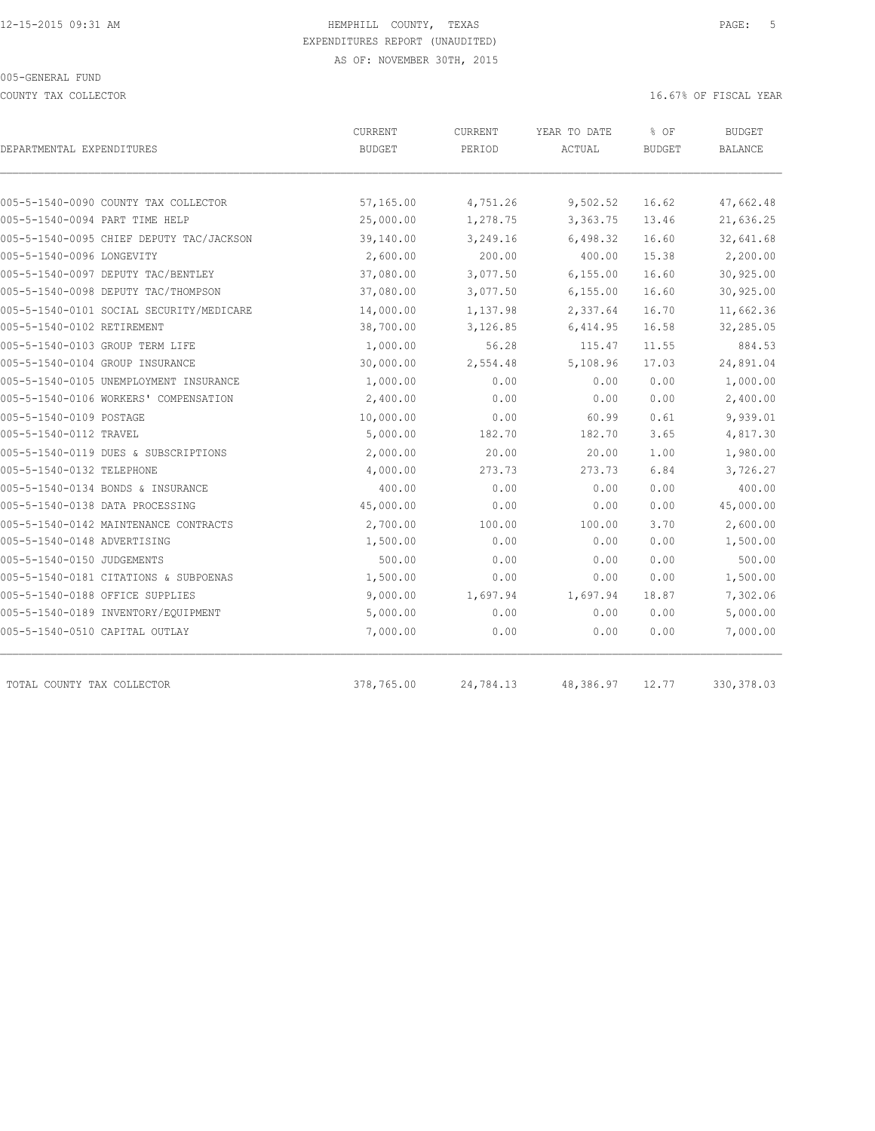COUNTY TAX COLLECTOR **Example 2008** 16.67% OF FISCAL YEAR

| DEPARTMENTAL EXPENDITURES                | CURRENT<br><b>BUDGET</b> | CURRENT<br>PERIOD | YEAR TO DATE<br>ACTUAL | % OF<br><b>BUDGET</b> | <b>BUDGET</b><br>BALANCE |
|------------------------------------------|--------------------------|-------------------|------------------------|-----------------------|--------------------------|
|                                          |                          |                   |                        |                       |                          |
| 005-5-1540-0090 COUNTY TAX COLLECTOR     | 57,165.00                | 4,751.26          | 9,502.52               | 16.62                 | 47,662.48                |
| 005-5-1540-0094 PART TIME HELP           | 25,000.00                | 1,278.75          | 3,363.75               | 13.46                 | 21,636.25                |
| 005-5-1540-0095 CHIEF DEPUTY TAC/JACKSON | 39,140.00                | 3,249.16          | 6,498.32               | 16.60                 | 32,641.68                |
| 005-5-1540-0096 LONGEVITY                | 2,600.00                 | 200.00            | 400.00                 | 15.38                 | 2,200.00                 |
| 005-5-1540-0097 DEPUTY TAC/BENTLEY       | 37,080.00                | 3,077.50          | 6, 155.00              | 16.60                 | 30,925.00                |
| 005-5-1540-0098 DEPUTY TAC/THOMPSON      | 37,080.00                | 3,077.50          | 6, 155.00              | 16.60                 | 30,925.00                |
| 005-5-1540-0101 SOCIAL SECURITY/MEDICARE | 14,000.00                | 1,137.98          | 2,337.64               | 16.70                 | 11,662.36                |
| 005-5-1540-0102 RETIREMENT               | 38,700.00                | 3,126.85          | 6,414.95               | 16.58                 | 32,285.05                |
| 005-5-1540-0103 GROUP TERM LIFE          | 1,000.00                 | 56.28             | 115.47                 | 11.55                 | 884.53                   |
| 005-5-1540-0104 GROUP INSURANCE          | 30,000.00                | 2,554.48          | 5,108.96               | 17.03                 | 24,891.04                |
| 005-5-1540-0105 UNEMPLOYMENT INSURANCE   | 1,000.00                 | 0.00              | 0.00                   | 0.00                  | 1,000.00                 |
| 005-5-1540-0106 WORKERS' COMPENSATION    | 2,400.00                 | 0.00              | 0.00                   | 0.00                  | 2,400.00                 |
| 005-5-1540-0109 POSTAGE                  | 10,000.00                | 0.00              | 60.99                  | 0.61                  | 9,939.01                 |
| 005-5-1540-0112 TRAVEL                   | 5,000.00                 | 182.70            | 182.70                 | 3.65                  | 4,817.30                 |
| 005-5-1540-0119 DUES & SUBSCRIPTIONS     | 2,000.00                 | 20.00             | 20.00                  | 1.00                  | 1,980.00                 |
| 005-5-1540-0132 TELEPHONE                | 4,000.00                 | 273.73            | 273.73                 | 6.84                  | 3,726.27                 |
| 005-5-1540-0134 BONDS & INSURANCE        | 400.00                   | 0.00              | 0.00                   | 0.00                  | 400.00                   |
| 005-5-1540-0138 DATA PROCESSING          | 45,000.00                | 0.00              | 0.00                   | 0.00                  | 45,000.00                |
| 005-5-1540-0142 MAINTENANCE CONTRACTS    | 2,700.00                 | 100.00            | 100.00                 | 3.70                  | 2,600.00                 |
| 005-5-1540-0148 ADVERTISING              | 1,500.00                 | 0.00              | 0.00                   | 0.00                  | 1,500.00                 |
| 005-5-1540-0150 JUDGEMENTS               | 500.00                   | 0.00              | 0.00                   | 0.00                  | 500.00                   |
| 005-5-1540-0181 CITATIONS & SUBPOENAS    | 1,500.00                 | 0.00              | 0.00                   | 0.00                  | 1,500.00                 |
| 005-5-1540-0188 OFFICE SUPPLIES          | 9,000.00                 | 1,697.94          | 1,697.94               | 18.87                 | 7,302.06                 |
| 005-5-1540-0189 INVENTORY/EQUIPMENT      | 5,000.00                 | 0.00              | 0.00                   | 0.00                  | 5,000.00                 |
| 005-5-1540-0510 CAPITAL OUTLAY           | 7,000.00                 | 0.00              | 0.00                   | 0.00                  | 7,000.00                 |
| TOTAL COUNTY TAX COLLECTOR               | 378,765.00               | 24,784.13         | 48,386.97              | 12.77                 | 330, 378.03              |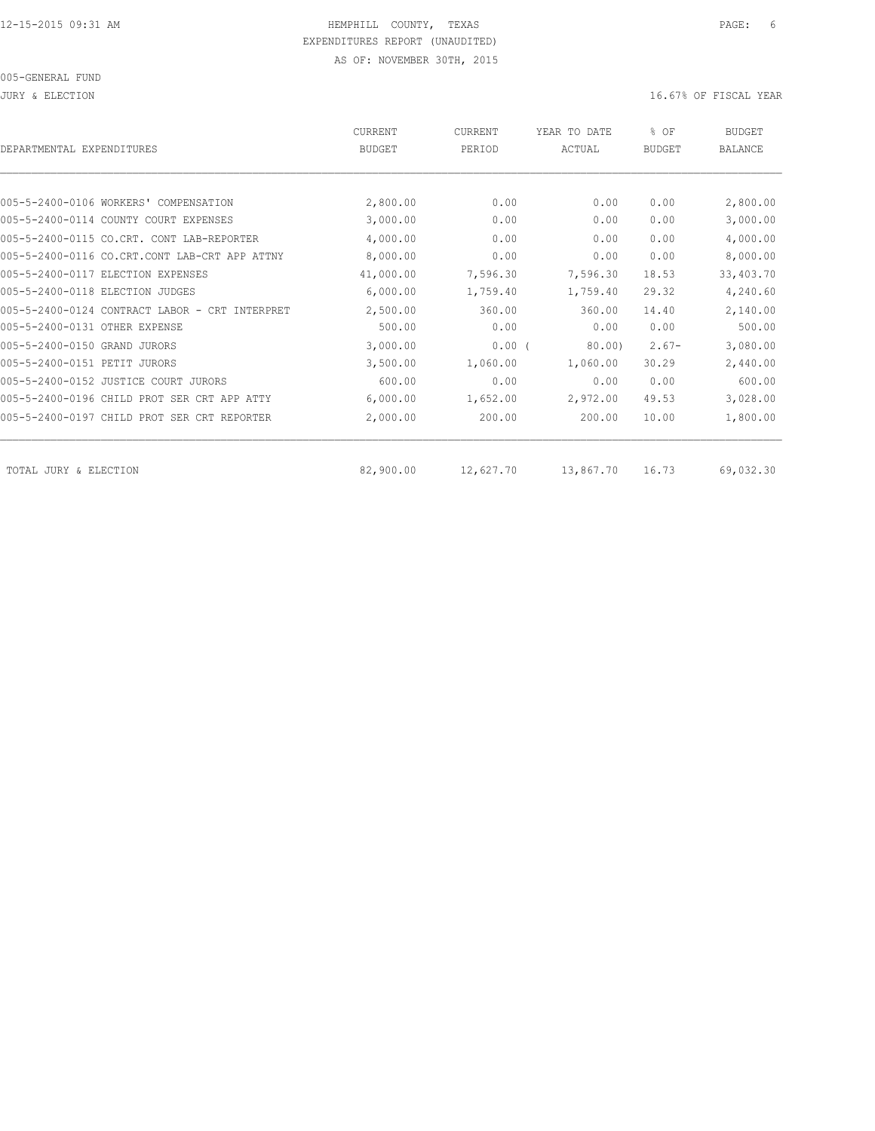JURY & ELECTION 16.67% OF FISCAL YEAR

| DEPARTMENTAL EXPENDITURES                      | <b>CURRENT</b><br><b>BUDGET</b> | CURRENT<br>PERIOD | YEAR TO DATE<br>ACTUAL | % OF<br><b>BUDGET</b> | <b>BUDGET</b><br><b>BALANCE</b> |
|------------------------------------------------|---------------------------------|-------------------|------------------------|-----------------------|---------------------------------|
|                                                |                                 |                   |                        |                       |                                 |
| 005-5-2400-0106 WORKERS' COMPENSATION          | 2,800.00                        | 0.00              | 0.00                   | 0.00                  | 2,800.00                        |
| 005-5-2400-0114 COUNTY COURT EXPENSES          | 3,000.00                        | 0.00              | 0.00                   | 0.00                  | 3,000.00                        |
| 005-5-2400-0115 CO.CRT. CONT<br>LAB-REPORTER   | 4,000.00                        | 0.00              | 0.00                   | 0.00                  | 4,000.00                        |
| 005-5-2400-0116 CO.CRT.CONT LAB-CRT APP ATTNY  | 8,000.00                        | 0.00              | 0.00                   | 0.00                  | 8,000.00                        |
| 005-5-2400-0117 ELECTION EXPENSES              | 41,000.00                       | 7,596.30          | 7,596.30               | 18.53                 | 33,403.70                       |
| 005-5-2400-0118 ELECTION JUDGES                | 6,000.00                        | 1,759.40          | 1,759.40               | 29.32                 | 4,240.60                        |
| 005-5-2400-0124 CONTRACT LABOR - CRT INTERPRET | 2,500.00                        | 360.00            | 360.00                 | 14.40                 | 2,140.00                        |
| 005-5-2400-0131 OTHER EXPENSE                  | 500.00                          | 0.00              | 0.00                   | 0.00                  | 500.00                          |
| 005-5-2400-0150 GRAND JURORS                   | 3,000.00                        | 0.00              | 80.00                  | $2.67-$               | 3,080.00                        |
| 005-5-2400-0151 PETIT JURORS                   | 3,500.00                        | 1,060.00          | 1,060.00               | 30.29                 | 2,440.00                        |
| 005-5-2400-0152 JUSTICE COURT JURORS           | 600.00                          | 0.00              | 0.00                   | 0.00                  | 600.00                          |
| 005-5-2400-0196 CHILD PROT SER CRT APP ATTY    | 6,000.00                        | 1,652.00          | 2,972.00               | 49.53                 | 3,028.00                        |
| 005-5-2400-0197 CHILD PROT SER CRT REPORTER    | 2,000.00                        | 200.00            | 200.00                 | 10.00                 | 1,800.00                        |
| TOTAL JURY & ELECTION                          | 82,900.00                       | 12,627.70         | 13,867.70              | 16.73                 | 69,032.30                       |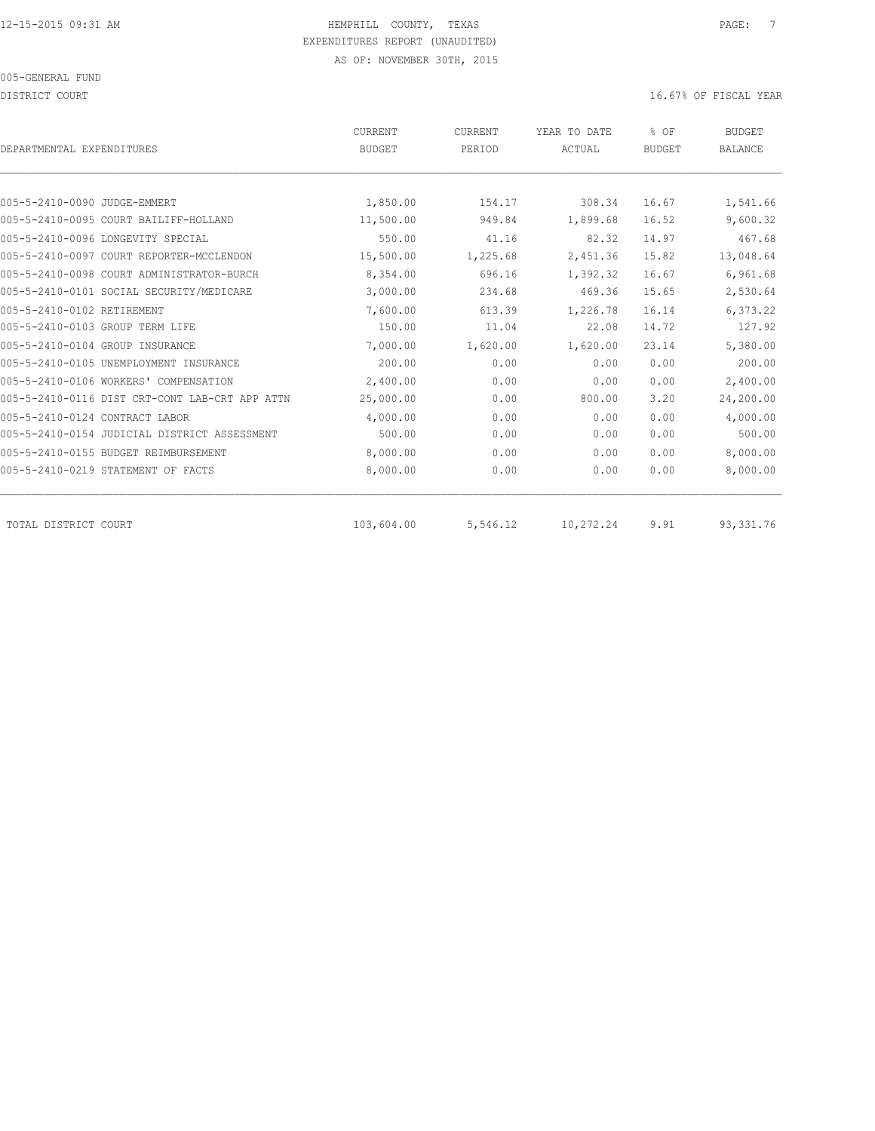DISTRICT COURT COURT COURT COURT COURT COURT COURT COURT COURT COURT COURT COURT COURT COURT COURT COURT COURT

| DEPARTMENTAL EXPENDITURES                      | <b>CURRENT</b><br><b>BUDGET</b> | CURRENT<br>PERIOD | YEAR TO DATE<br>ACTUAL | % OF<br><b>BUDGET</b>                                                                                                                 | <b>BUDGET</b><br><b>BALANCE</b> |
|------------------------------------------------|---------------------------------|-------------------|------------------------|---------------------------------------------------------------------------------------------------------------------------------------|---------------------------------|
|                                                |                                 |                   |                        | 16.67<br>16.52<br>14.97<br>15.82<br>16.67<br>15.65<br>16.14<br>14.72<br>23.14<br>0.00<br>0.00<br>3.20<br>0.00<br>0.00<br>0.00<br>0.00 |                                 |
| 005-5-2410-0090 JUDGE-EMMERT                   | 1,850.00                        | 154.17            | 308.34                 |                                                                                                                                       | 1,541.66                        |
| 005-5-2410-0095 COURT BAILIFF-HOLLAND          | 11,500.00                       | 949.84            | 1,899.68               |                                                                                                                                       | 9,600.32                        |
| 005-5-2410-0096 LONGEVITY SPECIAL              | 550.00                          | 41.16             | 82.32                  |                                                                                                                                       | 467.68                          |
| 005-5-2410-0097 COURT REPORTER-MCCLENDON       | 15,500.00                       | 1,225.68          | 2,451.36               |                                                                                                                                       | 13,048.64                       |
| 005-5-2410-0098 COURT ADMINISTRATOR-BURCH      | 8,354.00                        | 696.16            | 1,392.32               |                                                                                                                                       | 6,961.68                        |
| 005-5-2410-0101 SOCIAL SECURITY/MEDICARE       | 3,000.00                        | 234.68            | 469.36                 |                                                                                                                                       | 2,530.64                        |
| 005-5-2410-0102 RETIREMENT                     | 7,600.00                        | 613.39            | 1,226.78               |                                                                                                                                       | 6,373.22                        |
| 005-5-2410-0103 GROUP TERM LIFE                | 150.00                          | 11.04             | 22.08                  |                                                                                                                                       | 127.92                          |
| 005-5-2410-0104 GROUP INSURANCE                | 7,000.00                        | 1,620.00          | 1,620.00               |                                                                                                                                       | 5,380.00                        |
| 005-5-2410-0105 UNEMPLOYMENT INSURANCE         | 200.00                          | 0.00              | 0.00                   |                                                                                                                                       | 200.00                          |
| 005-5-2410-0106 WORKERS' COMPENSATION          | 2,400.00                        | 0.00              | 0.00                   |                                                                                                                                       | 2,400.00                        |
| 005-5-2410-0116 DIST CRT-CONT LAB-CRT APP ATTN | 25,000.00                       | 0.00              | 800.00                 |                                                                                                                                       | 24,200.00                       |
| 005-5-2410-0124 CONTRACT LABOR                 | 4,000.00                        | 0.00              | 0.00                   |                                                                                                                                       | 4,000.00                        |
| 005-5-2410-0154 JUDICIAL DISTRICT ASSESSMENT   | 500.00                          | 0.00              | 0.00                   |                                                                                                                                       | 500.00                          |
| 005-5-2410-0155 BUDGET REIMBURSEMENT           | 8,000.00                        | 0.00              | 0.00                   |                                                                                                                                       | 8,000.00                        |
| 005-5-2410-0219 STATEMENT OF FACTS             | 8,000.00                        | 0.00              | 0.00                   |                                                                                                                                       | 8,000.00                        |
| TOTAL DISTRICT COURT                           | 103,604.00                      | 5,546.12          | 10,272.24              | 9.91                                                                                                                                  | 93, 331.76                      |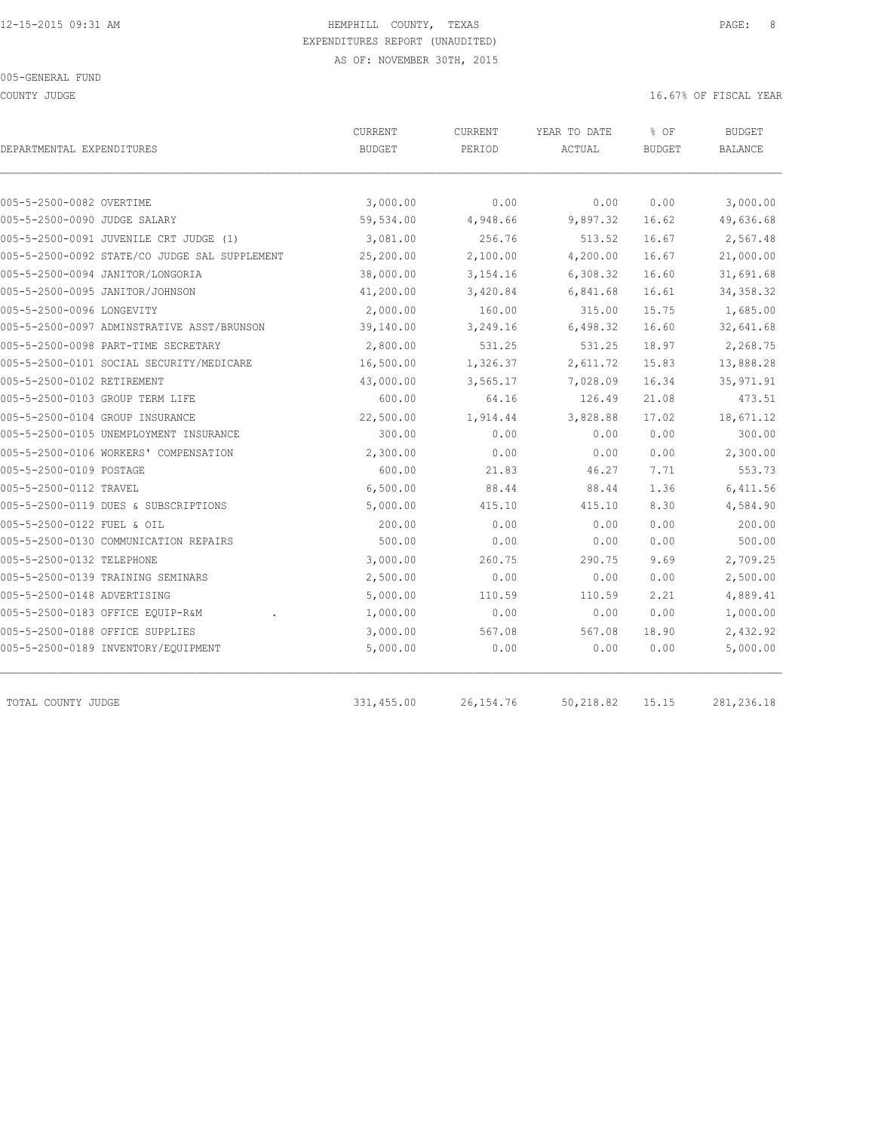COUNTY JUDGE 16.67% OF FISCAL YEAR

| DEPARTMENTAL EXPENDITURES                     | CURRENT<br><b>BUDGET</b> | <b>CURRENT</b><br>PERIOD | YEAR TO DATE<br>ACTUAL | % OF<br><b>BUDGET</b> | <b>BUDGET</b><br><b>BALANCE</b> |
|-----------------------------------------------|--------------------------|--------------------------|------------------------|-----------------------|---------------------------------|
|                                               |                          |                          |                        |                       |                                 |
| 005-5-2500-0082 OVERTIME                      | 3,000.00                 | 0.00                     | 0.00                   | 0.00                  | 3,000.00                        |
| 005-5-2500-0090 JUDGE SALARY                  | 59,534.00                | 4,948.66                 | 9,897.32               | 16.62                 | 49,636.68                       |
| 005-5-2500-0091 JUVENILE CRT JUDGE (1)        | 3,081.00                 | 256.76                   | 513.52                 | 16.67                 | 2,567.48                        |
| 005-5-2500-0092 STATE/CO JUDGE SAL SUPPLEMENT | 25,200.00                | 2,100.00                 | 4,200.00               | 16.67                 | 21,000.00                       |
| 005-5-2500-0094 JANITOR/LONGORIA              | 38,000.00                | 3, 154. 16               | 6,308.32               | 16.60                 | 31,691.68                       |
| 005-5-2500-0095 JANITOR/JOHNSON               | 41,200.00                | 3,420.84                 | 6,841.68               | 16.61                 | 34, 358.32                      |
| 005-5-2500-0096 LONGEVITY                     | 2,000.00                 | 160.00                   | 315.00                 | 15.75                 | 1,685.00                        |
| 005-5-2500-0097 ADMINSTRATIVE ASST/BRUNSON    | 39,140.00                | 3,249.16                 | 6,498.32               | 16.60                 | 32,641.68                       |
| 005-5-2500-0098 PART-TIME SECRETARY           | 2,800.00                 | 531.25                   | 531.25                 | 18.97                 | 2,268.75                        |
| 005-5-2500-0101 SOCIAL SECURITY/MEDICARE      | 16,500.00                | 1,326.37                 | 2,611.72               | 15.83                 | 13,888.28                       |
| 005-5-2500-0102 RETIREMENT                    | 43,000.00                | 3,565.17                 | 7,028.09               | 16.34                 | 35, 971.91                      |
| 005-5-2500-0103 GROUP TERM LIFE               | 600.00                   | 64.16                    | 126.49                 | 21.08                 | 473.51                          |
| 005-5-2500-0104 GROUP INSURANCE               | 22,500.00                | 1,914.44                 | 3,828.88               | 17.02                 | 18,671.12                       |
| 005-5-2500-0105 UNEMPLOYMENT INSURANCE        | 300.00                   | 0.00                     | 0.00                   | 0.00                  | 300.00                          |
| 005-5-2500-0106 WORKERS' COMPENSATION         | 2,300.00                 | 0.00                     | 0.00                   | 0.00                  | 2,300.00                        |
| 005-5-2500-0109 POSTAGE                       | 600.00                   | 21.83                    | 46.27                  | 7.71                  | 553.73                          |
| 005-5-2500-0112 TRAVEL                        | 6,500.00                 | 88.44                    | 88.44                  | 1.36                  | 6,411.56                        |
| 005-5-2500-0119 DUES & SUBSCRIPTIONS          | 5,000.00                 | 415.10                   | 415.10                 | 8.30                  | 4,584.90                        |
| 005-5-2500-0122 FUEL & OIL                    | 200.00                   | 0.00                     | 0.00                   | 0.00                  | 200.00                          |
| 005-5-2500-0130 COMMUNICATION REPAIRS         | 500.00                   | 0.00                     | 0.00                   | 0.00                  | 500.00                          |
| 005-5-2500-0132 TELEPHONE                     | 3,000.00                 | 260.75                   | 290.75                 | 9.69                  | 2,709.25                        |
| 005-5-2500-0139 TRAINING SEMINARS             | 2,500.00                 | 0.00                     | 0.00                   | 0.00                  | 2,500.00                        |
| 005-5-2500-0148 ADVERTISING                   | 5,000.00                 | 110.59                   | 110.59                 | 2.21                  | 4,889.41                        |
| 005-5-2500-0183 OFFICE EQUIP-R&M              | 1,000.00                 | 0.00                     | 0.00                   | 0.00                  | 1,000.00                        |
| 005-5-2500-0188 OFFICE SUPPLIES               | 3,000.00                 | 567.08                   | 567.08                 | 18.90                 | 2,432.92                        |
| 005-5-2500-0189 INVENTORY/EQUIPMENT           | 5,000.00                 | 0.00                     | 0.00                   | 0.00                  | 5,000.00                        |
| TOTAL COUNTY JUDGE                            | 331,455.00               | 26, 154. 76              | 50,218.82              | 15.15                 | 281, 236.18                     |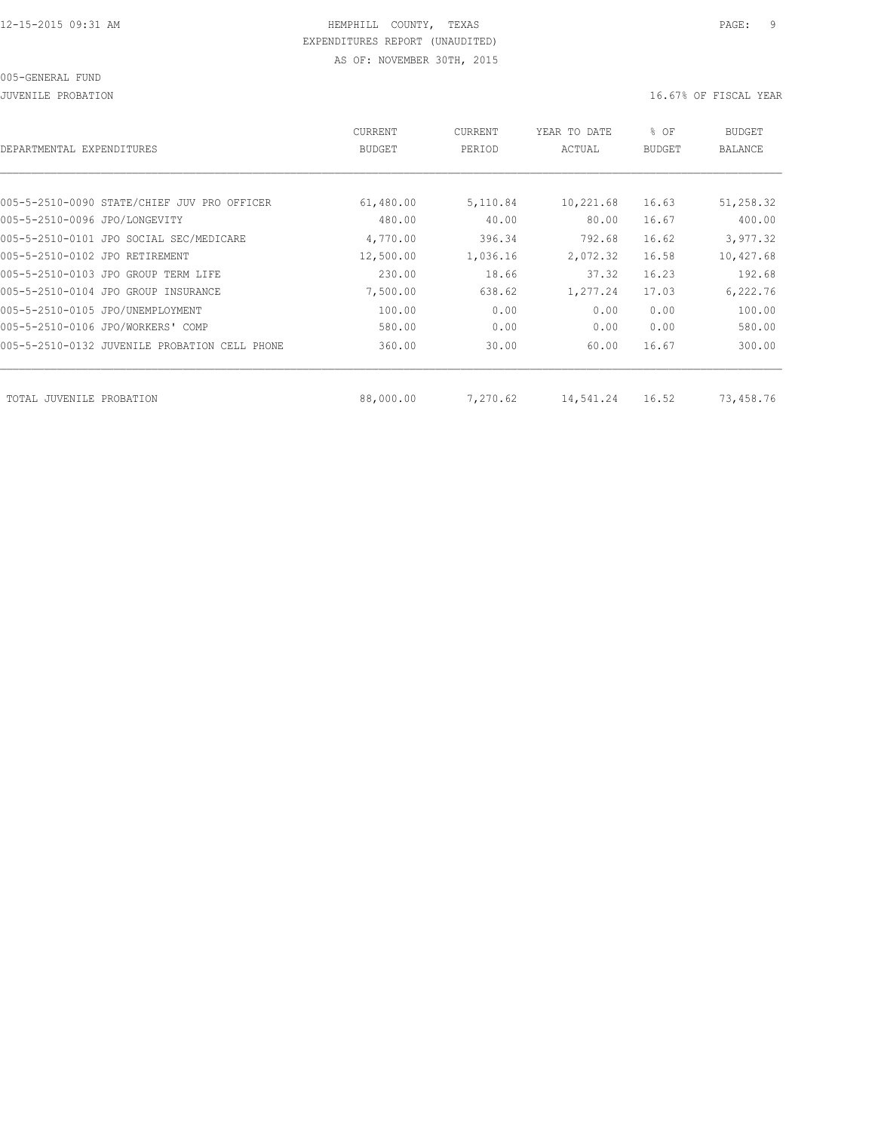JUVENILE PROBATION 16.67% OF FISCAL YEAR

| DEPARTMENTAL EXPENDITURES                     | <b>CURRENT</b><br><b>BUDGET</b> | CURRENT<br>PERIOD | YEAR TO DATE<br>ACTUAL | % OF<br><b>BUDGET</b> | BUDGET<br><b>BALANCE</b> |
|-----------------------------------------------|---------------------------------|-------------------|------------------------|-----------------------|--------------------------|
|                                               |                                 |                   |                        |                       |                          |
| 005-5-2510-0090 STATE/CHIEF JUV PRO OFFICER   | 61,480.00                       | 5,110.84          | 10,221.68              | 16.63                 | 51,258.32                |
| 005-5-2510-0096 JPO/LONGEVITY                 | 480.00                          | 40.00             | 80.00                  | 16.67                 | 400.00                   |
| 005-5-2510-0101 JPO SOCIAL SEC/MEDICARE       | 4,770.00                        | 396.34            | 792.68                 | 16.62                 | 3,977.32                 |
| 005-5-2510-0102 JPO RETIREMENT                | 12,500.00                       | 1,036.16          | 2,072.32               | 16.58                 | 10,427.68                |
| 005-5-2510-0103 JPO GROUP TERM LIFE           | 230.00                          | 18.66             | 37.32                  | 16.23                 | 192.68                   |
| 005-5-2510-0104 JPO GROUP INSURANCE           | 7,500.00                        | 638.62            | 1,277.24               | 17.03                 | 6,222.76                 |
| 005-5-2510-0105 JPO/UNEMPLOYMENT              | 100.00                          | 0.00              | 0.00                   | 0.00                  | 100.00                   |
| 005-5-2510-0106 JPO/WORKERS' COMP             | 580.00                          | 0.00              | 0.00                   | 0.00                  | 580.00                   |
| 005-5-2510-0132 JUVENILE PROBATION CELL PHONE | 360.00                          | 30.00             | 60.00                  | 16.67                 | 300.00                   |
|                                               |                                 |                   |                        |                       |                          |
| TOTAL JUVENILE<br>PROBATION                   | 88,000.00                       | 7,270.62          | 14,541.24              | 16.52                 | 73,458.76                |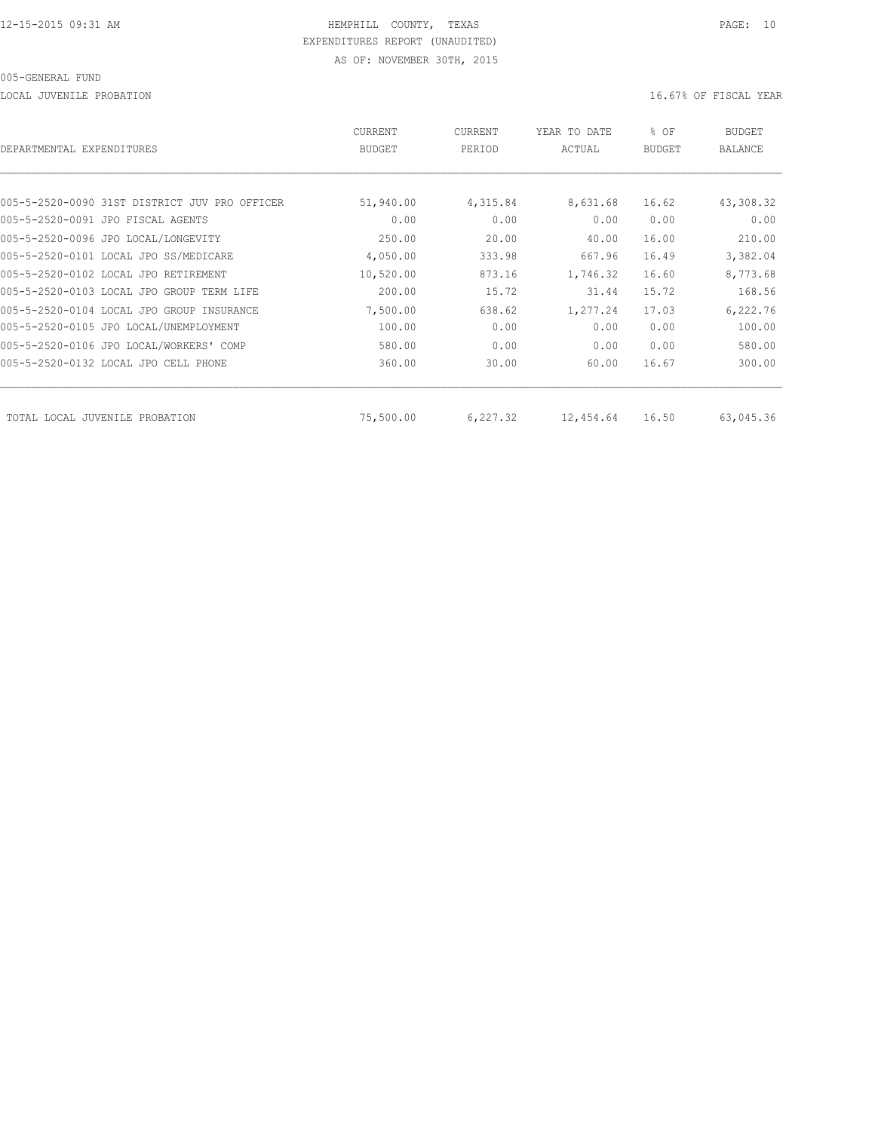LOCAL JUVENILE PROBATION 16.67% OF FISCAL YEAR

|                                               | <b>CURRENT</b> | CURRENT  | YEAR TO DATE | % OF          | <b>BUDGET</b> |
|-----------------------------------------------|----------------|----------|--------------|---------------|---------------|
| DEPARTMENTAL EXPENDITURES                     | <b>BUDGET</b>  | PERIOD   | ACTUAL       | <b>BUDGET</b> | BALANCE       |
|                                               |                |          |              |               |               |
| 005-5-2520-0090 31ST DISTRICT JUV PRO OFFICER | 51,940.00      | 4,315.84 | 8,631.68     | 16.62         | 43,308.32     |
| 005-5-2520-0091 JPO FISCAL AGENTS             | 0.00           | 0.00     | 0.00         | 0.00          | 0.00          |
| 005-5-2520-0096 JPO LOCAL/LONGEVITY           | 250.00         | 20.00    | 40.00        | 16.00         | 210.00        |
| 005-5-2520-0101 LOCAL JPO SS/MEDICARE         | 4,050.00       | 333.98   | 667.96       | 16.49         | 3,382.04      |
| 005-5-2520-0102 LOCAL JPO RETIREMENT          | 10,520.00      | 873.16   | 1,746.32     | 16.60         | 8,773.68      |
| 005-5-2520-0103 LOCAL JPO GROUP TERM LIFE     | 200.00         | 15.72    | 31.44        | 15.72         | 168.56        |
| 005-5-2520-0104 LOCAL JPO GROUP INSURANCE     | 7,500.00       | 638.62   | 1,277.24     | 17.03         | 6,222.76      |
| 005-5-2520-0105 JPO LOCAL/UNEMPLOYMENT        | 100.00         | 0.00     | 0.00         | 0.00          | 100.00        |
| 005-5-2520-0106 JPO LOCAL/WORKERS' COMP       | 580.00         | 0.00     | 0.00         | 0.00          | 580.00        |
| 005-5-2520-0132 LOCAL JPO CELL PHONE          | 360.00         | 30.00    | 60.00        | 16.67         | 300.00        |
|                                               |                |          |              |               |               |
| TOTAL LOCAL JUVENILE PROBATION                | 75,500.00      | 6,227.32 | 12,454.64    | 16.50         | 63,045.36     |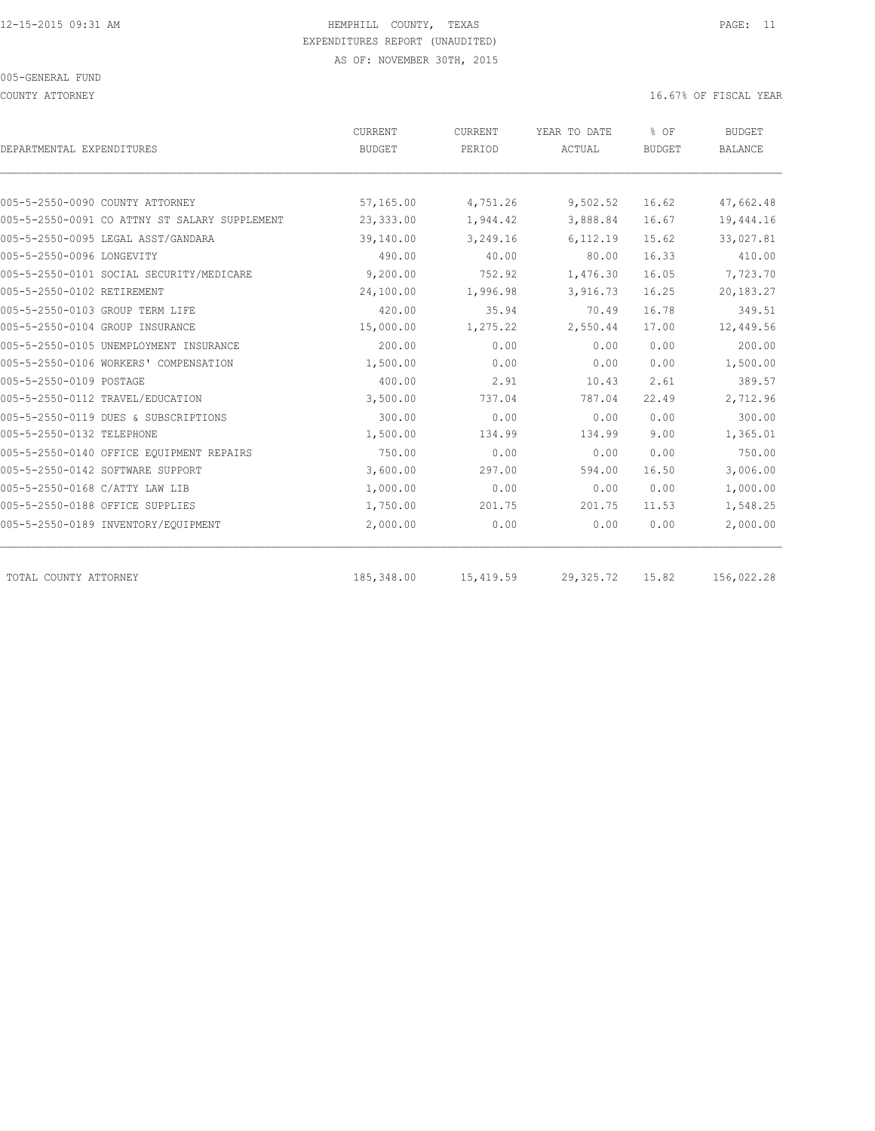COUNTY ATTORNEY 16.67% OF FISCAL YEAR

| DEPARTMENTAL EXPENDITURES                     | <b>CURRENT</b><br><b>BUDGET</b> | CURRENT<br>PERIOD | YEAR TO DATE<br>ACTUAL | % OF<br><b>BUDGET</b> | <b>BUDGET</b><br><b>BALANCE</b> |
|-----------------------------------------------|---------------------------------|-------------------|------------------------|-----------------------|---------------------------------|
|                                               |                                 |                   |                        |                       |                                 |
| 005-5-2550-0090 COUNTY ATTORNEY               | 57,165.00                       | 4,751.26          | 9,502.52               | 16.62                 | 47,662.48                       |
| 005-5-2550-0091 CO ATTNY ST SALARY SUPPLEMENT | 23,333.00                       | 1,944.42          | 3,888.84               | 16.67                 | 19,444.16                       |
| 005-5-2550-0095 LEGAL ASST/GANDARA            | 39,140.00                       | 3,249.16          | 6,112.19               | 15.62                 | 33,027.81                       |
| 005-5-2550-0096 LONGEVITY                     | 490.00                          | 40.00             | 80.00                  | 16.33                 | 410.00                          |
| 005-5-2550-0101 SOCIAL SECURITY/MEDICARE      | 9,200.00                        | 752.92            | 1,476.30               | 16.05                 | 7,723.70                        |
| 005-5-2550-0102 RETIREMENT                    | 24,100.00                       | 1,996.98          | 3,916.73               | 16.25                 | 20,183.27                       |
| 005-5-2550-0103 GROUP TERM LIFE               | 420.00                          | 35.94             | 70.49                  | 16.78                 | 349.51                          |
| 005-5-2550-0104 GROUP INSURANCE               | 15,000.00                       | 1,275.22          | 2,550.44               | 17.00                 | 12,449.56                       |
| 005-5-2550-0105 UNEMPLOYMENT INSURANCE        | 200.00                          | 0.00              | 0.00                   | 0.00                  | 200.00                          |
| 005-5-2550-0106 WORKERS' COMPENSATION         | 1,500.00                        | 0.00              | 0.00                   | 0.00                  | 1,500.00                        |
| 005-5-2550-0109 POSTAGE                       | 400.00                          | 2.91              | 10.43                  | 2.61                  | 389.57                          |
| 005-5-2550-0112 TRAVEL/EDUCATION              | 3,500.00                        | 737.04            | 787.04                 | 22.49                 | 2,712.96                        |
| 005-5-2550-0119 DUES & SUBSCRIPTIONS          | 300.00                          | 0.00              | 0.00                   | 0.00                  | 300.00                          |
| 005-5-2550-0132 TELEPHONE                     | 1,500.00                        | 134.99            | 134.99                 | 9.00                  | 1,365.01                        |
| 005-5-2550-0140 OFFICE EQUIPMENT REPAIRS      | 750.00                          | 0.00              | 0.00                   | 0.00                  | 750.00                          |
| 005-5-2550-0142 SOFTWARE SUPPORT              | 3,600.00                        | 297.00            | 594.00                 | 16.50                 | 3,006.00                        |
| 005-5-2550-0168 C/ATTY LAW LIB                | 1,000.00                        | 0.00              | 0.00                   | 0.00                  | 1,000.00                        |
| 005-5-2550-0188 OFFICE SUPPLIES               | 1,750.00                        | 201.75            | 201.75                 | 11.53                 | 1,548.25                        |
| 005-5-2550-0189 INVENTORY/EQUIPMENT           | 2,000.00                        | 0.00              | 0.00                   | 0.00                  | 2,000.00                        |
| TOTAL COUNTY ATTORNEY                         | 185,348.00                      | 15,419.59         | 29, 325.72             | 15.82                 | 156,022.28                      |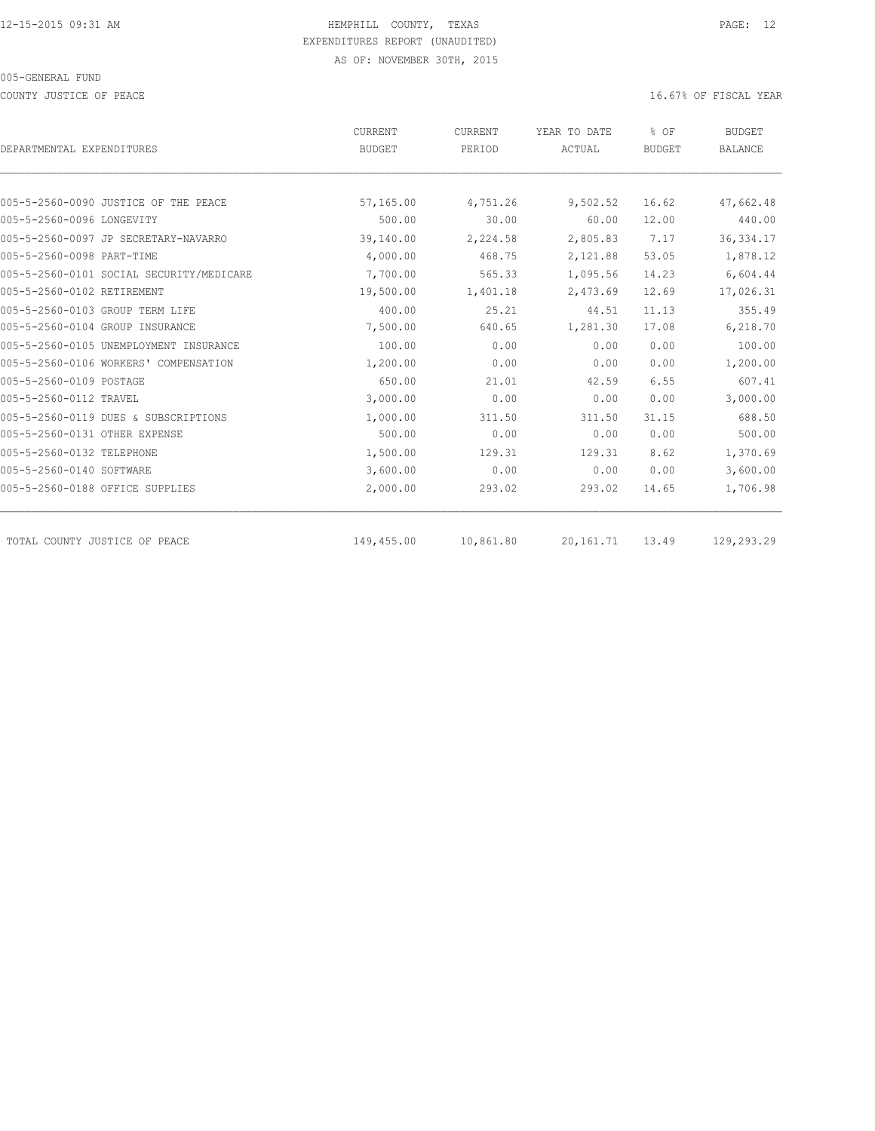COUNTY JUSTICE OF PEACE **16.67%** OF FISCAL YEAR

| DEPARTMENTAL EXPENDITURES                | CURRENT<br><b>BUDGET</b> | CURRENT<br>PERIOD | YEAR TO DATE<br>ACTUAL | % OF<br><b>BUDGET</b> | <b>BUDGET</b><br><b>BALANCE</b> |
|------------------------------------------|--------------------------|-------------------|------------------------|-----------------------|---------------------------------|
|                                          |                          |                   |                        |                       |                                 |
| 005-5-2560-0090 JUSTICE OF THE PEACE     | 57,165.00                | 4,751.26          | 9,502.52               | 16.62                 | 47,662.48                       |
| 005-5-2560-0096 LONGEVITY                | 500.00                   | 30.00             | 60.00                  | 12.00                 | 440.00                          |
| 005-5-2560-0097 JP SECRETARY-NAVARRO     | 39,140.00                | 2,224.58          | 2,805.83               | 7.17                  | 36, 334.17                      |
| 005-5-2560-0098 PART-TIME                | 4,000.00                 | 468.75            | 2,121.88               | 53.05                 | 1,878.12                        |
| 005-5-2560-0101 SOCIAL SECURITY/MEDICARE | 7,700.00                 | 565.33            | 1,095.56               | 14.23                 | 6,604.44                        |
| 005-5-2560-0102 RETIREMENT               | 19,500.00                | 1,401.18          | 2,473.69               | 12.69                 | 17,026.31                       |
| 005-5-2560-0103 GROUP TERM LIFE          | 400.00                   | 25.21             | 44.51                  | 11.13                 | 355.49                          |
| 005-5-2560-0104 GROUP INSURANCE          | 7,500.00                 | 640.65            | 1,281.30               | 17.08                 | 6,218.70                        |
| 005-5-2560-0105 UNEMPLOYMENT INSURANCE   | 100.00                   | 0.00              | 0.00                   | 0.00                  | 100.00                          |
| 005-5-2560-0106 WORKERS' COMPENSATION    | 1,200.00                 | 0.00              | 0.00                   | 0.00                  | 1,200.00                        |
| 005-5-2560-0109 POSTAGE                  | 650.00                   | 21.01             | 42.59                  | 6.55                  | 607.41                          |
| 005-5-2560-0112 TRAVEL                   | 3,000.00                 | 0.00              | 0.00                   | 0.00                  | 3,000.00                        |
| 005-5-2560-0119 DUES & SUBSCRIPTIONS     | 1,000.00                 | 311.50            | 311.50                 | 31.15                 | 688.50                          |
| 005-5-2560-0131 OTHER EXPENSE            | 500.00                   | 0.00              | 0.00                   | 0.00                  | 500.00                          |
| 005-5-2560-0132 TELEPHONE                | 1,500.00                 | 129.31            | 129.31                 | 8.62                  | 1,370.69                        |
| 005-5-2560-0140 SOFTWARE                 | 3,600.00                 | 0.00              | 0.00                   | 0.00                  | 3,600.00                        |
| 005-5-2560-0188 OFFICE SUPPLIES          | 2,000.00                 | 293.02            | 293.02                 | 14.65                 | 1,706.98                        |
| TOTAL COUNTY JUSTICE OF PEACE            | 149,455.00               | 10,861.80         | 20,161.71              | 13.49                 | 129,293.29                      |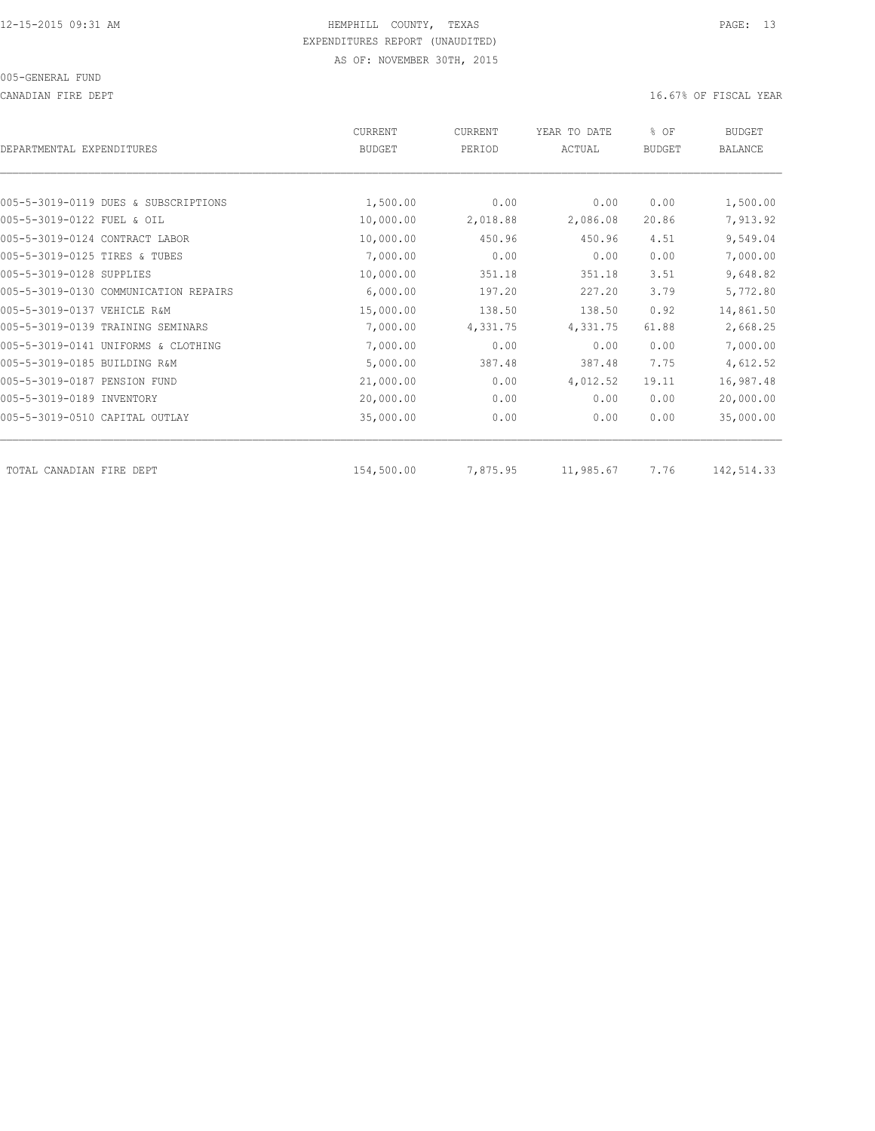CANADIAN FIRE DEPT **16.67%** OF FISCAL YEAR

| DEPARTMENTAL EXPENDITURES      |                                       | <b>CURRENT</b><br><b>BUDGET</b> | <b>CURRENT</b><br>PERIOD | YEAR TO DATE<br>ACTUAL | % OF<br><b>BUDGET</b> | <b>BUDGET</b><br><b>BALANCE</b> |
|--------------------------------|---------------------------------------|---------------------------------|--------------------------|------------------------|-----------------------|---------------------------------|
|                                |                                       |                                 |                          |                        |                       |                                 |
|                                | 005-5-3019-0119 DUES & SUBSCRIPTIONS  | 1,500.00                        | 0.00                     | 0.00                   | 0.00                  | 1,500.00                        |
| 005-5-3019-0122 FUEL & OIL     |                                       | 10,000.00                       | 2,018.88                 | 2,086.08               | 20.86                 | 7,913.92                        |
| 005-5-3019-0124 CONTRACT LABOR |                                       | 10,000.00                       | 450.96                   | 450.96                 | 4.51                  | 9,549.04                        |
| 005-5-3019-0125 TIRES & TUBES  |                                       | 7,000.00                        | 0.00                     | 0.00                   | 0.00                  | 7,000.00                        |
| 005-5-3019-0128 SUPPLIES       |                                       | 10,000.00                       | 351.18                   | 351.18                 | 3.51                  | 9,648.82                        |
|                                | 005-5-3019-0130 COMMUNICATION REPAIRS | 6,000.00                        | 197.20                   | 227.20                 | 3.79                  | 5,772.80                        |
| 005-5-3019-0137 VEHICLE R&M    |                                       | 15,000.00                       | 138.50                   | 138.50                 | 0.92                  | 14,861.50                       |
|                                | 005-5-3019-0139 TRAINING SEMINARS     | 7,000.00                        | 4,331.75                 | 4,331.75               | 61.88                 | 2,668.25                        |
|                                | 005-5-3019-0141 UNIFORMS & CLOTHING   | 7,000.00                        | 0.00                     | 0.00                   | 0.00                  | 7,000.00                        |
| 005-5-3019-0185 BUILDING R&M   |                                       | 5,000.00                        | 387.48                   | 387.48                 | 7.75                  | 4,612.52                        |
| 005-5-3019-0187 PENSION FUND   |                                       | 21,000.00                       | 0.00                     | 4,012.52               | 19.11                 | 16,987.48                       |
| 005-5-3019-0189 INVENTORY      |                                       | 20,000.00                       | 0.00                     | 0.00                   | 0.00                  | 20,000.00                       |
| 005-5-3019-0510 CAPITAL OUTLAY |                                       | 35,000.00                       | 0.00                     | 0.00                   | 0.00                  | 35,000.00                       |
| TOTAL CANADIAN FIRE DEPT       |                                       | 154,500.00                      | 7,875.95                 | 11,985.67              | 7.76                  | 142,514.33                      |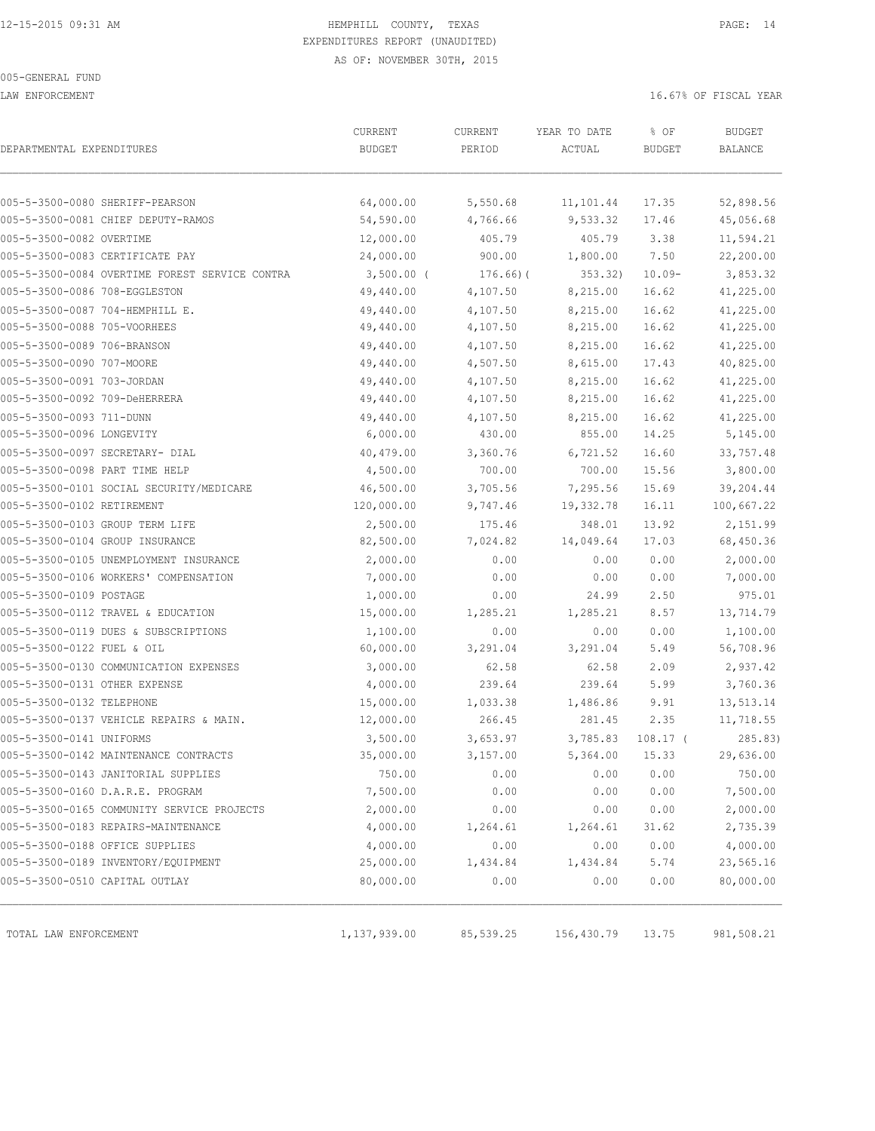LAW ENFORCEMENT **16.67%** OF FISCAL YEAR

| DEPARTMENTAL EXPENDITURES       |                                                | CURRENT<br><b>BUDGET</b> | CURRENT<br>PERIOD | YEAR TO DATE<br>ACTUAL | % OF<br><b>BUDGET</b> | <b>BUDGET</b><br>BALANCE |
|---------------------------------|------------------------------------------------|--------------------------|-------------------|------------------------|-----------------------|--------------------------|
|                                 |                                                |                          |                   |                        |                       |                          |
|                                 | 005-5-3500-0080 SHERIFF-PEARSON                | 64,000.00                | 5,550.68          | 11, 101.44             | 17.35                 | 52,898.56                |
|                                 | 005-5-3500-0081 CHIEF DEPUTY-RAMOS             | 54,590.00                | 4,766.66          | 9,533.32               | 17.46                 | 45,056.68                |
| 005-5-3500-0082 OVERTIME        |                                                | 12,000.00                | 405.79            | 405.79                 | 3.38                  | 11,594.21                |
|                                 | 005-5-3500-0083 CERTIFICATE PAY                | 24,000.00                | 900.00            | 1,800.00               | 7.50                  | 22,200.00                |
|                                 | 005-5-3500-0084 OVERTIME FOREST SERVICE CONTRA | $3,500.00$ (             | 176.66)(          | 353.32)                | $10.09 -$             | 3,853.32                 |
| 005-5-3500-0086 708-EGGLESTON   |                                                | 49,440.00                | 4,107.50          | 8,215.00               | 16.62                 | 41,225.00                |
| 005-5-3500-0087 704-HEMPHILL E. |                                                | 49,440.00                | 4,107.50          | 8,215.00               | 16.62                 | 41,225.00                |
| 005-5-3500-0088 705-VOORHEES    |                                                | 49,440.00                | 4,107.50          | 8,215.00               | 16.62                 | 41,225.00                |
| 005-5-3500-0089 706-BRANSON     |                                                | 49,440.00                | 4,107.50          | 8,215.00               | 16.62                 | 41,225.00                |
| 005-5-3500-0090 707-MOORE       |                                                | 49,440.00                | 4,507.50          | 8,615.00               | 17.43                 | 40,825.00                |
| 005-5-3500-0091 703-JORDAN      |                                                | 49,440.00                | 4,107.50          | 8,215.00               | 16.62                 | 41,225.00                |
| 005-5-3500-0092 709-DeHERRERA   |                                                | 49,440.00                | 4,107.50          | 8,215.00               | 16.62                 | 41,225.00                |
| 005-5-3500-0093 711-DUNN        |                                                | 49,440.00                | 4,107.50          | 8,215.00               | 16.62                 | 41,225.00                |
| 005-5-3500-0096 LONGEVITY       |                                                | 6,000.00                 | 430.00            | 855.00                 | 14.25                 | 5,145.00                 |
|                                 | 005-5-3500-0097 SECRETARY- DIAL                | 40,479.00                | 3,360.76          | 6,721.52               | 16.60                 | 33,757.48                |
| 005-5-3500-0098 PART TIME HELP  |                                                | 4,500.00                 | 700.00            | 700.00                 | 15.56                 | 3,800.00                 |
|                                 | 005-5-3500-0101 SOCIAL SECURITY/MEDICARE       | 46,500.00                | 3,705.56          | 7,295.56               | 15.69                 | 39,204.44                |
| 005-5-3500-0102 RETIREMENT      |                                                | 120,000.00               | 9,747.46          | 19,332.78              | 16.11                 | 100,667.22               |
|                                 | 005-5-3500-0103 GROUP TERM LIFE                | 2,500.00                 | 175.46            | 348.01                 | 13.92                 | 2,151.99                 |
|                                 | 005-5-3500-0104 GROUP INSURANCE                | 82,500.00                | 7,024.82          | 14,049.64              | 17.03                 | 68,450.36                |
|                                 | 005-5-3500-0105 UNEMPLOYMENT INSURANCE         | 2,000.00                 | 0.00              | 0.00                   | 0.00                  | 2,000.00                 |
|                                 | 005-5-3500-0106 WORKERS' COMPENSATION          | 7,000.00                 | 0.00              | 0.00                   | 0.00                  | 7,000.00                 |
| 005-5-3500-0109 POSTAGE         |                                                | 1,000.00                 | 0.00              | 24.99                  | 2.50                  | 975.01                   |
|                                 | 005-5-3500-0112 TRAVEL & EDUCATION             | 15,000.00                | 1,285.21          | 1,285.21               | 8.57                  | 13,714.79                |
|                                 | 005-5-3500-0119 DUES & SUBSCRIPTIONS           | 1,100.00                 | 0.00              | 0.00                   | 0.00                  | 1,100.00                 |
| 005-5-3500-0122 FUEL & OIL      |                                                | 60,000.00                | 3,291.04          | 3,291.04               | 5.49                  | 56,708.96                |
|                                 | 005-5-3500-0130 COMMUNICATION EXPENSES         | 3,000.00                 | 62.58             | 62.58                  | 2.09                  | 2,937.42                 |
| 005-5-3500-0131 OTHER EXPENSE   |                                                | 4,000.00                 | 239.64            | 239.64                 | 5.99                  | 3,760.36                 |
| 005-5-3500-0132 TELEPHONE       |                                                | 15,000.00                | 1,033.38          | 1,486.86               | 9.91                  | 13,513.14                |
|                                 | 005-5-3500-0137 VEHICLE REPAIRS & MAIN.        | 12,000.00                | 266.45            | 281.45                 | 2.35                  | 11,718.55                |
| 005-5-3500-0141 UNIFORMS        |                                                | 3,500.00                 | 3,653.97          | 3,785.83               | $108.17$ (            | 285.83)                  |
|                                 | 005-5-3500-0142 MAINTENANCE CONTRACTS          | 35,000.00                | 3,157.00          | 5,364.00               | 15.33                 | 29,636.00                |
|                                 | 005-5-3500-0143 JANITORIAL SUPPLIES            | 750.00                   | 0.00              | 0.00                   | 0.00                  | 750.00                   |
|                                 | 005-5-3500-0160 D.A.R.E. PROGRAM               | 7,500.00                 | 0.00              | 0.00                   | 0.00                  | 7,500.00                 |
|                                 | 005-5-3500-0165 COMMUNITY SERVICE PROJECTS     | 2,000.00                 | 0.00              | 0.00                   | 0.00                  | 2,000.00                 |
|                                 | 005-5-3500-0183 REPAIRS-MAINTENANCE            | 4,000.00                 | 1,264.61          | 1,264.61               | 31.62                 | 2,735.39                 |
|                                 | 005-5-3500-0188 OFFICE SUPPLIES                | 4,000.00                 | 0.00              | 0.00                   | 0.00                  | 4,000.00                 |
|                                 | 005-5-3500-0189 INVENTORY/EQUIPMENT            | 25,000.00                | 1,434.84          | 1,434.84               | 5.74                  | 23,565.16                |
| 005-5-3500-0510 CAPITAL OUTLAY  |                                                | 80,000.00                | 0.00              | 0.00                   | 0.00                  | 80,000.00                |
| TOTAL LAW ENFORCEMENT           |                                                | 1,137,939.00             | 85,539.25         | 156,430.79             | 13.75                 | 981,508.21               |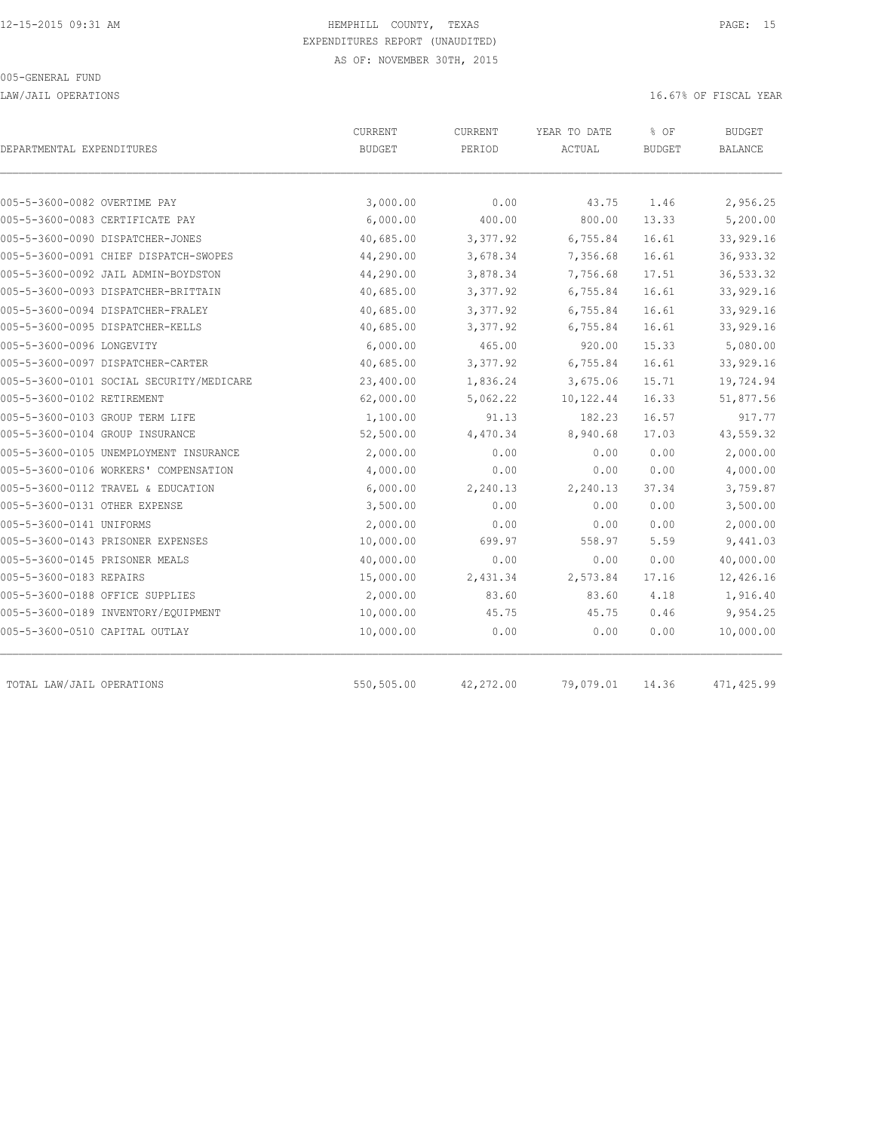LAW/JAIL OPERATIONS 16.67% OF FISCAL YEAR

| DEPARTMENTAL EXPENDITURES                | CURRENT<br><b>BUDGET</b> | CURRENT<br>PERIOD | YEAR TO DATE<br>ACTUAL | % OF<br><b>BUDGET</b> | <b>BUDGET</b><br><b>BALANCE</b> |
|------------------------------------------|--------------------------|-------------------|------------------------|-----------------------|---------------------------------|
|                                          |                          |                   |                        |                       |                                 |
| 005-5-3600-0082 OVERTIME PAY             | 3,000.00                 | 0.00              | 43.75                  | 1.46                  | 2,956.25                        |
| 005-5-3600-0083 CERTIFICATE PAY          | 6,000.00                 | 400.00            | 800.00                 | 13.33                 | 5,200.00                        |
| 005-5-3600-0090 DISPATCHER-JONES         | 40,685.00                | 3,377.92          | 6,755.84               | 16.61                 | 33,929.16                       |
| 005-5-3600-0091 CHIEF DISPATCH-SWOPES    | 44,290.00                | 3,678.34          | 7,356.68               | 16.61                 | 36, 933.32                      |
| 005-5-3600-0092 JAIL ADMIN-BOYDSTON      | 44,290.00                | 3,878.34          | 7,756.68               | 17.51                 | 36,533.32                       |
| 005-5-3600-0093 DISPATCHER-BRITTAIN      | 40,685.00                | 3,377.92          | 6,755.84               | 16.61                 | 33,929.16                       |
| 005-5-3600-0094 DISPATCHER-FRALEY        | 40,685.00                | 3,377.92          | 6,755.84               | 16.61                 | 33,929.16                       |
| 005-5-3600-0095 DISPATCHER-KELLS         | 40,685.00                | 3,377.92          | 6,755.84               | 16.61                 | 33,929.16                       |
| 005-5-3600-0096 LONGEVITY                | 6,000.00                 | 465.00            | 920.00                 | 15.33                 | 5,080.00                        |
| 005-5-3600-0097 DISPATCHER-CARTER        | 40,685.00                | 3,377.92          | 6,755.84               | 16.61                 | 33,929.16                       |
| 005-5-3600-0101 SOCIAL SECURITY/MEDICARE | 23,400.00                | 1,836.24          | 3,675.06               | 15.71                 | 19,724.94                       |
| 005-5-3600-0102 RETIREMENT               | 62,000.00                | 5,062.22          | 10,122.44              | 16.33                 | 51,877.56                       |
| 005-5-3600-0103 GROUP TERM LIFE          | 1,100.00                 | 91.13             | 182.23                 | 16.57                 | 917.77                          |
| 005-5-3600-0104 GROUP INSURANCE          | 52,500.00                | 4,470.34          | 8,940.68               | 17.03                 | 43,559.32                       |
| 005-5-3600-0105 UNEMPLOYMENT INSURANCE   | 2,000.00                 | 0.00              | 0.00                   | 0.00                  | 2,000.00                        |
| 005-5-3600-0106 WORKERS' COMPENSATION    | 4,000.00                 | 0.00              | 0.00                   | 0.00                  | 4,000.00                        |
| 005-5-3600-0112 TRAVEL & EDUCATION       | 6,000.00                 | 2,240.13          | 2,240.13               | 37.34                 | 3,759.87                        |
| 005-5-3600-0131 OTHER EXPENSE            | 3,500.00                 | 0.00              | 0.00                   | 0.00                  | 3,500.00                        |
| 005-5-3600-0141 UNIFORMS                 | 2,000.00                 | 0.00              | 0.00                   | 0.00                  | 2,000.00                        |
| 005-5-3600-0143 PRISONER EXPENSES        | 10,000.00                | 699.97            | 558.97                 | 5.59                  | 9,441.03                        |
| 005-5-3600-0145 PRISONER MEALS           | 40,000.00                | 0.00              | 0.00                   | 0.00                  | 40,000.00                       |
| 005-5-3600-0183 REPAIRS                  | 15,000.00                | 2,431.34          | 2,573.84               | 17.16                 | 12,426.16                       |
| 005-5-3600-0188 OFFICE SUPPLIES          | 2,000.00                 | 83.60             | 83.60                  | 4.18                  | 1,916.40                        |
| 005-5-3600-0189 INVENTORY/EQUIPMENT      | 10,000.00                | 45.75             | 45.75                  | 0.46                  | 9,954.25                        |
| 005-5-3600-0510 CAPITAL OUTLAY           | 10,000.00                | 0.00              | 0.00                   | 0.00                  | 10,000.00                       |
| TOTAL LAW/JAIL OPERATIONS                | 550,505.00               | 42,272.00         | 79,079.01              | 14.36                 | 471, 425.99                     |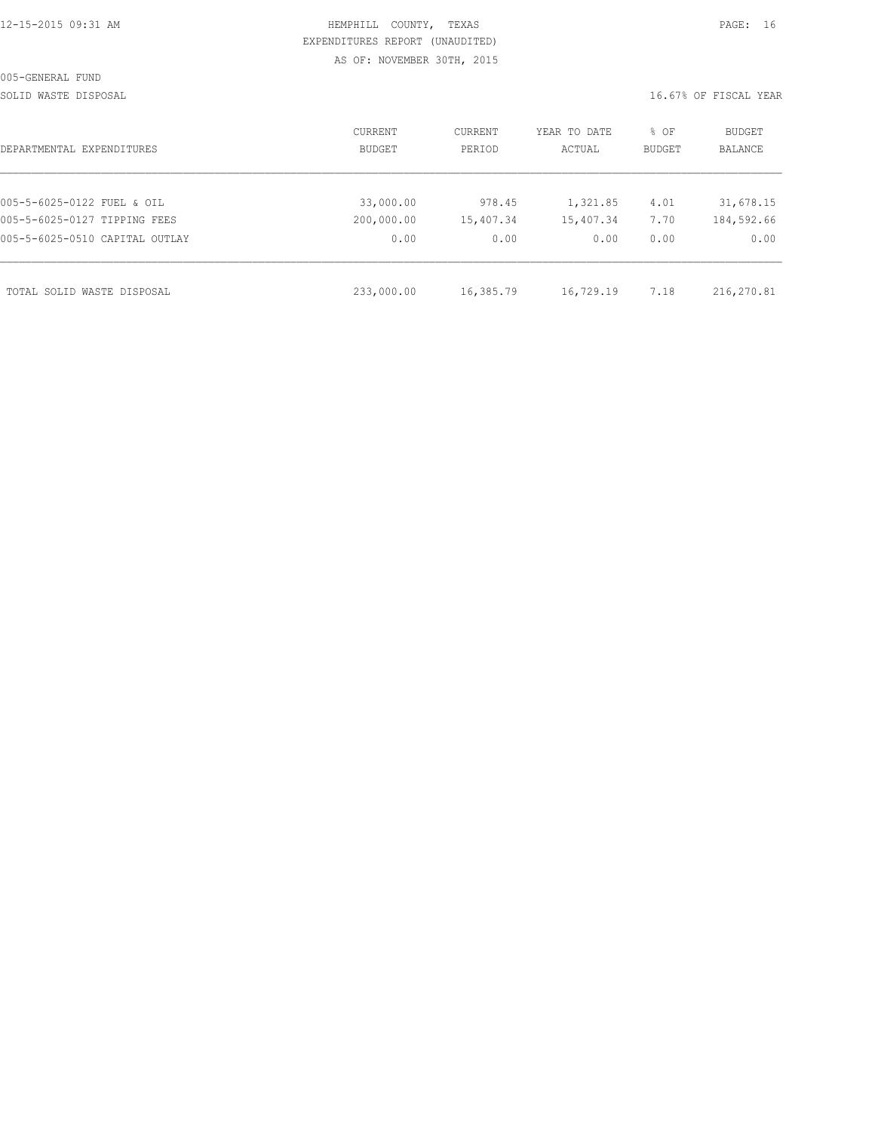|  | 12-15-2015 09:31 AM |  |  |
|--|---------------------|--|--|
|  |                     |  |  |

#### HEMPHILL COUNTY, TEXAS **PAGE:** 16 EXPENDITURES REPORT (UNAUDITED) AS OF: NOVEMBER 30TH, 2015

SOLID WASTE DISPOSAL SOLID WASTE SERVER THE SOLID WASTER THE SOLID WASTER THE SOLID WASTER SERVER.

| DEPARTMENTAL EXPENDITURES      | CURRENT<br><b>BUDGET</b> | CURRENT<br>PERIOD | YEAR TO DATE<br>ACTUAL | % OF<br><b>BUDGET</b> | <b>BUDGET</b><br>BALANCE |
|--------------------------------|--------------------------|-------------------|------------------------|-----------------------|--------------------------|
| 005-5-6025-0122 FUEL & OIL     | 33,000.00                | 978.45            | 1,321.85               | 4.01                  | 31,678.15                |
| 005-5-6025-0127 TIPPING FEES   | 200,000.00               | 15,407.34         | 15,407.34              | 7.70                  | 184,592.66               |
| 005-5-6025-0510 CAPITAL OUTLAY | 0.00                     | 0.00              | 0.00                   | 0.00                  | 0.00                     |
| TOTAL SOLID WASTE DISPOSAL     | 233,000.00               | 16,385.79         | 16,729.19              | 7.18                  | 216,270.81               |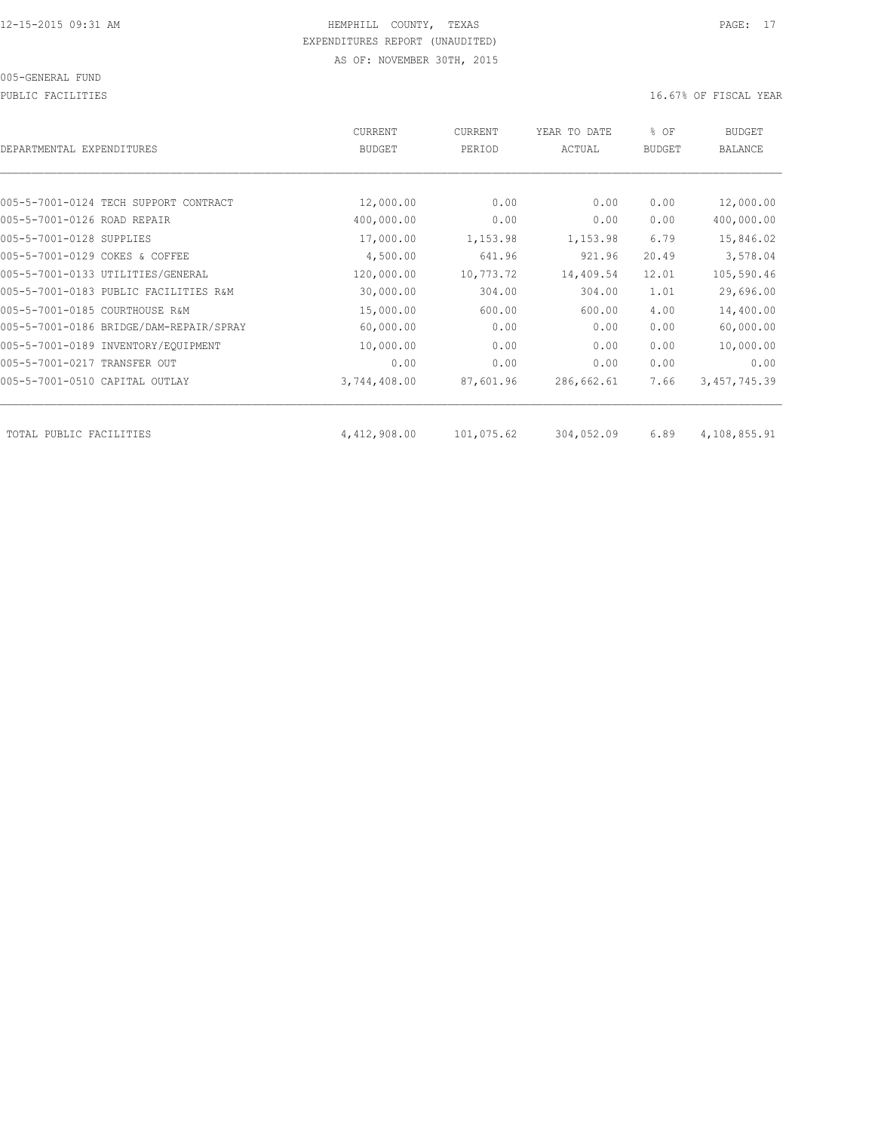PUBLIC FACILITIES **16.67%** OF FISCAL YEAR

| ACTUAL                  | % OF<br>YEAR TO DATE<br><b>BUDGET</b> | <b>BUDGET</b><br><b>BALANCE</b> |
|-------------------------|---------------------------------------|---------------------------------|
|                         |                                       |                                 |
| 0.00<br>0.00            | 0.00                                  | 12,000.00                       |
| 0.00<br>0.00            | 0.00                                  | 400,000.00                      |
| 1,153.98<br>1,153.98    | 6.79                                  | 15,846.02                       |
| 921.96<br>641.96        | 20.49                                 | 3,578.04                        |
| 10,773.72<br>14,409.54  | 12.01                                 | 105,590.46                      |
| 304.00<br>304.00        | 1.01                                  | 29,696.00                       |
| 600.00<br>600.00        | 4.00                                  | 14,400.00                       |
| 0.00<br>0.00            | 0.00                                  | 60,000.00                       |
| 0.00<br>0.00            | 0.00                                  | 10,000.00                       |
| 0.00<br>0.00            | 0.00                                  | 0.00                            |
| 87,601.96<br>286,662.61 | 7.66                                  | 3,457,745.39                    |
|                         |                                       | 4,108,855.91                    |
|                         | 101,075.62                            | 6.89<br>304,052.09              |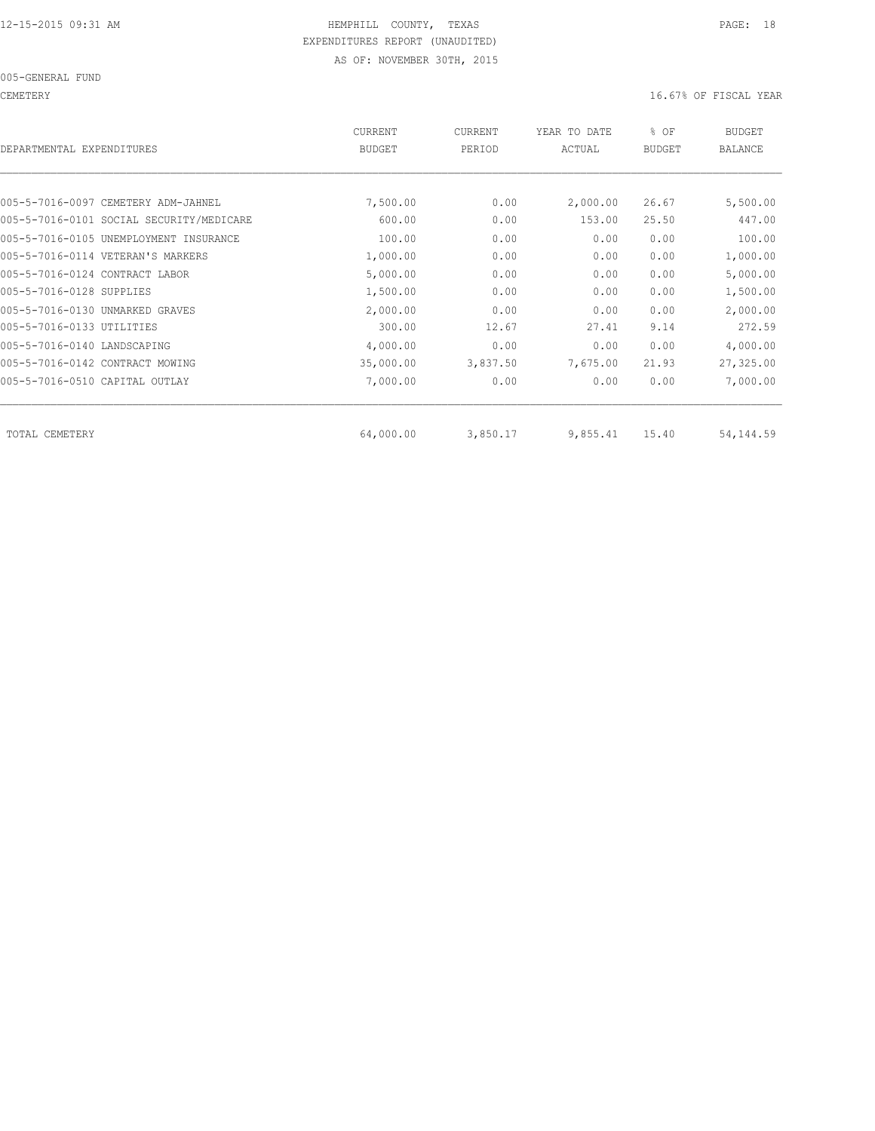CEMETERY 16.67% OF FISCAL YEAR

| DEPARTMENTAL EXPENDITURES                | CURRENT<br><b>BUDGET</b> | CURRENT<br>PERIOD | YEAR TO DATE<br>ACTUAL | % OF<br><b>BUDGET</b> | <b>BUDGET</b><br><b>BALANCE</b> |
|------------------------------------------|--------------------------|-------------------|------------------------|-----------------------|---------------------------------|
|                                          |                          |                   |                        |                       |                                 |
| 005-5-7016-0097 CEMETERY ADM-JAHNEL      | 7,500.00                 | 0.00              | 2,000.00               | 26.67                 | 5,500.00                        |
| 005-5-7016-0101 SOCIAL SECURITY/MEDICARE | 600.00                   | 0.00              | 153.00                 | 25.50                 | 447.00                          |
| 005-5-7016-0105 UNEMPLOYMENT INSURANCE   | 100.00                   | 0.00              | 0.00                   | 0.00                  | 100.00                          |
| 005-5-7016-0114 VETERAN'S MARKERS        | 1,000.00                 | 0.00              | 0.00                   | 0.00                  | 1,000.00                        |
| 005-5-7016-0124 CONTRACT LABOR           | 5,000.00                 | 0.00              | 0.00                   | 0.00                  | 5,000.00                        |
| 005-5-7016-0128 SUPPLIES                 | 1,500.00                 | 0.00              | 0.00                   | 0.00                  | 1,500.00                        |
| 005-5-7016-0130 UNMARKED GRAVES          | 2,000.00                 | 0.00              | 0.00                   | 0.00                  | 2,000.00                        |
| 005-5-7016-0133 UTILITIES                | 300.00                   | 12.67             | 27.41                  | 9.14                  | 272.59                          |
| 005-5-7016-0140 LANDSCAPING              | 4,000.00                 | 0.00              | 0.00                   | 0.00                  | 4,000.00                        |
| 005-5-7016-0142 CONTRACT MOWING          | 35,000.00                | 3,837.50          | 7,675.00               | 21.93                 | 27,325.00                       |
| 005-5-7016-0510 CAPITAL OUTLAY           | 7,000.00                 | 0.00              | 0.00                   | 0.00                  | 7,000.00                        |
| TOTAL CEMETERY                           | 64,000.00                | 3,850.17          | 9,855.41               | 15.40                 | 54, 144.59                      |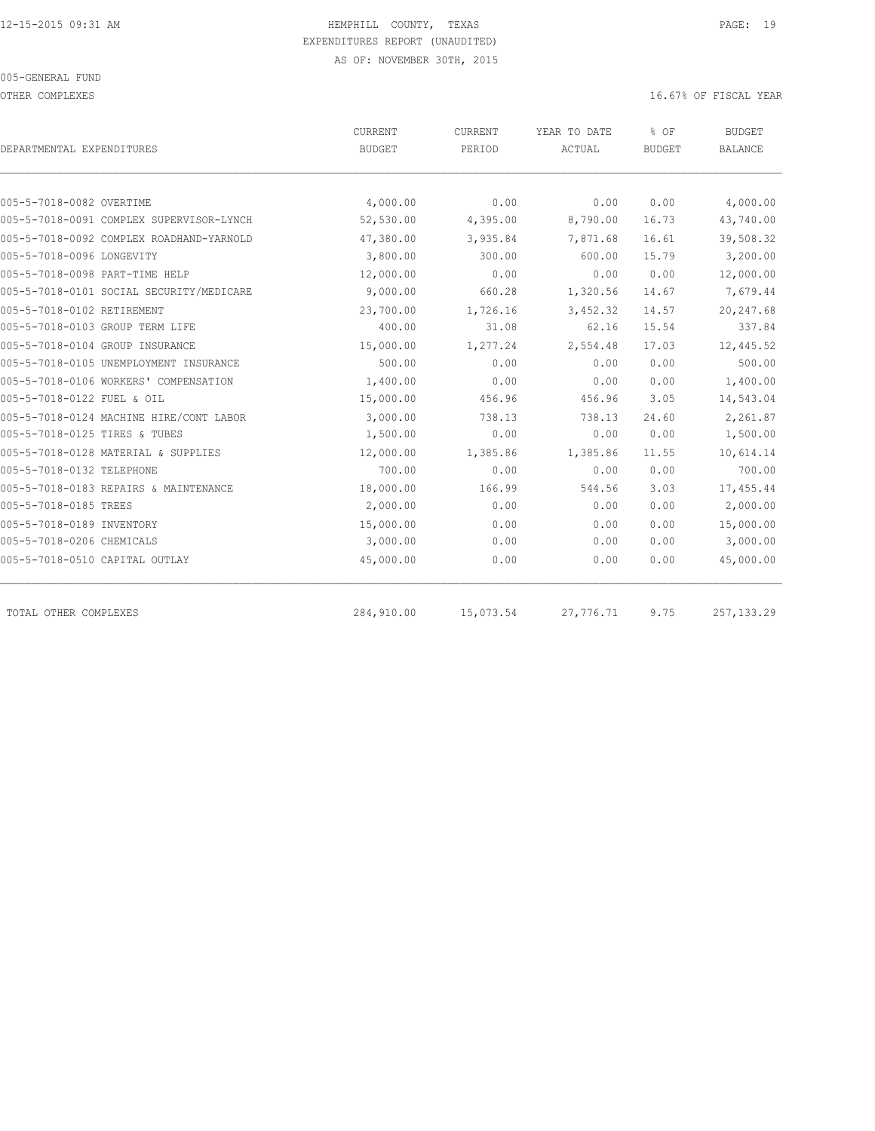OTHER COMPLEXES **OF SECONDITION**  $16.67$ % OF FISCAL YEAR

| DEPARTMENTAL EXPENDITURES                | CURRENT<br><b>BUDGET</b> | CURRENT<br>PERIOD | YEAR TO DATE<br>ACTUAL | % OF<br><b>BUDGET</b> | <b>BUDGET</b><br><b>BALANCE</b> |
|------------------------------------------|--------------------------|-------------------|------------------------|-----------------------|---------------------------------|
|                                          |                          |                   |                        |                       |                                 |
| 005-5-7018-0082 OVERTIME                 | 4,000.00                 | 0.00              | 0.00                   | 0.00                  | 4,000.00                        |
| 005-5-7018-0091 COMPLEX SUPERVISOR-LYNCH | 52,530.00                | 4,395.00          | 8,790.00               | 16.73                 | 43,740.00                       |
| 005-5-7018-0092 COMPLEX ROADHAND-YARNOLD | 47,380.00                | 3,935.84          | 7,871.68               | 16.61                 | 39,508.32                       |
| 005-5-7018-0096 LONGEVITY                | 3,800.00                 | 300.00            | 600.00                 | 15.79                 | 3,200.00                        |
| 005-5-7018-0098 PART-TIME HELP           | 12,000.00                | 0.00              | 0.00                   | 0.00                  | 12,000.00                       |
| 005-5-7018-0101 SOCIAL SECURITY/MEDICARE | 9,000.00                 | 660.28            | 1,320.56               | 14.67                 | 7,679.44                        |
| 005-5-7018-0102 RETIREMENT               | 23,700.00                | 1,726.16          | 3,452.32               | 14.57                 | 20,247.68                       |
| 005-5-7018-0103 GROUP TERM LIFE          | 400.00                   | 31.08             | 62.16                  | 15.54                 | 337.84                          |
| 005-5-7018-0104 GROUP INSURANCE          | 15,000.00                | 1,277.24          | 2,554.48               | 17.03                 | 12,445.52                       |
| 005-5-7018-0105 UNEMPLOYMENT INSURANCE   | 500.00                   | 0.00              | 0.00                   | 0.00                  | 500.00                          |
| 005-5-7018-0106 WORKERS' COMPENSATION    | 1,400.00                 | 0.00              | 0.00                   | 0.00                  | 1,400.00                        |
| 005-5-7018-0122 FUEL & OIL               | 15,000.00                | 456.96            | 456.96                 | 3.05                  | 14,543.04                       |
| 005-5-7018-0124 MACHINE HIRE/CONT LABOR  | 3,000.00                 | 738.13            | 738.13                 | 24.60                 | 2,261.87                        |
| 005-5-7018-0125 TIRES & TUBES            | 1,500.00                 | 0.00              | 0.00                   | 0.00                  | 1,500.00                        |
| 005-5-7018-0128 MATERIAL & SUPPLIES      | 12,000.00                | 1,385.86          | 1,385.86               | 11.55                 | 10,614.14                       |
| 005-5-7018-0132 TELEPHONE                | 700.00                   | 0.00              | 0.00                   | 0.00                  | 700.00                          |
| 005-5-7018-0183 REPAIRS & MAINTENANCE    | 18,000.00                | 166.99            | 544.56                 | 3.03                  | 17,455.44                       |
| 005-5-7018-0185 TREES                    | 2,000.00                 | 0.00              | 0.00                   | 0.00                  | 2,000.00                        |
| 005-5-7018-0189 INVENTORY                | 15,000.00                | 0.00              | 0.00                   | 0.00                  | 15,000.00                       |
| 005-5-7018-0206 CHEMICALS                | 3,000.00                 | 0.00              | 0.00                   | 0.00                  | 3,000.00                        |
| 005-5-7018-0510 CAPITAL OUTLAY           | 45,000.00                | 0.00              | 0.00                   | 0.00                  | 45,000.00                       |
| TOTAL OTHER COMPLEXES                    | 284,910.00               | 15,073.54         | 27,776.71              | 9.75                  | 257, 133.29                     |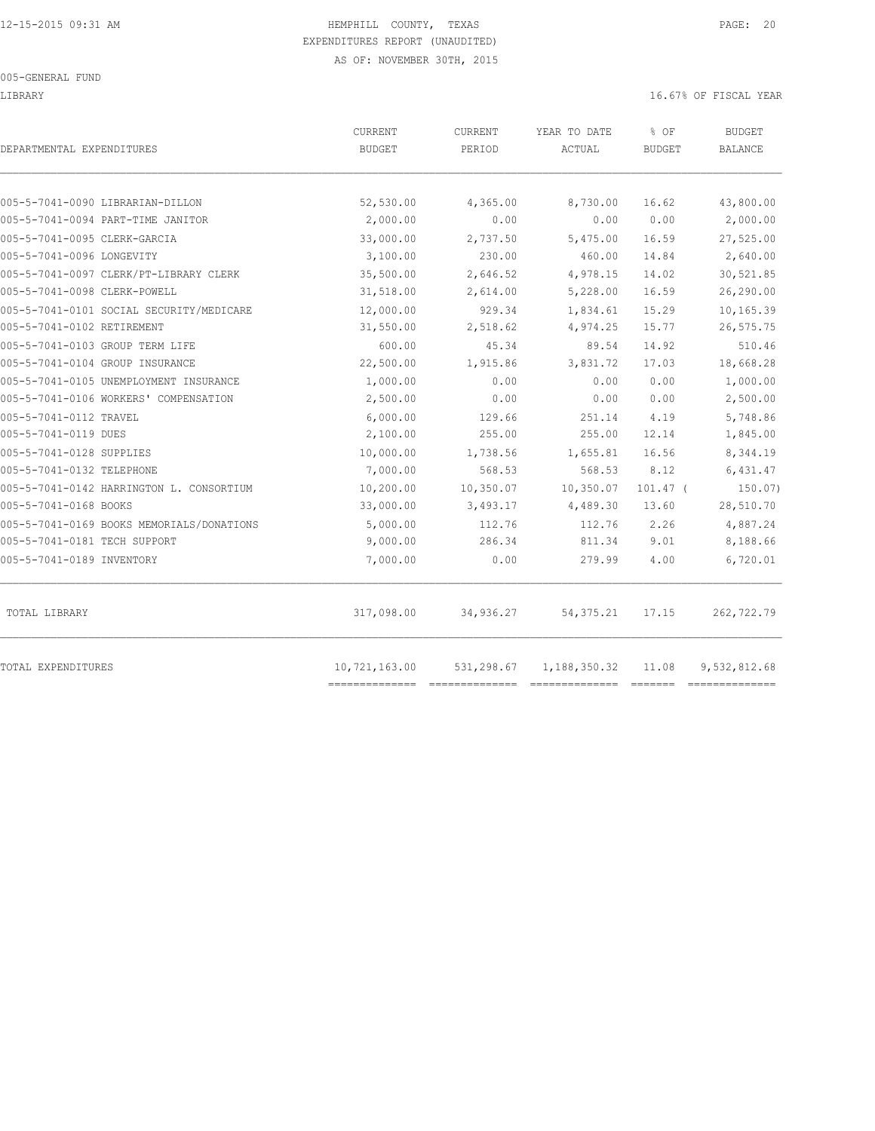#### 005-GENERAL FUND

#### LIBRARY 16.67% OF FISCAL YEAR

|                                           |               |            | ACTUAL       | <b>BUDGET</b> | <b>BALANCE</b> |
|-------------------------------------------|---------------|------------|--------------|---------------|----------------|
| 005-5-7041-0090 LIBRARIAN-DILLON          | 52,530.00     | 4,365.00   | 8,730.00     | 16.62         | 43,800.00      |
| 005-5-7041-0094 PART-TIME JANITOR         | 2,000.00      | 0.00       | 0.00         | 0.00          | 2,000.00       |
| 005-5-7041-0095 CLERK-GARCIA              | 33,000.00     | 2,737.50   | 5,475.00     | 16.59         | 27,525.00      |
| 005-5-7041-0096 LONGEVITY                 | 3,100.00      | 230.00     | 460.00       | 14.84         | 2,640.00       |
| 005-5-7041-0097 CLERK/PT-LIBRARY CLERK    | 35,500.00     | 2,646.52   | 4,978.15     | 14.02         | 30,521.85      |
| 005-5-7041-0098 CLERK-POWELL              | 31,518.00     | 2,614.00   | 5,228.00     | 16.59         | 26,290.00      |
| 005-5-7041-0101 SOCIAL SECURITY/MEDICARE  | 12,000.00     | 929.34     | 1,834.61     | 15.29         | 10,165.39      |
| 005-5-7041-0102 RETIREMENT                | 31,550.00     | 2,518.62   | 4,974.25     | 15.77         | 26,575.75      |
| 005-5-7041-0103 GROUP TERM LIFE           | 600.00        | 45.34      | 89.54        | 14.92         | 510.46         |
| 005-5-7041-0104 GROUP INSURANCE           | 22,500.00     | 1,915.86   | 3,831.72     | 17.03         | 18,668.28      |
| 005-5-7041-0105 UNEMPLOYMENT INSURANCE    | 1,000.00      | 0.00       | 0.00         | 0.00          | 1,000.00       |
| 005-5-7041-0106 WORKERS' COMPENSATION     | 2,500.00      | 0.00       | 0.00         | 0.00          | 2,500.00       |
| 005-5-7041-0112 TRAVEL                    | 6,000.00      | 129.66     | 251.14       | 4.19          | 5,748.86       |
| 005-5-7041-0119 DUES                      | 2,100.00      | 255.00     | 255.00       | 12.14         | 1,845.00       |
| 005-5-7041-0128 SUPPLIES                  | 10,000.00     | 1,738.56   | 1,655.81     | 16.56         | 8,344.19       |
| 005-5-7041-0132 TELEPHONE                 | 7,000.00      | 568.53     | 568.53       | 8.12          | 6,431.47       |
| 005-5-7041-0142 HARRINGTON L. CONSORTIUM  | 10,200.00     | 10,350.07  | 10,350.07    | $101.47$ (    | 150.07         |
| 005-5-7041-0168 BOOKS                     | 33,000.00     | 3,493.17   | 4,489.30     | 13.60         | 28,510.70      |
| 005-5-7041-0169 BOOKS MEMORIALS/DONATIONS | 5,000.00      | 112.76     | 112.76       | 2.26          | 4,887.24       |
| 005-5-7041-0181 TECH SUPPORT              | 9,000.00      | 286.34     | 811.34       | 9.01          | 8,188.66       |
| 005-5-7041-0189 INVENTORY                 | 7,000.00      | 0.00       | 279.99       | 4.00          | 6,720.01       |
| TOTAL LIBRARY                             | 317,098.00    | 34,936.27  | 54, 375.21   | 17.15         | 262,722.79     |
| <b>TOTAL EXPENDITURES</b>                 | 10,721,163.00 | 531,298.67 | 1,188,350.32 | 11.08         | 9,532,812.68   |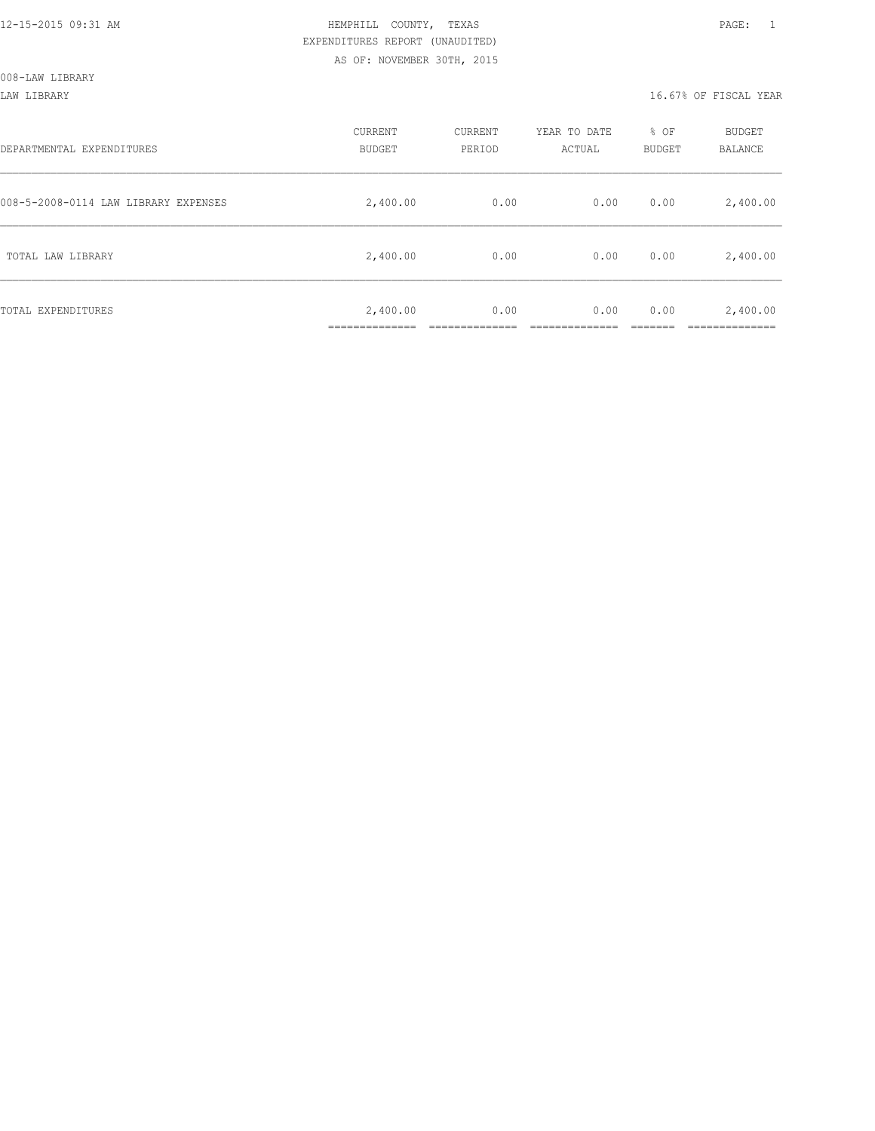#### LAW LIBRARY 16.67% OF FISCAL YEAR

| DEPARTMENTAL EXPENDITURES            | CURRENT<br><b>BUDGET</b> | CURRENT<br>PERIOD | YEAR TO DATE<br>ACTUAL | % OF<br>BUDGET | BUDGET<br>BALANCE      |
|--------------------------------------|--------------------------|-------------------|------------------------|----------------|------------------------|
| 008-5-2008-0114 LAW LIBRARY EXPENSES | 2,400.00                 | 0.00              | 0.00                   | 0.00           | 2,400.00               |
| TOTAL LAW LIBRARY                    | 2,400.00                 | 0.00              | 0.00                   | 0.00           | 2,400.00               |
| TOTAL EXPENDITURES                   | 2,400.00<br>____________ | 0.00              | 0.00                   | 0.00           | 2,400.00<br>__________ |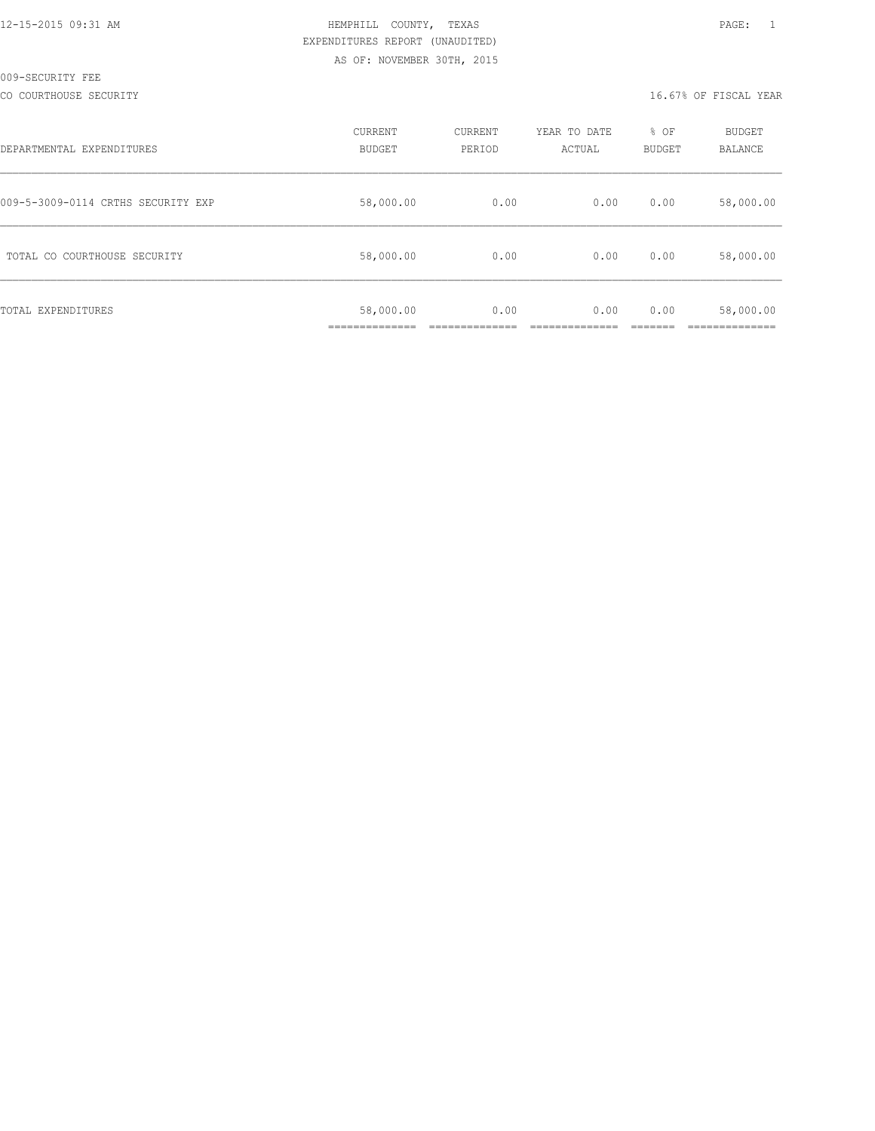CO COURTHOUSE SECURITY 16.67% OF FISCAL YEAR

| DEPARTMENTAL EXPENDITURES          | CURRENT<br>BUDGET          | <b>CURRENT</b><br>PERIOD | YEAR TO DATE<br>ACTUAL | % OF<br>BUDGET | <b>BUDGET</b><br>BALANCE               |
|------------------------------------|----------------------------|--------------------------|------------------------|----------------|----------------------------------------|
| 009-5-3009-0114 CRTHS SECURITY EXP | 58,000.00                  | 0.00                     | 0.00                   | 0.00           | 58,000.00                              |
| TOTAL CO COURTHOUSE SECURITY       | 58,000.00                  | 0.00                     | 0.00                   | 0.00           | 58,000.00                              |
| TOTAL EXPENDITURES                 | 58,000.00<br>_____________ | 0.00                     | 0.00                   | 0.00           | 58,000.00<br>. _ _ _ _ _ _ _ _ _ _ _ _ |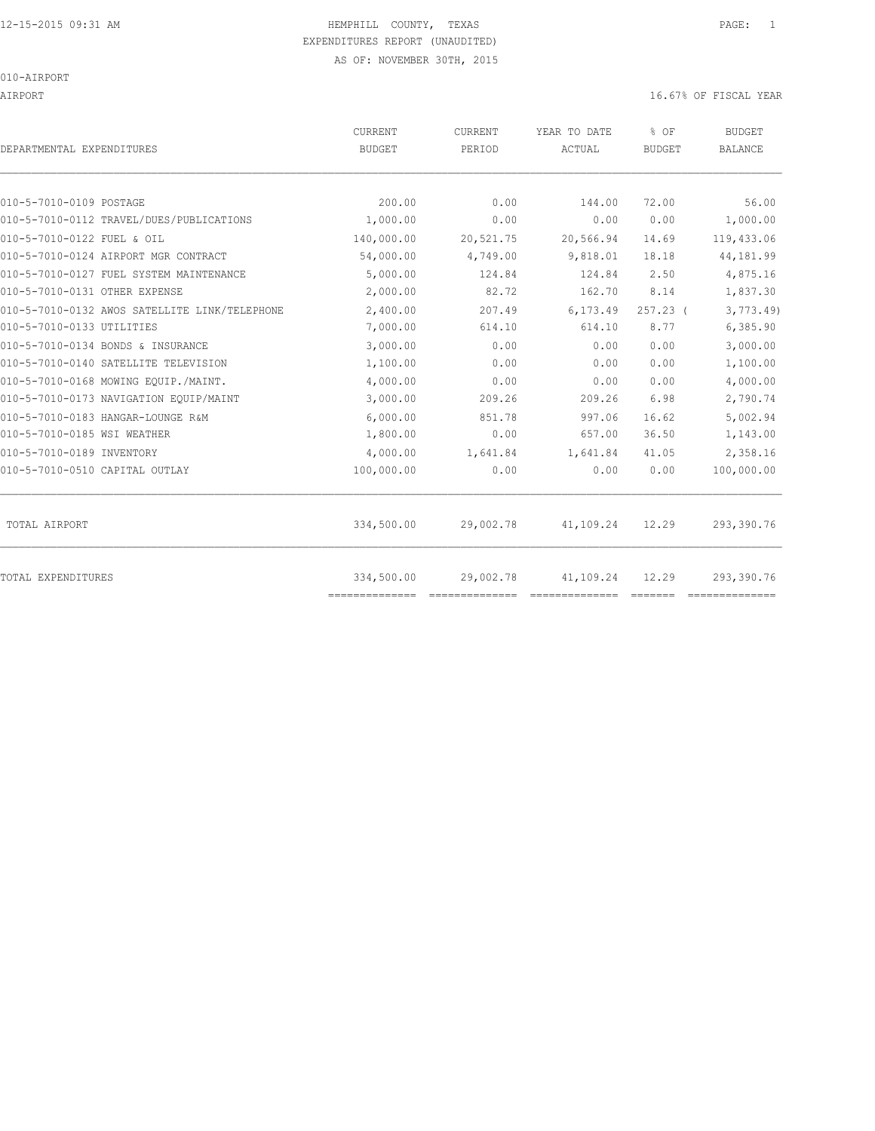010-AIRPORT

AIRPORT 16.67% OF FISCAL YEAR

| DEPARTMENTAL EXPENDITURES                     | CURRENT<br><b>BUDGET</b> | <b>CURRENT</b><br>PERIOD | YEAR TO DATE<br>ACTUAL | % OF<br><b>BUDGET</b> | <b>BUDGET</b><br><b>BALANCE</b> |
|-----------------------------------------------|--------------------------|--------------------------|------------------------|-----------------------|---------------------------------|
|                                               |                          |                          |                        |                       |                                 |
| 010-5-7010-0109 POSTAGE                       | 200.00                   | 0.00                     | 144.00                 | 72.00                 | 56.00                           |
| 010-5-7010-0112 TRAVEL/DUES/PUBLICATIONS      | 1,000.00                 | 0.00                     | 0.00                   | 0.00                  | 1,000.00                        |
| 010-5-7010-0122 FUEL & OIL                    | 140,000.00               | 20,521.75                | 20,566.94              | 14.69                 | 119,433.06                      |
| 010-5-7010-0124 AIRPORT MGR CONTRACT          | 54,000.00                | 4,749.00                 | 9,818.01               | 18.18                 | 44, 181.99                      |
| 010-5-7010-0127 FUEL SYSTEM MAINTENANCE       | 5,000.00                 | 124.84                   | 124.84                 | 2.50                  | 4,875.16                        |
| 010-5-7010-0131 OTHER EXPENSE                 | 2,000.00                 | 82.72                    | 162.70                 | 8.14                  | 1,837.30                        |
| 010-5-7010-0132 AWOS SATELLITE LINK/TELEPHONE | 2,400.00                 | 207.49                   | 6,173.49               | $257.23$ (            | 3,773.49                        |
| 010-5-7010-0133 UTILITIES                     | 7,000.00                 | 614.10                   | 614.10                 | 8.77                  | 6,385.90                        |
| 010-5-7010-0134 BONDS & INSURANCE             | 3,000.00                 | 0.00                     | 0.00                   | 0.00                  | 3,000.00                        |
| 010-5-7010-0140 SATELLITE TELEVISION          | 1,100.00                 | 0.00                     | 0.00                   | 0.00                  | 1,100.00                        |
| 010-5-7010-0168 MOWING EOUIP./MAINT.          | 4,000.00                 | 0.00                     | 0.00                   | 0.00                  | 4,000.00                        |
| 010-5-7010-0173 NAVIGATION EQUIP/MAINT        | 3,000.00                 | 209.26                   | 209.26                 | 6.98                  | 2,790.74                        |
| 010-5-7010-0183 HANGAR-LOUNGE R&M             | 6,000.00                 | 851.78                   | 997.06                 | 16.62                 | 5,002.94                        |
| 010-5-7010-0185 WSI WEATHER                   | 1,800.00                 | 0.00                     | 657.00                 | 36.50                 | 1,143.00                        |
| 010-5-7010-0189 INVENTORY                     | 4,000.00                 | 1,641.84                 | 1,641.84               | 41.05                 | 2,358.16                        |
| 010-5-7010-0510 CAPITAL OUTLAY                | 100,000.00               | 0.00                     | 0.00                   | 0.00                  | 100,000.00                      |
| TOTAL AIRPORT                                 | 334,500.00               | 29,002.78                | 41,109.24              | 12.29                 | 293,390.76                      |
| <b>TOTAL EXPENDITURES</b>                     | 334,500.00               | 29,002.78                | 41,109.24              | 12.29                 | 293,390.76                      |
|                                               | ==============           |                          |                        |                       |                                 |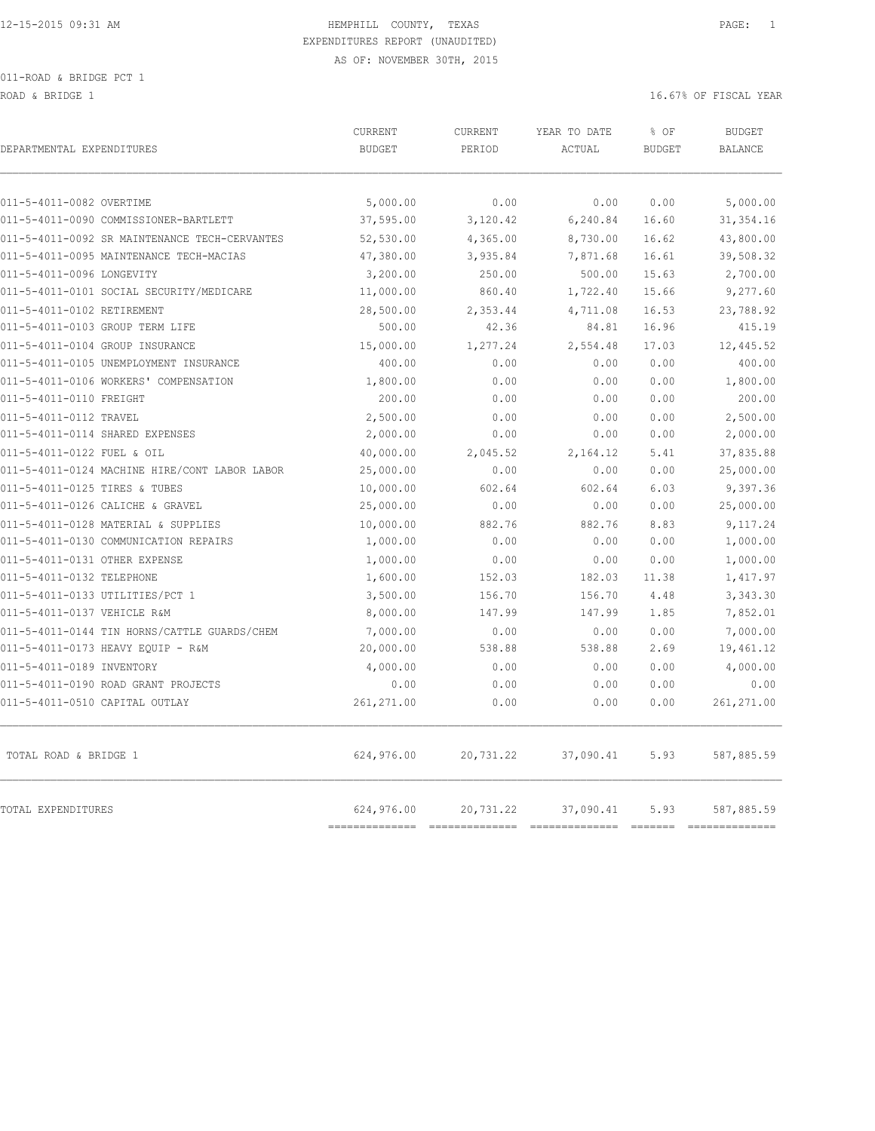ROAD & BRIDGE 1 16.67% OF FISCAL YEAR 16.67% OF FISCAL YEAR

| DEPARTMENTAL EXPENDITURES                     | CURRENT<br><b>BUDGET</b>  | CURRENT<br>PERIOD | YEAR TO DATE<br>ACTUAL      | % OF<br><b>BUDGET</b>  | <b>BUDGET</b><br><b>BALANCE</b> |
|-----------------------------------------------|---------------------------|-------------------|-----------------------------|------------------------|---------------------------------|
| 011-5-4011-0082 OVERTIME                      | 5,000.00                  | 0.00              | 0.00                        | 0.00                   | 5,000.00                        |
| 011-5-4011-0090 COMMISSIONER-BARTLETT         | 37,595.00                 | 3,120.42          | 6,240.84                    | 16.60                  | 31, 354.16                      |
| 011-5-4011-0092 SR MAINTENANCE TECH-CERVANTES | 52,530.00                 | 4,365.00          | 8,730.00                    | 16.62                  | 43,800.00                       |
| 011-5-4011-0095 MAINTENANCE TECH-MACIAS       | 47,380.00                 | 3,935.84          | 7,871.68                    | 16.61                  | 39,508.32                       |
| 011-5-4011-0096 LONGEVITY                     | 3,200.00                  | 250.00            | 500.00                      | 15.63                  | 2,700.00                        |
| 011-5-4011-0101 SOCIAL SECURITY/MEDICARE      | 11,000.00                 | 860.40            | 1,722.40                    | 15.66                  | 9,277.60                        |
| 011-5-4011-0102 RETIREMENT                    | 28,500.00                 | 2,353.44          | 4,711.08                    | 16.53                  | 23,788.92                       |
| 011-5-4011-0103 GROUP TERM LIFE               | 500.00                    | 42.36             | 84.81                       | 16.96                  | 415.19                          |
| 011-5-4011-0104 GROUP INSURANCE               | 15,000.00                 | 1,277.24          | 2,554.48                    | 17.03                  | 12,445.52                       |
| 011-5-4011-0105 UNEMPLOYMENT INSURANCE        | 400.00                    | 0.00              | 0.00                        | 0.00                   | 400.00                          |
| 011-5-4011-0106 WORKERS' COMPENSATION         | 1,800.00                  | 0.00              | 0.00                        | 0.00                   | 1,800.00                        |
| 011-5-4011-0110 FREIGHT                       | 200.00                    | 0.00              | 0.00                        | 0.00                   | 200.00                          |
| 011-5-4011-0112 TRAVEL                        | 2,500.00                  | 0.00              | 0.00                        | 0.00                   | 2,500.00                        |
| 011-5-4011-0114 SHARED EXPENSES               | 2,000.00                  | 0.00              | 0.00                        | 0.00                   | 2,000.00                        |
| 011-5-4011-0122 FUEL & OIL                    | 40,000.00                 | 2,045.52          | 2,164.12                    | 5.41                   | 37,835.88                       |
| 011-5-4011-0124 MACHINE HIRE/CONT LABOR LABOR | 25,000.00                 | 0.00              | 0.00                        | 0.00                   | 25,000.00                       |
| 011-5-4011-0125 TIRES & TUBES                 | 10,000.00                 | 602.64            | 602.64                      | 6.03                   | 9,397.36                        |
| 011-5-4011-0126 CALICHE & GRAVEL              | 25,000.00                 | 0.00              | 0.00                        | 0.00                   | 25,000.00                       |
| 011-5-4011-0128 MATERIAL & SUPPLIES           | 10,000.00                 | 882.76            | 882.76                      | 8.83                   | 9,117.24                        |
| 011-5-4011-0130 COMMUNICATION REPAIRS         | 1,000.00                  | 0.00              | 0.00                        | 0.00                   | 1,000.00                        |
| 011-5-4011-0131 OTHER EXPENSE                 | 1,000.00                  | 0.00              | 0.00                        | 0.00                   | 1,000.00                        |
| 011-5-4011-0132 TELEPHONE                     | 1,600.00                  | 152.03            | 182.03                      | 11.38                  | 1,417.97                        |
| 011-5-4011-0133 UTILITIES/PCT 1               | 3,500.00                  | 156.70            | 156.70                      | 4.48                   | 3,343.30                        |
| 011-5-4011-0137 VEHICLE R&M                   | 8,000.00                  | 147.99            | 147.99                      | 1.85                   | 7,852.01                        |
| 011-5-4011-0144 TIN HORNS/CATTLE GUARDS/CHEM  | 7,000.00                  | 0.00              | 0.00                        | 0.00                   | 7,000.00                        |
| 011-5-4011-0173 HEAVY EQUIP - R&M             | 20,000.00                 | 538.88            | 538.88                      | 2.69                   | 19,461.12                       |
| 011-5-4011-0189 INVENTORY                     | 4,000.00                  | 0.00              | 0.00                        | 0.00                   | 4,000.00                        |
| 011-5-4011-0190 ROAD GRANT PROJECTS           | 0.00                      | 0.00              | 0.00                        | 0.00                   | 0.00                            |
| 011-5-4011-0510 CAPITAL OUTLAY                | 261,271.00                | 0.00              | 0.00                        | 0.00                   | 261,271.00                      |
| TOTAL ROAD & BRIDGE 1                         | 624,976.00                | 20,731.22         | 37,090.41                   | 5.93                   | 587,885.59                      |
| <b>TOTAL EXPENDITURES</b>                     | 624,976.00<br>----------- | 20,731.22         | 37,090.41<br>============== | 5.93<br><b>ERRESTE</b> | 587,885.59<br>=========         |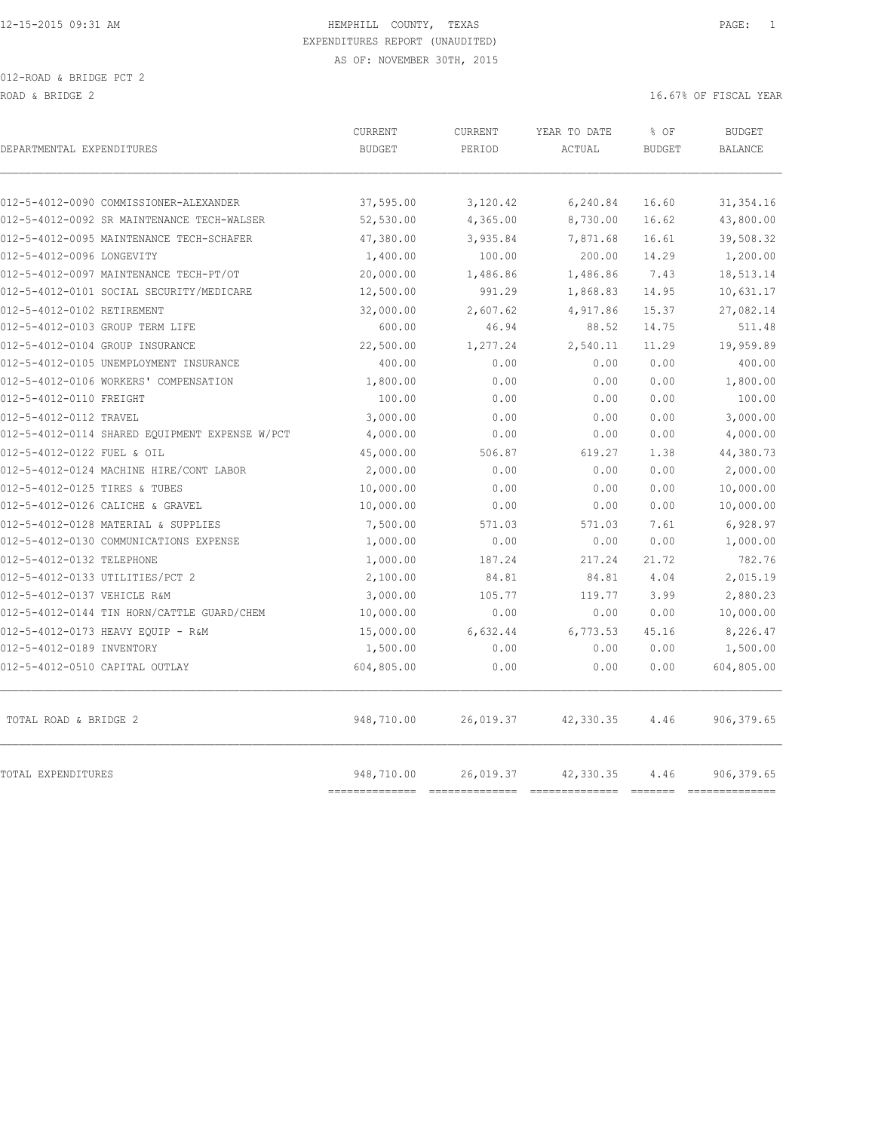| DEPARTMENTAL EXPENDITURES                      | <b>CURRENT</b><br><b>BUDGET</b> | <b>CURRENT</b><br>PERIOD   | YEAR TO DATE<br>ACTUAL | % OF<br><b>BUDGET</b> | <b>BUDGET</b><br><b>BALANCE</b> |
|------------------------------------------------|---------------------------------|----------------------------|------------------------|-----------------------|---------------------------------|
|                                                |                                 |                            |                        |                       |                                 |
| 012-5-4012-0090 COMMISSIONER-ALEXANDER         | 37,595.00                       | 3,120.42                   | 6,240.84               | 16.60                 | 31, 354.16                      |
| 012-5-4012-0092 SR MAINTENANCE TECH-WALSER     | 52,530.00                       | 4,365.00                   | 8,730.00               | 16.62                 | 43,800.00                       |
| 012-5-4012-0095 MAINTENANCE TECH-SCHAFER       | 47,380.00                       | 3,935.84                   | 7,871.68               | 16.61                 | 39,508.32                       |
| 012-5-4012-0096 LONGEVITY                      | 1,400.00                        | 100.00                     | 200.00                 | 14.29                 | 1,200.00                        |
| 012-5-4012-0097 MAINTENANCE TECH-PT/OT         | 20,000.00                       | 1,486.86                   | 1,486.86               | 7.43                  | 18,513.14                       |
| 012-5-4012-0101 SOCIAL SECURITY/MEDICARE       | 12,500.00                       | 991.29                     | 1,868.83               | 14.95                 | 10,631.17                       |
| 012-5-4012-0102 RETIREMENT                     | 32,000.00                       | 2,607.62                   | 4,917.86               | 15.37                 | 27,082.14                       |
| 012-5-4012-0103 GROUP TERM LIFE                | 600.00                          | 46.94                      | 88.52                  | 14.75                 | 511.48                          |
| 012-5-4012-0104 GROUP INSURANCE                | 22,500.00                       | 1,277.24                   | 2,540.11               | 11.29                 | 19,959.89                       |
| 012-5-4012-0105 UNEMPLOYMENT INSURANCE         | 400.00                          | 0.00                       | 0.00                   | 0.00                  | 400.00                          |
| 012-5-4012-0106 WORKERS' COMPENSATION          | 1,800.00                        | 0.00                       | 0.00                   | 0.00                  | 1,800.00                        |
| 012-5-4012-0110 FREIGHT                        | 100.00                          | 0.00                       | 0.00                   | 0.00                  | 100.00                          |
| 012-5-4012-0112 TRAVEL                         | 3,000.00                        | 0.00                       | 0.00                   | 0.00                  | 3,000.00                        |
| 012-5-4012-0114 SHARED EQUIPMENT EXPENSE W/PCT | 4,000.00                        | 0.00                       | 0.00                   | 0.00                  | 4,000.00                        |
| 012-5-4012-0122 FUEL & OIL                     | 45,000.00                       | 506.87                     | 619.27                 | 1.38                  | 44,380.73                       |
| 012-5-4012-0124 MACHINE HIRE/CONT LABOR        | 2,000.00                        | 0.00                       | 0.00                   | 0.00                  | 2,000.00                        |
| 012-5-4012-0125 TIRES & TUBES                  | 10,000.00                       | 0.00                       | 0.00                   | 0.00                  | 10,000.00                       |
| 012-5-4012-0126 CALICHE & GRAVEL               | 10,000.00                       | 0.00                       | 0.00                   | 0.00                  | 10,000.00                       |
| 012-5-4012-0128 MATERIAL & SUPPLIES            | 7,500.00                        | 571.03                     | 571.03                 | 7.61                  | 6,928.97                        |
| 012-5-4012-0130 COMMUNICATIONS EXPENSE         | 1,000.00                        | 0.00                       | 0.00                   | 0.00                  | 1,000.00                        |
| 012-5-4012-0132 TELEPHONE                      | 1,000.00                        | 187.24                     | 217.24                 | 21.72                 | 782.76                          |
| 012-5-4012-0133 UTILITIES/PCT 2                | 2,100.00                        | 84.81                      | 84.81                  | 4.04                  | 2,015.19                        |
| 012-5-4012-0137 VEHICLE R&M                    | 3,000.00                        | 105.77                     | 119.77                 | 3.99                  | 2,880.23                        |
| 012-5-4012-0144 TIN HORN/CATTLE GUARD/CHEM     | 10,000.00                       | 0.00                       | 0.00                   | 0.00                  | 10,000.00                       |
| 012-5-4012-0173 HEAVY EQUIP - R&M              | 15,000.00                       | 6,632.44                   | 6,773.53               | 45.16                 | 8,226.47                        |
| 012-5-4012-0189 INVENTORY                      | 1,500.00                        | 0.00                       | 0.00                   | 0.00                  | 1,500.00                        |
| 012-5-4012-0510 CAPITAL OUTLAY                 | 604,805.00                      | 0.00                       | 0.00                   | 0.00                  | 604,805.00                      |
| TOTAL ROAD & BRIDGE 2                          | 948,710.00                      | 26,019.37                  | 42,330.35              | 4.46                  | 906,379.65                      |
| TOTAL EXPENDITURES                             | 948,710.00<br>===========       | 26,019.37<br>------------- | 42,330.35              | 4.46                  | 906,379.65<br>-----------       |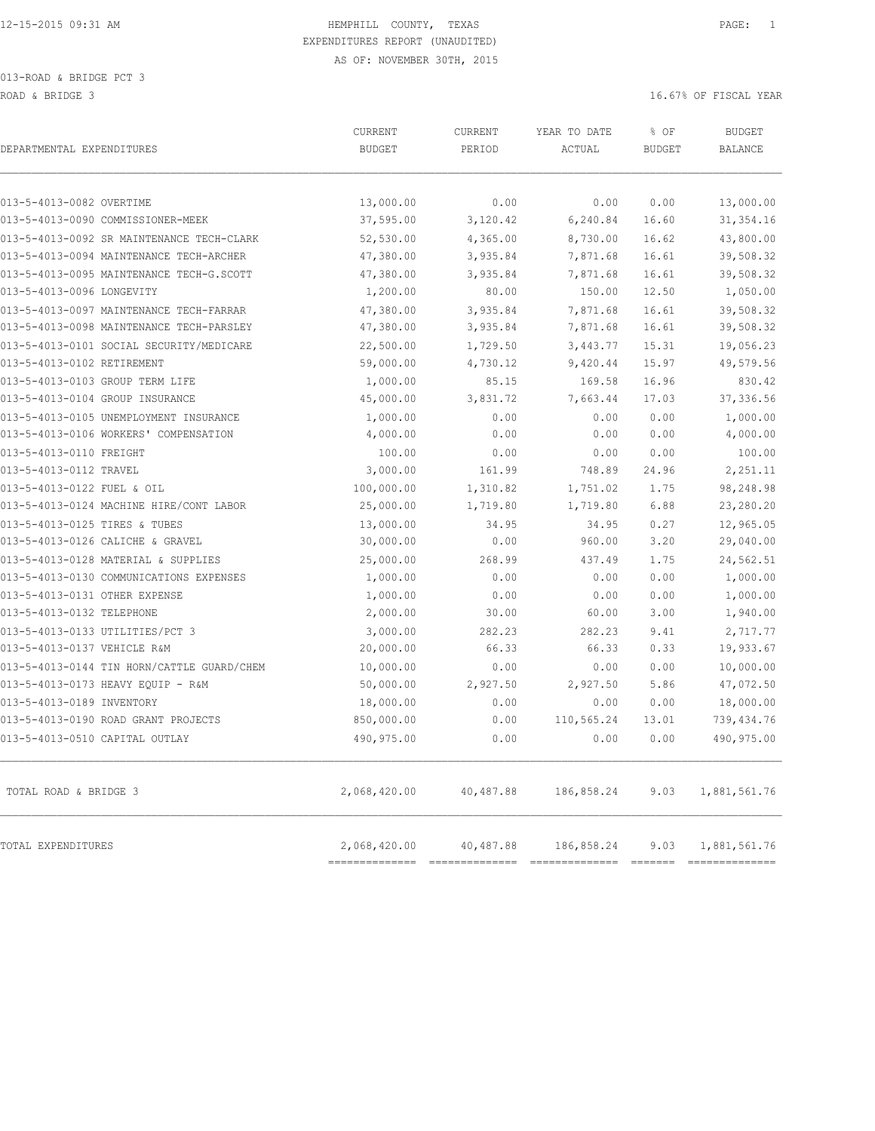| DEPARTMENTAL EXPENDITURES                  | CURRENT<br><b>BUDGET</b>       | <b>CURRENT</b><br>PERIOD    | YEAR TO DATE<br>ACTUAL                                                                                                                                                                                                                                                                                                                                                                                                                                                                               | % OF<br><b>BUDGET</b> | <b>BUDGET</b><br><b>BALANCE</b>                                                                                                                                                                                                                                                                                                                                                                                                                                                                        |
|--------------------------------------------|--------------------------------|-----------------------------|------------------------------------------------------------------------------------------------------------------------------------------------------------------------------------------------------------------------------------------------------------------------------------------------------------------------------------------------------------------------------------------------------------------------------------------------------------------------------------------------------|-----------------------|--------------------------------------------------------------------------------------------------------------------------------------------------------------------------------------------------------------------------------------------------------------------------------------------------------------------------------------------------------------------------------------------------------------------------------------------------------------------------------------------------------|
| 013-5-4013-0082 OVERTIME                   | 13,000.00                      | 0.00                        | 0.00                                                                                                                                                                                                                                                                                                                                                                                                                                                                                                 | 0.00                  | 13,000.00                                                                                                                                                                                                                                                                                                                                                                                                                                                                                              |
| 013-5-4013-0090 COMMISSIONER-MEEK          | 37,595.00                      | 3,120.42                    | 6,240.84                                                                                                                                                                                                                                                                                                                                                                                                                                                                                             | 16.60                 | 31, 354.16                                                                                                                                                                                                                                                                                                                                                                                                                                                                                             |
| 013-5-4013-0092 SR MAINTENANCE TECH-CLARK  | 52,530.00                      | 4,365.00                    | 8,730.00                                                                                                                                                                                                                                                                                                                                                                                                                                                                                             | 16.62                 | 43,800.00                                                                                                                                                                                                                                                                                                                                                                                                                                                                                              |
| 013-5-4013-0094 MAINTENANCE TECH-ARCHER    | 47,380.00                      | 3,935.84                    | 7,871.68                                                                                                                                                                                                                                                                                                                                                                                                                                                                                             | 16.61                 | 39,508.32                                                                                                                                                                                                                                                                                                                                                                                                                                                                                              |
| 013-5-4013-0095 MAINTENANCE TECH-G.SCOTT   | 47,380.00                      | 3,935.84                    | 7,871.68                                                                                                                                                                                                                                                                                                                                                                                                                                                                                             | 16.61                 | 39,508.32                                                                                                                                                                                                                                                                                                                                                                                                                                                                                              |
| 013-5-4013-0096 LONGEVITY                  | 1,200.00                       | 80.00                       | 150.00                                                                                                                                                                                                                                                                                                                                                                                                                                                                                               | 12.50                 | 1,050.00                                                                                                                                                                                                                                                                                                                                                                                                                                                                                               |
| 013-5-4013-0097 MAINTENANCE TECH-FARRAR    | 47,380.00                      | 3,935.84                    | 7,871.68                                                                                                                                                                                                                                                                                                                                                                                                                                                                                             | 16.61                 | 39,508.32                                                                                                                                                                                                                                                                                                                                                                                                                                                                                              |
| 013-5-4013-0098 MAINTENANCE TECH-PARSLEY   | 47,380.00                      | 3,935.84                    | 7,871.68                                                                                                                                                                                                                                                                                                                                                                                                                                                                                             | 16.61                 | 39,508.32                                                                                                                                                                                                                                                                                                                                                                                                                                                                                              |
| 013-5-4013-0101 SOCIAL SECURITY/MEDICARE   | 22,500.00                      | 1,729.50                    | 3,443.77                                                                                                                                                                                                                                                                                                                                                                                                                                                                                             | 15.31                 | 19,056.23                                                                                                                                                                                                                                                                                                                                                                                                                                                                                              |
| 013-5-4013-0102 RETIREMENT                 | 59,000.00                      | 4,730.12                    | 9,420.44                                                                                                                                                                                                                                                                                                                                                                                                                                                                                             | 15.97                 | 49,579.56                                                                                                                                                                                                                                                                                                                                                                                                                                                                                              |
| 013-5-4013-0103 GROUP TERM LIFE            | 1,000.00                       | 85.15                       | 169.58                                                                                                                                                                                                                                                                                                                                                                                                                                                                                               | 16.96                 | 830.42                                                                                                                                                                                                                                                                                                                                                                                                                                                                                                 |
| 013-5-4013-0104 GROUP INSURANCE            | 45,000.00                      | 3,831.72                    | 7,663.44                                                                                                                                                                                                                                                                                                                                                                                                                                                                                             | 17.03                 | 37, 336.56                                                                                                                                                                                                                                                                                                                                                                                                                                                                                             |
| 013-5-4013-0105 UNEMPLOYMENT INSURANCE     | 1,000.00                       | 0.00                        | 0.00                                                                                                                                                                                                                                                                                                                                                                                                                                                                                                 | 0.00                  | 1,000.00                                                                                                                                                                                                                                                                                                                                                                                                                                                                                               |
| 013-5-4013-0106 WORKERS' COMPENSATION      | 4,000.00                       | 0.00                        | 0.00                                                                                                                                                                                                                                                                                                                                                                                                                                                                                                 | 0.00                  | 4,000.00                                                                                                                                                                                                                                                                                                                                                                                                                                                                                               |
| 013-5-4013-0110 FREIGHT                    | 100.00                         | 0.00                        | 0.00                                                                                                                                                                                                                                                                                                                                                                                                                                                                                                 | 0.00                  | 100.00                                                                                                                                                                                                                                                                                                                                                                                                                                                                                                 |
| 013-5-4013-0112 TRAVEL                     | 3,000.00                       | 161.99                      | 748.89                                                                                                                                                                                                                                                                                                                                                                                                                                                                                               | 24.96                 | 2,251.11                                                                                                                                                                                                                                                                                                                                                                                                                                                                                               |
| 013-5-4013-0122 FUEL & OIL                 | 100,000.00                     | 1,310.82                    | 1,751.02                                                                                                                                                                                                                                                                                                                                                                                                                                                                                             | 1.75                  | 98,248.98                                                                                                                                                                                                                                                                                                                                                                                                                                                                                              |
| 013-5-4013-0124 MACHINE HIRE/CONT LABOR    | 25,000.00                      | 1,719.80                    | 1,719.80                                                                                                                                                                                                                                                                                                                                                                                                                                                                                             | 6.88                  | 23,280.20                                                                                                                                                                                                                                                                                                                                                                                                                                                                                              |
| 013-5-4013-0125 TIRES & TUBES              | 13,000.00                      | 34.95                       | 34.95                                                                                                                                                                                                                                                                                                                                                                                                                                                                                                | 0.27                  | 12,965.05                                                                                                                                                                                                                                                                                                                                                                                                                                                                                              |
| 013-5-4013-0126 CALICHE & GRAVEL           | 30,000.00                      | 0.00                        | 960.00                                                                                                                                                                                                                                                                                                                                                                                                                                                                                               | 3.20                  | 29,040.00                                                                                                                                                                                                                                                                                                                                                                                                                                                                                              |
| 013-5-4013-0128 MATERIAL & SUPPLIES        | 25,000.00                      | 268.99                      | 437.49                                                                                                                                                                                                                                                                                                                                                                                                                                                                                               | 1.75                  | 24,562.51                                                                                                                                                                                                                                                                                                                                                                                                                                                                                              |
| 013-5-4013-0130 COMMUNICATIONS EXPENSES    | 1,000.00                       | 0.00                        | 0.00                                                                                                                                                                                                                                                                                                                                                                                                                                                                                                 | 0.00                  | 1,000.00                                                                                                                                                                                                                                                                                                                                                                                                                                                                                               |
| 013-5-4013-0131 OTHER EXPENSE              | 1,000.00                       | 0.00                        | 0.00                                                                                                                                                                                                                                                                                                                                                                                                                                                                                                 | 0.00                  | 1,000.00                                                                                                                                                                                                                                                                                                                                                                                                                                                                                               |
| 013-5-4013-0132 TELEPHONE                  | 2,000.00                       | 30.00                       | 60.00                                                                                                                                                                                                                                                                                                                                                                                                                                                                                                | 3.00                  | 1,940.00                                                                                                                                                                                                                                                                                                                                                                                                                                                                                               |
| 013-5-4013-0133 UTILITIES/PCT 3            | 3,000.00                       | 282.23                      | 282.23                                                                                                                                                                                                                                                                                                                                                                                                                                                                                               | 9.41                  | 2,717.77                                                                                                                                                                                                                                                                                                                                                                                                                                                                                               |
| 013-5-4013-0137 VEHICLE R&M                | 20,000.00                      | 66.33                       | 66.33                                                                                                                                                                                                                                                                                                                                                                                                                                                                                                | 0.33                  | 19,933.67                                                                                                                                                                                                                                                                                                                                                                                                                                                                                              |
| 013-5-4013-0144 TIN HORN/CATTLE GUARD/CHEM | 10,000.00                      | 0.00                        | 0.00                                                                                                                                                                                                                                                                                                                                                                                                                                                                                                 | 0.00                  | 10,000.00                                                                                                                                                                                                                                                                                                                                                                                                                                                                                              |
| 013-5-4013-0173 HEAVY EQUIP - R&M          | 50,000.00                      | 2,927.50                    | 2,927.50                                                                                                                                                                                                                                                                                                                                                                                                                                                                                             | 5.86                  | 47,072.50                                                                                                                                                                                                                                                                                                                                                                                                                                                                                              |
| 013-5-4013-0189 INVENTORY                  | 18,000.00                      | 0.00                        | 0.00                                                                                                                                                                                                                                                                                                                                                                                                                                                                                                 | 0.00                  | 18,000.00                                                                                                                                                                                                                                                                                                                                                                                                                                                                                              |
| 013-5-4013-0190 ROAD GRANT PROJECTS        | 850,000.00                     | 0.00                        | 110,565.24                                                                                                                                                                                                                                                                                                                                                                                                                                                                                           | 13.01                 | 739, 434.76                                                                                                                                                                                                                                                                                                                                                                                                                                                                                            |
| 013-5-4013-0510 CAPITAL OUTLAY             | 490,975.00                     | 0.00                        | 0.00                                                                                                                                                                                                                                                                                                                                                                                                                                                                                                 | 0.00                  | 490,975.00                                                                                                                                                                                                                                                                                                                                                                                                                                                                                             |
| TOTAL ROAD & BRIDGE 3                      | 2,068,420.00                   | 40,487.88                   | 186,858.24                                                                                                                                                                                                                                                                                                                                                                                                                                                                                           | 9.03                  | 1,881,561.76                                                                                                                                                                                                                                                                                                                                                                                                                                                                                           |
| TOTAL EXPENDITURES                         | 2,068,420.00<br>============== | 40,487.88<br>============== | 186,858.24<br>$\begin{array}{cccccccccc} \multicolumn{2}{c}{} & \multicolumn{2}{c}{} & \multicolumn{2}{c}{} & \multicolumn{2}{c}{} & \multicolumn{2}{c}{} & \multicolumn{2}{c}{} & \multicolumn{2}{c}{} & \multicolumn{2}{c}{} & \multicolumn{2}{c}{} & \multicolumn{2}{c}{} & \multicolumn{2}{c}{} & \multicolumn{2}{c}{} & \multicolumn{2}{c}{} & \multicolumn{2}{c}{} & \multicolumn{2}{c}{} & \multicolumn{2}{c}{} & \multicolumn{2}{c}{} & \multicolumn{2}{c}{} & \multicolumn{2}{c}{} & \mult$ | 9.03<br>=======       | 1,881,561.76<br>$\begin{array}{cccccccccc} \multicolumn{2}{c}{} & \multicolumn{2}{c}{} & \multicolumn{2}{c}{} & \multicolumn{2}{c}{} & \multicolumn{2}{c}{} & \multicolumn{2}{c}{} & \multicolumn{2}{c}{} & \multicolumn{2}{c}{} & \multicolumn{2}{c}{} & \multicolumn{2}{c}{} & \multicolumn{2}{c}{} & \multicolumn{2}{c}{} & \multicolumn{2}{c}{} & \multicolumn{2}{c}{} & \multicolumn{2}{c}{} & \multicolumn{2}{c}{} & \multicolumn{2}{c}{} & \multicolumn{2}{c}{} & \multicolumn{2}{c}{} & \mult$ |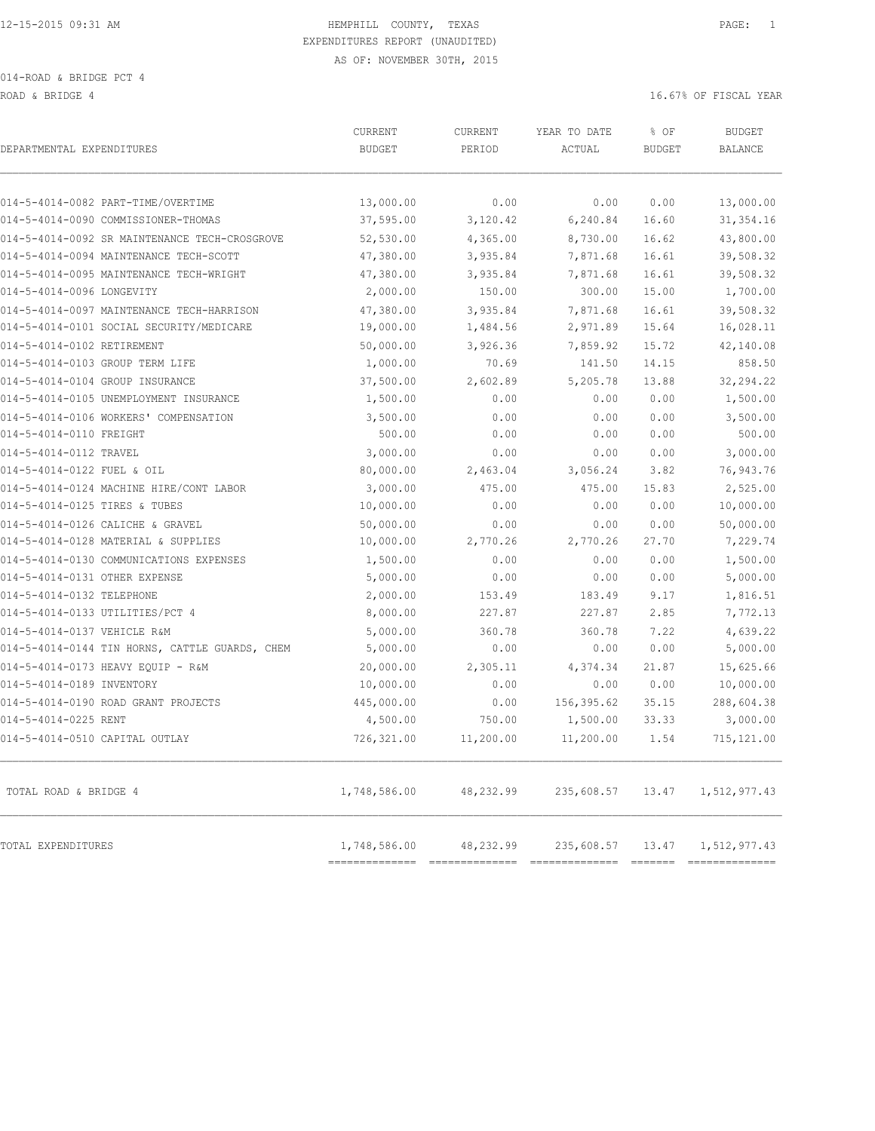ROAD & BRIDGE 4 16.67% OF FISCAL YEAR (1999) AND ROAD & BRIDGE 4

|                                                | CURRENT       | CURRENT   | YEAR TO DATE | % OF          | <b>BUDGET</b> |
|------------------------------------------------|---------------|-----------|--------------|---------------|---------------|
| DEPARTMENTAL EXPENDITURES                      | <b>BUDGET</b> | PERIOD    | ACTUAL       | <b>BUDGET</b> | BALANCE       |
|                                                |               |           |              |               |               |
| 014-5-4014-0082 PART-TIME/OVERTIME             | 13,000.00     | 0.00      | 0.00         | 0.00          | 13,000.00     |
| 014-5-4014-0090 COMMISSIONER-THOMAS            | 37,595.00     | 3,120.42  | 6, 240.84    | 16.60         | 31, 354.16    |
| 014-5-4014-0092 SR MAINTENANCE TECH-CROSGROVE  | 52,530.00     | 4,365.00  | 8,730.00     | 16.62         | 43,800.00     |
| 014-5-4014-0094 MAINTENANCE TECH-SCOTT         | 47,380.00     | 3,935.84  | 7,871.68     | 16.61         | 39,508.32     |
| 014-5-4014-0095 MAINTENANCE TECH-WRIGHT        | 47,380.00     | 3,935.84  | 7,871.68     | 16.61         | 39,508.32     |
| 014-5-4014-0096 LONGEVITY                      | 2,000.00      | 150.00    | 300.00       | 15.00         | 1,700.00      |
| 014-5-4014-0097 MAINTENANCE TECH-HARRISON      | 47,380.00     | 3,935.84  | 7,871.68     | 16.61         | 39,508.32     |
| 014-5-4014-0101 SOCIAL SECURITY/MEDICARE       | 19,000.00     | 1,484.56  | 2,971.89     | 15.64         | 16,028.11     |
| 014-5-4014-0102 RETIREMENT                     | 50,000.00     | 3,926.36  | 7,859.92     | 15.72         | 42,140.08     |
| 014-5-4014-0103 GROUP TERM LIFE                | 1,000.00      | 70.69     | 141.50       | 14.15         | 858.50        |
| 014-5-4014-0104 GROUP INSURANCE                | 37,500.00     | 2,602.89  | 5,205.78     | 13.88         | 32,294.22     |
| 014-5-4014-0105 UNEMPLOYMENT INSURANCE         | 1,500.00      | 0.00      | 0.00         | 0.00          | 1,500.00      |
| 014-5-4014-0106 WORKERS' COMPENSATION          | 3,500.00      | 0.00      | 0.00         | 0.00          | 3,500.00      |
| 014-5-4014-0110 FREIGHT                        | 500.00        | 0.00      | 0.00         | 0.00          | 500.00        |
| 014-5-4014-0112 TRAVEL                         | 3,000.00      | 0.00      | 0.00         | 0.00          | 3,000.00      |
| 014-5-4014-0122 FUEL & OIL                     | 80,000.00     | 2,463.04  | 3,056.24     | 3.82          | 76,943.76     |
| 014-5-4014-0124 MACHINE HIRE/CONT LABOR        | 3,000.00      | 475.00    | 475.00       | 15.83         | 2,525.00      |
| 014-5-4014-0125 TIRES & TUBES                  | 10,000.00     | 0.00      | 0.00         | 0.00          | 10,000.00     |
| 014-5-4014-0126 CALICHE & GRAVEL               | 50,000.00     | 0.00      | 0.00         | 0.00          | 50,000.00     |
| 014-5-4014-0128 MATERIAL & SUPPLIES            | 10,000.00     | 2,770.26  | 2,770.26     | 27.70         | 7,229.74      |
| 014-5-4014-0130 COMMUNICATIONS EXPENSES        | 1,500.00      | 0.00      | 0.00         | 0.00          | 1,500.00      |
| 014-5-4014-0131 OTHER EXPENSE                  | 5,000.00      | 0.00      | 0.00         | 0.00          | 5,000.00      |
| 014-5-4014-0132 TELEPHONE                      | 2,000.00      | 153.49    | 183.49       | 9.17          | 1,816.51      |
| 014-5-4014-0133 UTILITIES/PCT 4                | 8,000.00      | 227.87    | 227.87       | 2.85          | 7,772.13      |
| 014-5-4014-0137 VEHICLE R&M                    | 5,000.00      | 360.78    | 360.78       | 7.22          | 4,639.22      |
| 014-5-4014-0144 TIN HORNS, CATTLE GUARDS, CHEM | 5,000.00      | 0.00      | 0.00         | 0.00          | 5,000.00      |
| 014-5-4014-0173 HEAVY EQUIP - R&M              | 20,000.00     | 2,305.11  | 4,374.34     | 21.87         | 15,625.66     |
| 014-5-4014-0189 INVENTORY                      | 10,000.00     | 0.00      | 0.00         | 0.00          | 10,000.00     |
| 014-5-4014-0190 ROAD GRANT PROJECTS            | 445,000.00    | 0.00      | 156,395.62   | 35.15         | 288,604.38    |
| 014-5-4014-0225 RENT                           | 4,500.00      | 750.00    | 1,500.00     | 33.33         | 3,000.00      |
| 014-5-4014-0510 CAPITAL OUTLAY                 | 726,321.00    | 11,200.00 | 11,200.00    | 1.54          | 715, 121.00   |
| TOTAL ROAD & BRIDGE 4                          | 1,748,586.00  | 48,232.99 | 235,608.57   | 13.47         | 1,512,977.43  |
| TOTAL EXPENDITURES                             | 1,748,586.00  | 48,232.99 | 235,608.57   | 13.47         | 1,512,977.43  |
|                                                |               |           |              |               |               |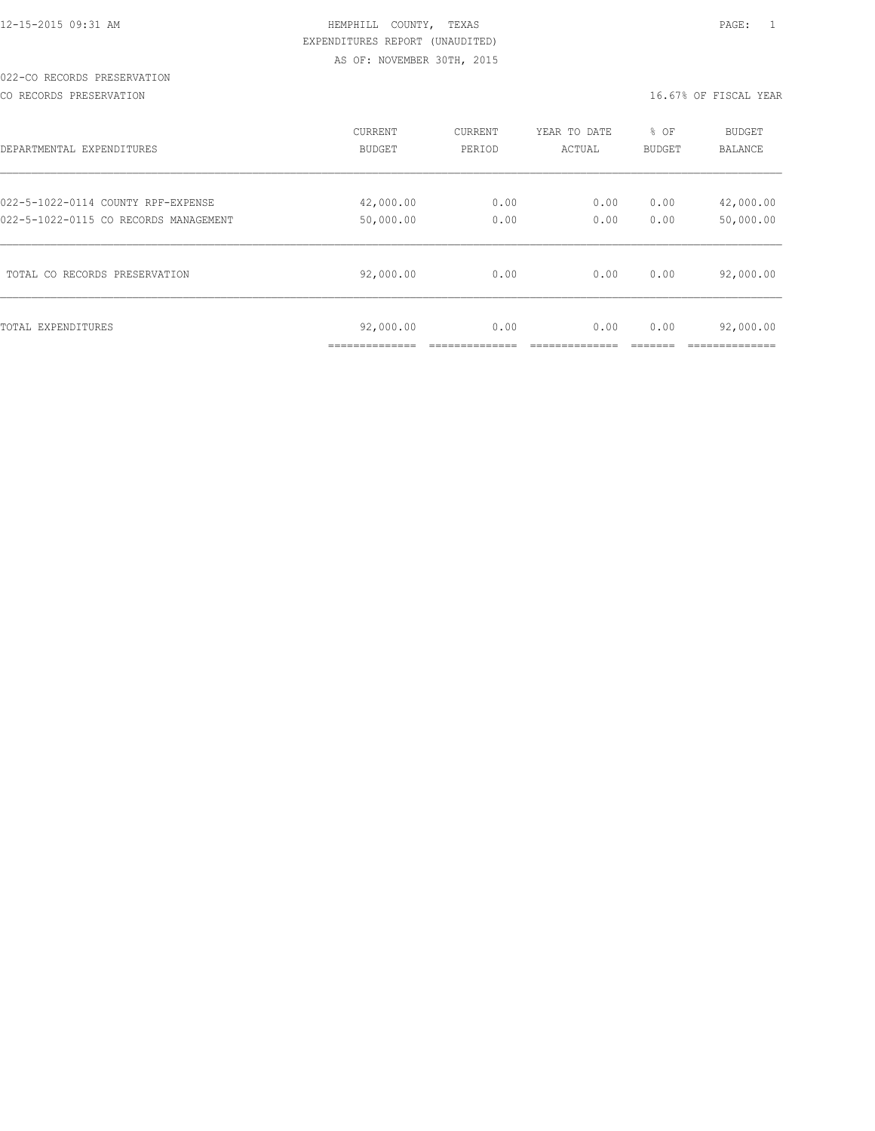# 022-CO RECORDS PRESERVATION

CO RECORDS PRESERVATION 16.67% OF FISCAL YEAR

| DEPARTMENTAL EXPENDITURES             | CURRENT                      | CURRENT | YEAR TO DATE | % OF   | <b>BUDGET</b>  |
|---------------------------------------|------------------------------|---------|--------------|--------|----------------|
|                                       | <b>BUDGET</b>                | PERIOD  | ACTUAL       | BUDGET | <b>BALANCE</b> |
| 022-5-1022-0114 COUNTY RPF-EXPENSE    | 42,000.00                    | 0.00    | 0.00         | 0.00   | 42,000.00      |
| 022-5-1022-0115 CO RECORDS MANAGEMENT | 50,000.00                    | 0.00    | 0.00         | 0.00   | 50,000.00      |
| TOTAL CO RECORDS PRESERVATION         | 92,000.00                    | 0.00    | 0.00         | 0.00   | 92,000.00      |
| TOTAL EXPENDITURES                    | 92,000.00<br>--------------- | 0.00    | 0.00         | 0.00   | 92,000.00      |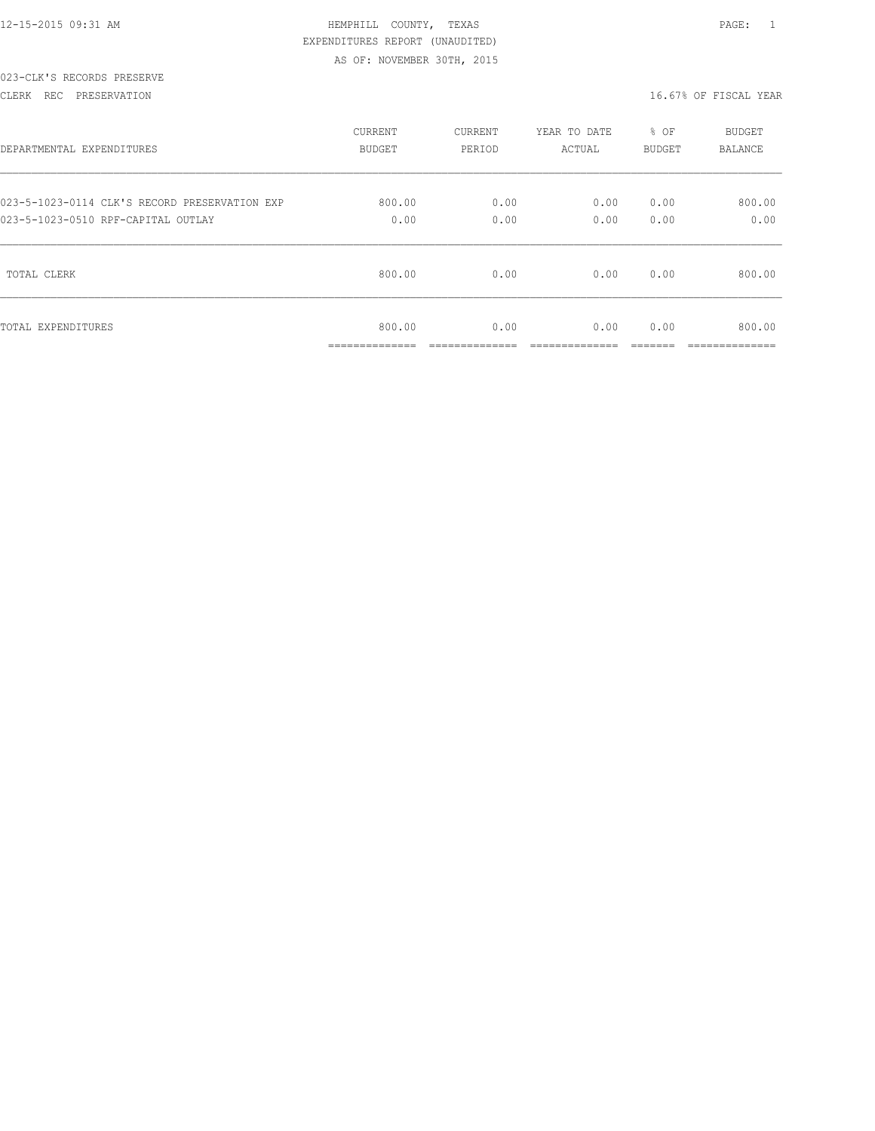| 12-15-2015 09:31 AM |  |  |  |
|---------------------|--|--|--|
|                     |  |  |  |

#### CLERK REC PRESERVATION 16.67% OF FISCAL YEAR

| DEPARTMENTAL EXPENDITURES                     | CURRENT                                   | CURRENT | YEAR TO DATE | % OF   | <b>BUDGET</b>             |
|-----------------------------------------------|-------------------------------------------|---------|--------------|--------|---------------------------|
|                                               | BUDGET                                    | PERIOD  | ACTUAL       | BUDGET | BALANCE                   |
| 023-5-1023-0114 CLK'S RECORD PRESERVATION EXP | 800.00                                    | 0.00    | 0.00         | 0.00   | 800.00                    |
| 023-5-1023-0510 RPF-CAPITAL OUTLAY            | 0.00                                      | 0.00    | 0.00         | 0.00   | 0.00                      |
| TOTAL CLERK                                   | 800.00                                    | 0.00    | 0.00         | 0.00   | 800.00                    |
| TOTAL EXPENDITURES                            | 800.00<br>_____________<br>______________ | 0.00    | 0.00         | 0.00   | 800.00<br>--------------- |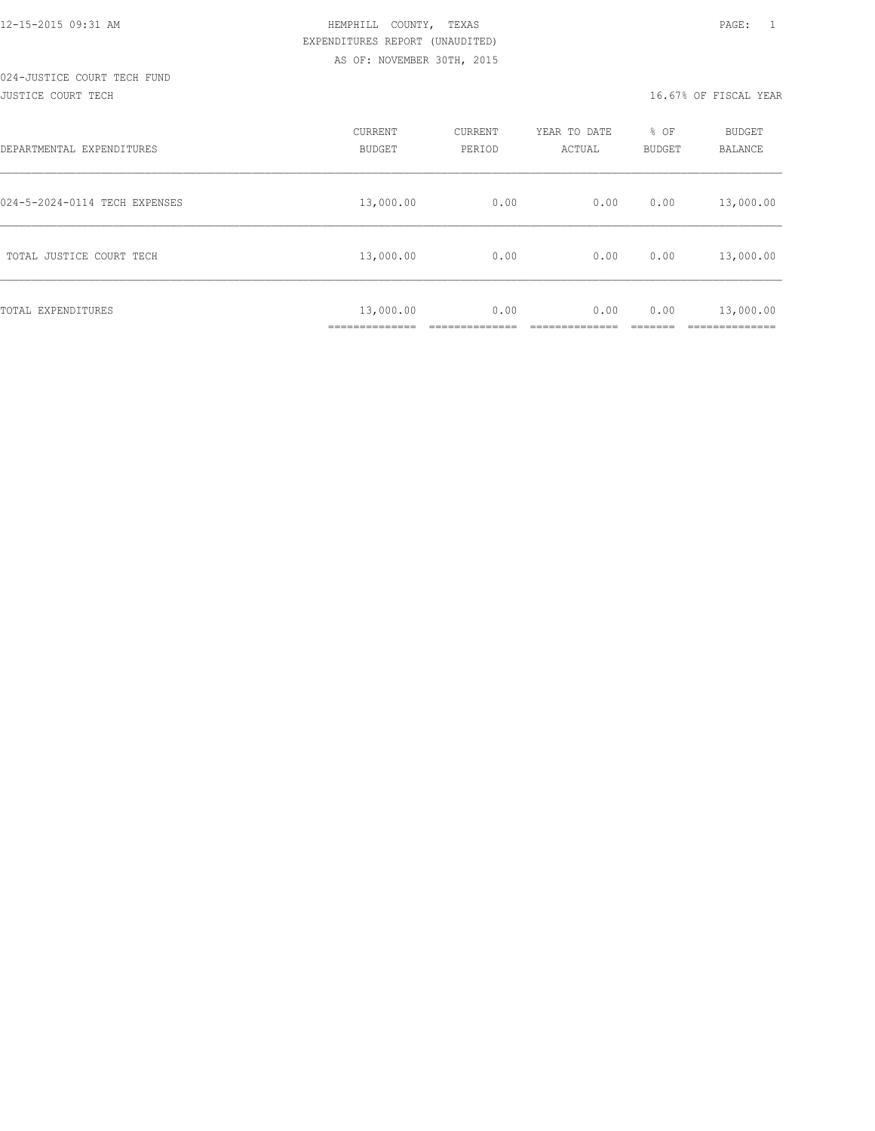# 024-JUSTICE COURT TECH FUND

#### JUSTICE COURT TECH 16.67% OF FISCAL YEAR

| DEPARTMENTAL EXPENDITURES     | <b>CURRENT</b><br>BUDGET    | CURRENT<br>PERIOD | YEAR TO DATE<br>ACTUAL | % OF<br>BUDGET | <b>BUDGET</b><br>BALANCE |
|-------------------------------|-----------------------------|-------------------|------------------------|----------------|--------------------------|
| 024-5-2024-0114 TECH EXPENSES | 13,000.00                   | 0.00              | 0.00                   | 0.00           | 13,000.00                |
| TOTAL JUSTICE COURT TECH      | 13,000.00                   | 0.00              | 0.00                   | 0.00           | 13,000.00                |
| TOTAL EXPENDITURES            | 13,000.00<br>______________ | 0.00              | 0.00                   | 0.00           | 13,000.00<br>__________  |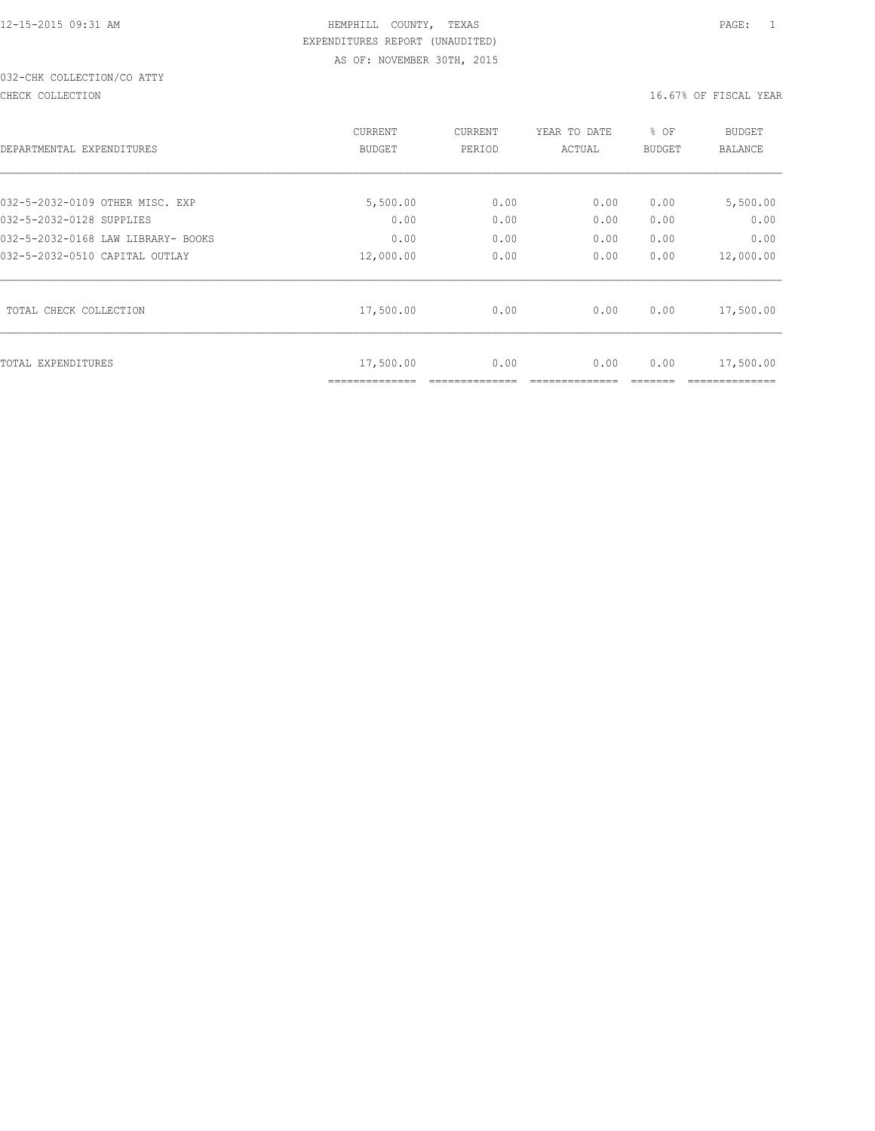# 032-CHK COLLECTION/CO ATTY

CHECK COLLECTION CHECK COLLECTION

| DEPARTMENTAL EXPENDITURES          | CURRENT<br><b>BUDGET</b> | <b>CURRENT</b><br>PERIOD | YEAR TO DATE<br>ACTUAL | % OF<br>BUDGET | <b>BUDGET</b><br><b>BALANCE</b> |
|------------------------------------|--------------------------|--------------------------|------------------------|----------------|---------------------------------|
| 032-5-2032-0109 OTHER MISC. EXP    | 5,500.00                 | 0.00                     | 0.00                   | 0.00           | 5,500.00                        |
| 032-5-2032-0128 SUPPLIES           | 0.00                     | 0.00                     | 0.00                   | 0.00           | 0.00                            |
| 032-5-2032-0168 LAW LIBRARY- BOOKS | 0.00                     | 0.00                     | 0.00                   | 0.00           | 0.00                            |
| 032-5-2032-0510 CAPITAL OUTLAY     | 12,000.00                | 0.00                     | 0.00                   | 0.00           | 12,000.00                       |
| TOTAL CHECK COLLECTION             | 17,500.00                | 0.00                     | 0.00                   | 0.00           | 17,500.00                       |
| TOTAL EXPENDITURES                 | 17,500.00                | 0.00                     | 0.00                   | 0.00           | 17,500.00                       |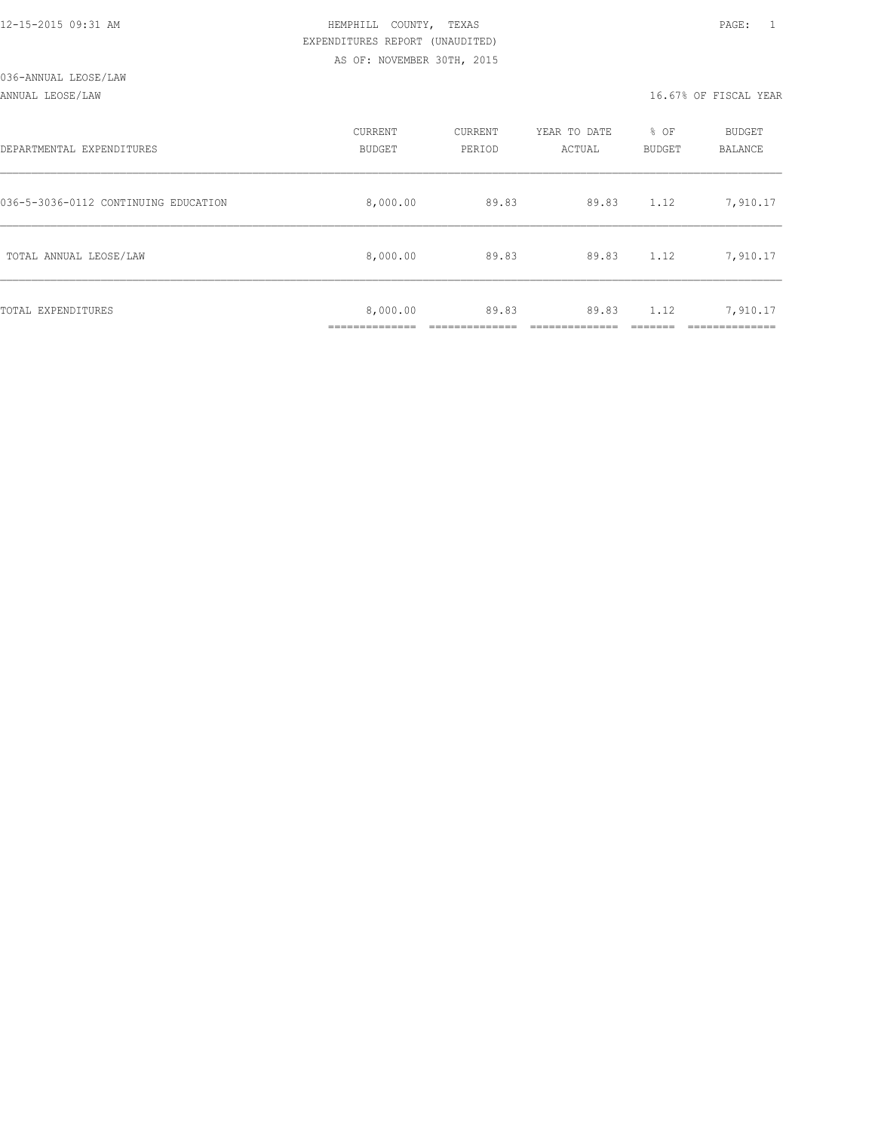|  |  | 12-15-2015 09:31 AM |  |
|--|--|---------------------|--|
|  |  |                     |  |

ANNUAL LEOSE/LAW 16.67% OF FISCAL YEAR

| DEPARTMENTAL EXPENDITURES            | CURRENT<br><b>BUDGET</b>                    | CURRENT<br>PERIOD | YEAR TO DATE<br>ACTUAL | % OF<br><b>BUDGET</b> | BUDGET<br>BALANCE      |
|--------------------------------------|---------------------------------------------|-------------------|------------------------|-----------------------|------------------------|
| 036-5-3036-0112 CONTINUING EDUCATION | 8,000.00                                    | 89.83             | 89.83                  | 1.12                  | 7,910.17               |
| TOTAL ANNUAL LEOSE/LAW               | 8,000.00                                    | 89.83             | 89.83                  | 1.12                  | 7,910.17               |
| <b>TOTAL EXPENDITURES</b>            | 8,000.00<br>-------------<br>______________ | 89.83             | 89.83                  | 1.12                  | 7,910.17<br>__________ |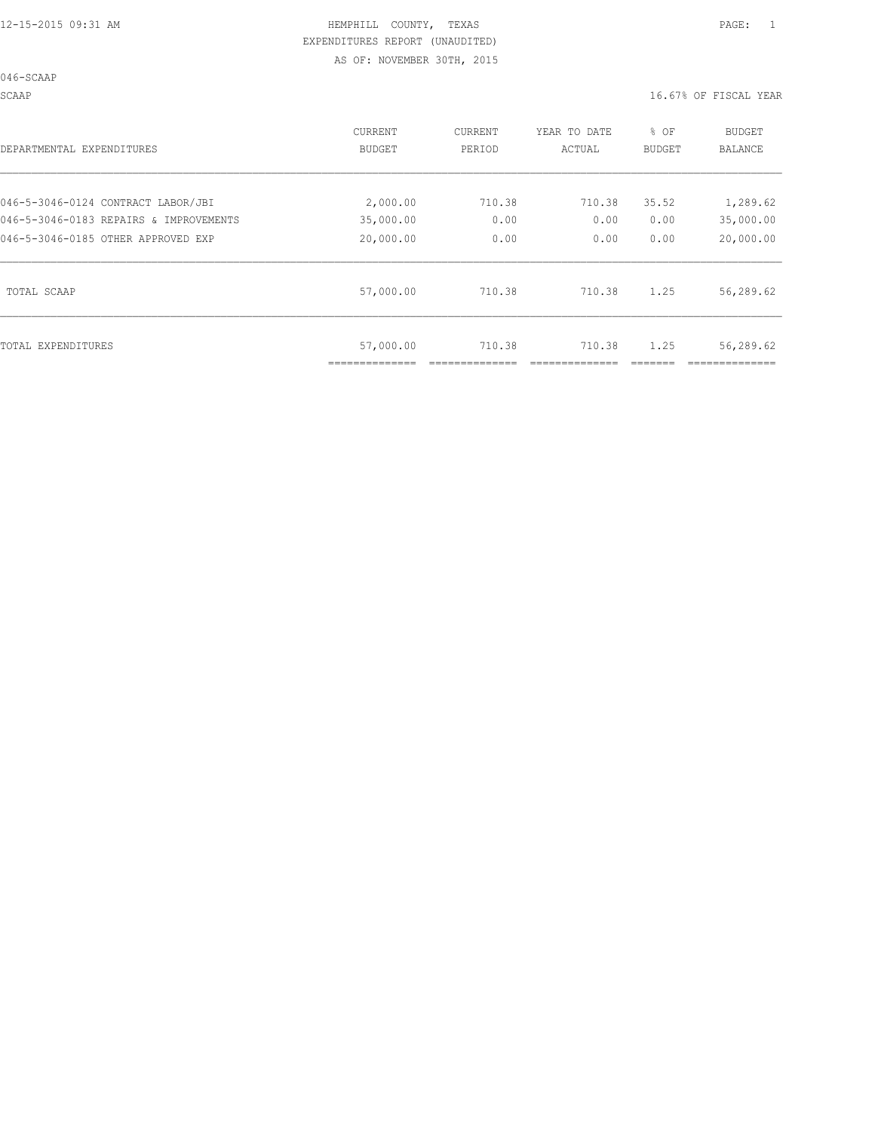046-SCAAP

SCAAP 16.67% OF FISCAL YEAR

| DEPARTMENTAL EXPENDITURES              | <b>CURRENT</b><br><b>BUDGET</b> | CURRENT<br>PERIOD | YEAR TO DATE<br>ACTUAL | % OF<br>BUDGET | <b>BUDGET</b><br><b>BALANCE</b> |
|----------------------------------------|---------------------------------|-------------------|------------------------|----------------|---------------------------------|
| 046-5-3046-0124 CONTRACT LABOR/JBI     | 2,000.00                        | 710.38            | 710.38                 | 35.52          | 1,289.62                        |
| 046-5-3046-0183 REPAIRS & IMPROVEMENTS | 35,000.00                       | 0.00              | 0.00                   | 0.00           | 35,000.00                       |
| 046-5-3046-0185 OTHER APPROVED EXP     | 20,000.00                       | 0.00              | 0.00                   | 0.00           | 20,000.00                       |
| TOTAL SCAAP                            | 57,000.00                       | 710.38            | 710.38                 | 1.25           | 56,289.62                       |
| TOTAL EXPENDITURES                     | 57,000.00                       | 710.38            | 710.38                 | 1.25           | 56,289.62                       |